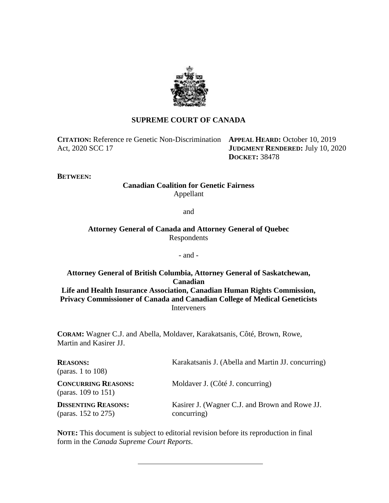

# **SUPREME COURT OF CANADA**

**CITATION:** Reference re Genetic Non-Discrimination **APPEAL HEARD:** October 10, 2019 Act, 2020 SCC 17

**JUDGMENT RENDERED:** July 10, 2020 **DOCKET:** 38478

**BETWEEN:**

# **Canadian Coalition for Genetic Fairness** Appellant

and

**Attorney General of Canada and Attorney General of Quebec** Respondents

## - and -

**Attorney General of British Columbia, Attorney General of Saskatchewan, Canadian Life and Health Insurance Association, Canadian Human Rights Commission, Privacy Commissioner of Canada and Canadian College of Medical Geneticists** Interveners

**CORAM:** Wagner C.J. and Abella, Moldaver, Karakatsanis, Côté, Brown, Rowe, Martin and Kasirer JJ.

| <b>REASONS:</b><br>(paras. 1 to $108$ )                | Karakatsanis J. (Abella and Martin JJ. concurring)            |
|--------------------------------------------------------|---------------------------------------------------------------|
| <b>CONCURRING REASONS:</b><br>(paras. $109$ to $151$ ) | Moldaver J. (Côté J. concurring)                              |
| <b>DISSENTING REASONS:</b><br>(paras. $152$ to $275$ ) | Kasirer J. (Wagner C.J. and Brown and Rowe JJ.<br>concurring) |

**NOTE:** This document is subject to editorial revision before its reproduction in final form in the *Canada Supreme Court Reports*.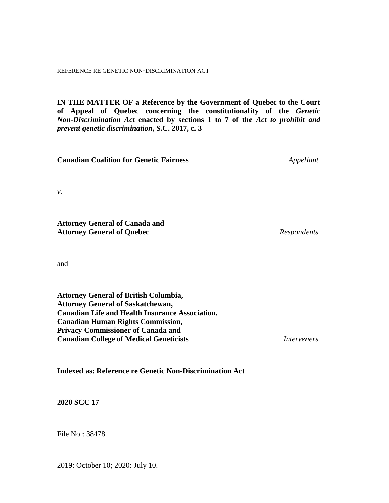REFERENCE RE GENETIC NON-DISCRIMINATION ACT

**IN THE MATTER OF a Reference by the Government of Quebec to the Court of Appeal of Quebec concerning the constitutionality of the** *Genetic Non-Discrimination Act* **enacted by sections 1 to 7 of the** *Act to prohibit and prevent genetic discrimination***, S.C. 2017, c. 3**

**Canadian Coalition for Genetic Fairness** *Appellant*

*v.*

**Attorney General of Canada and Attorney General of Quebec** *Respondents*

and

**Attorney General of British Columbia, Attorney General of Saskatchewan, Canadian Life and Health Insurance Association, Canadian Human Rights Commission, Privacy Commissioner of Canada and Canadian College of Medical Geneticists** *Interveners*

**Indexed as: Reference re Genetic Non-Discrimination Act**

**2020 SCC 17**

File No.: 38478.

2019: October 10; 2020: July 10.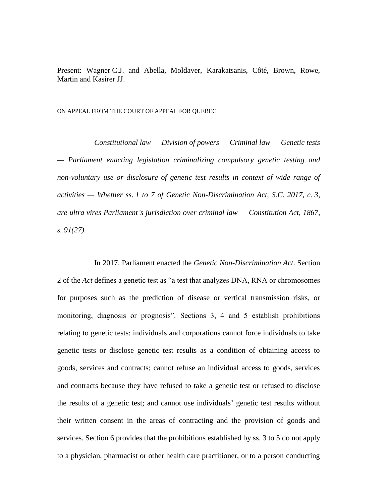Present: Wagner C.J. and Abella, Moldaver, Karakatsanis, Côté, Brown, Rowe, Martin and Kasirer JJ.

ON APPEAL FROM THE COURT OF APPEAL FOR QUEBEC

*Constitutional law — Division of powers — Criminal law — Genetic tests — Parliament enacting legislation criminalizing compulsory genetic testing and non-voluntary use or disclosure of genetic test results in context of wide range of activities — Whether ss. 1 to 7 of Genetic Non-Discrimination Act, S.C. 2017, c. 3, are ultra vires Parliament's jurisdiction over criminal law — Constitution Act, 1867, s. 91(27).*

In 2017, Parliament enacted the *Genetic Non-Discrimination Act*. Section 2 of the *Act* defines a genetic test as "a test that analyzes DNA, RNA or chromosomes for purposes such as the prediction of disease or vertical transmission risks, or monitoring, diagnosis or prognosis". Sections 3, 4 and 5 establish prohibitions relating to genetic tests: individuals and corporations cannot force individuals to take genetic tests or disclose genetic test results as a condition of obtaining access to goods, services and contracts; cannot refuse an individual access to goods, services and contracts because they have refused to take a genetic test or refused to disclose the results of a genetic test; and cannot use individuals' genetic test results without their written consent in the areas of contracting and the provision of goods and services. Section 6 provides that the prohibitions established by ss. 3 to 5 do not apply to a physician, pharmacist or other health care practitioner, or to a person conducting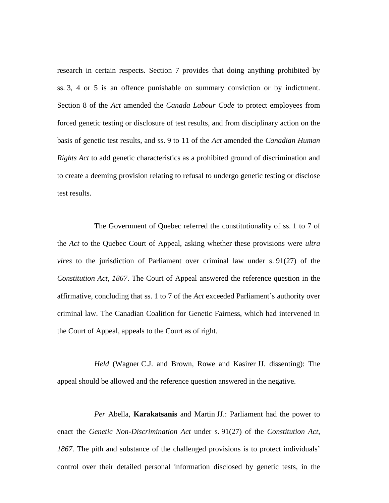research in certain respects. Section 7 provides that doing anything prohibited by ss. 3, 4 or 5 is an offence punishable on summary conviction or by indictment. Section 8 of the *Act* amended the *Canada Labour Code* to protect employees from forced genetic testing or disclosure of test results, and from disciplinary action on the basis of genetic test results, and ss. 9 to 11 of the *Act* amended the *Canadian Human Rights Act* to add genetic characteristics as a prohibited ground of discrimination and to create a deeming provision relating to refusal to undergo genetic testing or disclose test results.

The Government of Quebec referred the constitutionality of ss. 1 to 7 of the *Act* to the Quebec Court of Appeal, asking whether these provisions were *ultra vires* to the jurisdiction of Parliament over criminal law under s. 91(27) of the *Constitution Act, 1867*. The Court of Appeal answered the reference question in the affirmative, concluding that ss. 1 to 7 of the *Act* exceeded Parliament's authority over criminal law. The Canadian Coalition for Genetic Fairness, which had intervened in the Court of Appeal, appeals to the Court as of right.

*Held* (Wagner C.J. and Brown, Rowe and Kasirer JJ. dissenting): The appeal should be allowed and the reference question answered in the negative.

*Per* Abella, **Karakatsanis** and Martin JJ.: Parliament had the power to enact the *Genetic Non-Discrimination Act* under s. 91(27) of the *Constitution Act, 1867*. The pith and substance of the challenged provisions is to protect individuals' control over their detailed personal information disclosed by genetic tests, in the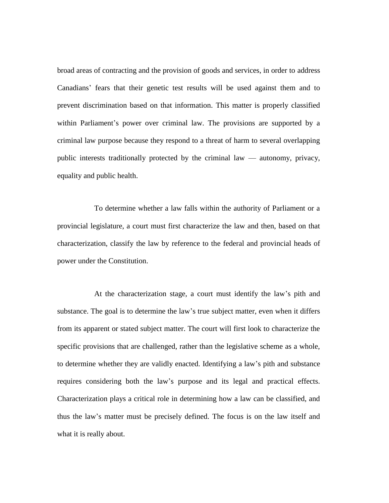broad areas of contracting and the provision of goods and services, in order to address Canadians' fears that their genetic test results will be used against them and to prevent discrimination based on that information. This matter is properly classified within Parliament's power over criminal law. The provisions are supported by a criminal law purpose because they respond to a threat of harm to several overlapping public interests traditionally protected by the criminal law — autonomy, privacy, equality and public health.

To determine whether a law falls within the authority of Parliament or a provincial legislature, a court must first characterize the law and then, based on that characterization, classify the law by reference to the federal and provincial heads of power under the Constitution.

At the characterization stage, a court must identify the law's pith and substance. The goal is to determine the law's true subject matter, even when it differs from its apparent or stated subject matter. The court will first look to characterize the specific provisions that are challenged, rather than the legislative scheme as a whole, to determine whether they are validly enacted. Identifying a law's pith and substance requires considering both the law's purpose and its legal and practical effects. Characterization plays a critical role in determining how a law can be classified, and thus the law's matter must be precisely defined. The focus is on the law itself and what it is really about.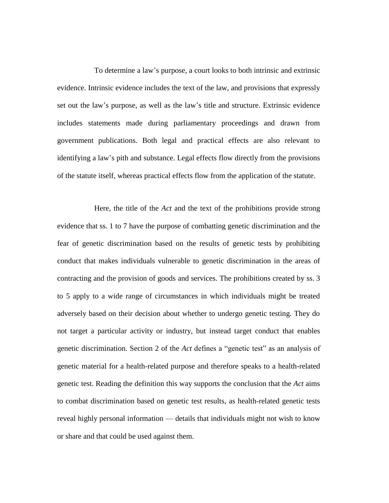To determine a law's purpose, a court looks to both intrinsic and extrinsic evidence. Intrinsic evidence includes the text of the law, and provisions that expressly set out the law's purpose, as well as the law's title and structure. Extrinsic evidence includes statements made during parliamentary proceedings and drawn from government publications. Both legal and practical effects are also relevant to identifying a law's pith and substance. Legal effects flow directly from the provisions of the statute itself, whereas practical effects flow from the application of the statute.

Here, the title of the *Act* and the text of the prohibitions provide strong evidence that ss. 1 to 7 have the purpose of combatting genetic discrimination and the fear of genetic discrimination based on the results of genetic tests by prohibiting conduct that makes individuals vulnerable to genetic discrimination in the areas of contracting and the provision of goods and services. The prohibitions created by ss. 3 to 5 apply to a wide range of circumstances in which individuals might be treated adversely based on their decision about whether to undergo genetic testing. They do not target a particular activity or industry, but instead target conduct that enables genetic discrimination. Section 2 of the *Act* defines a "genetic test" as an analysis of genetic material for a health-related purpose and therefore speaks to a health-related genetic test. Reading the definition this way supports the conclusion that the *Act* aims to combat discrimination based on genetic test results, as health-related genetic tests reveal highly personal information — details that individuals might not wish to know or share and that could be used against them.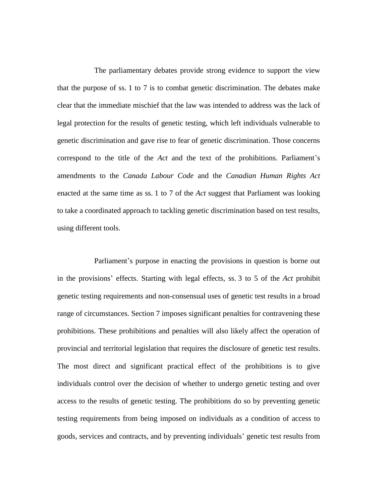The parliamentary debates provide strong evidence to support the view that the purpose of ss. 1 to 7 is to combat genetic discrimination. The debates make clear that the immediate mischief that the law was intended to address was the lack of legal protection for the results of genetic testing, which left individuals vulnerable to genetic discrimination and gave rise to fear of genetic discrimination. Those concerns correspond to the title of the *Act* and the text of the prohibitions. Parliament's amendments to the *Canada Labour Code* and the *Canadian Human Rights Act* enacted at the same time as ss. 1 to 7 of the *Act* suggest that Parliament was looking to take a coordinated approach to tackling genetic discrimination based on test results, using different tools.

Parliament's purpose in enacting the provisions in question is borne out in the provisions' effects. Starting with legal effects, ss. 3 to 5 of the *Act* prohibit genetic testing requirements and non-consensual uses of genetic test results in a broad range of circumstances. Section 7 imposes significant penalties for contravening these prohibitions. These prohibitions and penalties will also likely affect the operation of provincial and territorial legislation that requires the disclosure of genetic test results. The most direct and significant practical effect of the prohibitions is to give individuals control over the decision of whether to undergo genetic testing and over access to the results of genetic testing. The prohibitions do so by preventing genetic testing requirements from being imposed on individuals as a condition of access to goods, services and contracts, and by preventing individuals' genetic test results from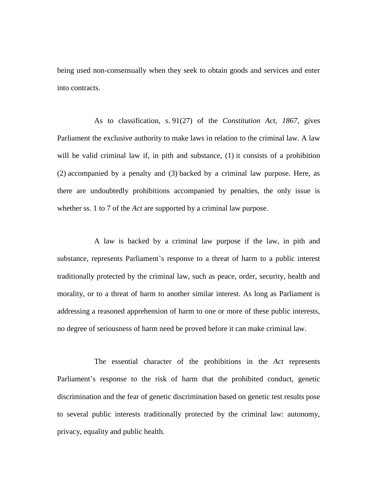being used non-consensually when they seek to obtain goods and services and enter into contracts.

As to classification, s. 91(27) of the *Constitution Act, 1867*, gives Parliament the exclusive authority to make laws in relation to the criminal law. A law will be valid criminal law if, in pith and substance,  $(1)$  it consists of a prohibition (2) accompanied by a penalty and (3) backed by a criminal law purpose. Here, as there are undoubtedly prohibitions accompanied by penalties, the only issue is whether ss. 1 to 7 of the *Act* are supported by a criminal law purpose.

A law is backed by a criminal law purpose if the law, in pith and substance, represents Parliament's response to a threat of harm to a public interest traditionally protected by the criminal law, such as peace, order, security, health and morality, or to a threat of harm to another similar interest. As long as Parliament is addressing a reasoned apprehension of harm to one or more of these public interests, no degree of seriousness of harm need be proved before it can make criminal law.

The essential character of the prohibitions in the *Act* represents Parliament's response to the risk of harm that the prohibited conduct, genetic discrimination and the fear of genetic discrimination based on genetic test results pose to several public interests traditionally protected by the criminal law: autonomy, privacy, equality and public health.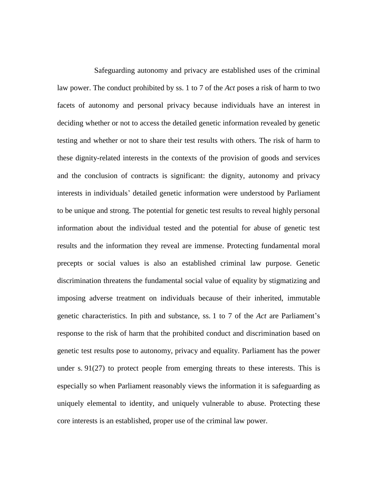Safeguarding autonomy and privacy are established uses of the criminal law power. The conduct prohibited by ss. 1 to 7 of the *Act* poses a risk of harm to two facets of autonomy and personal privacy because individuals have an interest in deciding whether or not to access the detailed genetic information revealed by genetic testing and whether or not to share their test results with others. The risk of harm to these dignity-related interests in the contexts of the provision of goods and services and the conclusion of contracts is significant: the dignity, autonomy and privacy interests in individuals' detailed genetic information were understood by Parliament to be unique and strong. The potential for genetic test results to reveal highly personal information about the individual tested and the potential for abuse of genetic test results and the information they reveal are immense. Protecting fundamental moral precepts or social values is also an established criminal law purpose. Genetic discrimination threatens the fundamental social value of equality by stigmatizing and imposing adverse treatment on individuals because of their inherited, immutable genetic characteristics. In pith and substance, ss. 1 to 7 of the *Act* are Parliament's response to the risk of harm that the prohibited conduct and discrimination based on genetic test results pose to autonomy, privacy and equality. Parliament has the power under s. 91(27) to protect people from emerging threats to these interests. This is especially so when Parliament reasonably views the information it is safeguarding as uniquely elemental to identity, and uniquely vulnerable to abuse. Protecting these core interests is an established, proper use of the criminal law power.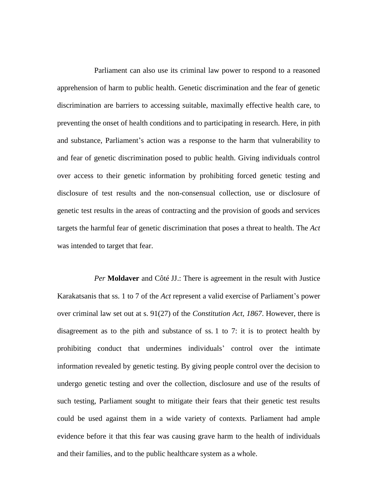Parliament can also use its criminal law power to respond to a reasoned apprehension of harm to public health. Genetic discrimination and the fear of genetic discrimination are barriers to accessing suitable, maximally effective health care, to preventing the onset of health conditions and to participating in research. Here, in pith and substance, Parliament's action was a response to the harm that vulnerability to and fear of genetic discrimination posed to public health. Giving individuals control over access to their genetic information by prohibiting forced genetic testing and disclosure of test results and the non-consensual collection, use or disclosure of genetic test results in the areas of contracting and the provision of goods and services targets the harmful fear of genetic discrimination that poses a threat to health. The *Act* was intended to target that fear.

*Per* **Moldaver** and Côté JJ.: There is agreement in the result with Justice Karakatsanis that ss. 1 to 7 of the *Act* represent a valid exercise of Parliament's power over criminal law set out at s. 91(27) of the *Constitution Act, 1867*. However, there is disagreement as to the pith and substance of ss. 1 to 7: it is to protect health by prohibiting conduct that undermines individuals' control over the intimate information revealed by genetic testing. By giving people control over the decision to undergo genetic testing and over the collection, disclosure and use of the results of such testing, Parliament sought to mitigate their fears that their genetic test results could be used against them in a wide variety of contexts. Parliament had ample evidence before it that this fear was causing grave harm to the health of individuals and their families, and to the public healthcare system as a whole.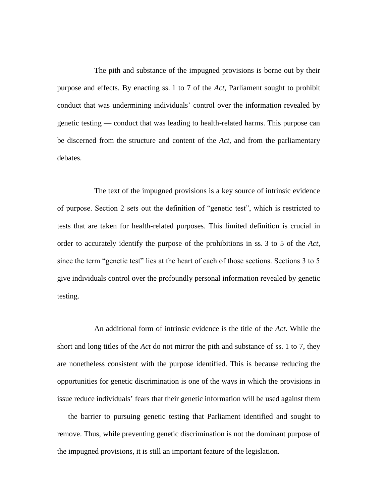The pith and substance of the impugned provisions is borne out by their purpose and effects. By enacting ss. 1 to 7 of the *Act*, Parliament sought to prohibit conduct that was undermining individuals' control over the information revealed by genetic testing — conduct that was leading to health-related harms. This purpose can be discerned from the structure and content of the *Act*, and from the parliamentary debates.

The text of the impugned provisions is a key source of intrinsic evidence of purpose. Section 2 sets out the definition of "genetic test", which is restricted to tests that are taken for health-related purposes. This limited definition is crucial in order to accurately identify the purpose of the prohibitions in ss. 3 to 5 of the *Act*, since the term "genetic test" lies at the heart of each of those sections. Sections 3 to 5 give individuals control over the profoundly personal information revealed by genetic testing.

An additional form of intrinsic evidence is the title of the *Act*. While the short and long titles of the *Act* do not mirror the pith and substance of ss. 1 to 7, they are nonetheless consistent with the purpose identified. This is because reducing the opportunities for genetic discrimination is one of the ways in which the provisions in issue reduce individuals' fears that their genetic information will be used against them — the barrier to pursuing genetic testing that Parliament identified and sought to remove. Thus, while preventing genetic discrimination is not the dominant purpose of the impugned provisions, it is still an important feature of the legislation.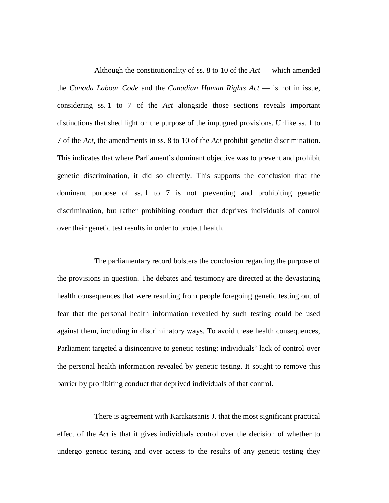Although the constitutionality of ss. 8 to 10 of the *Act* — which amended the *Canada Labour Code* and the *Canadian Human Rights Act* — is not in issue, considering ss. 1 to 7 of the *Act* alongside those sections reveals important distinctions that shed light on the purpose of the impugned provisions. Unlike ss. 1 to 7 of the *Act*, the amendments in ss. 8 to 10 of the *Act* prohibit genetic discrimination. This indicates that where Parliament's dominant objective was to prevent and prohibit genetic discrimination, it did so directly. This supports the conclusion that the dominant purpose of ss. 1 to 7 is not preventing and prohibiting genetic discrimination, but rather prohibiting conduct that deprives individuals of control over their genetic test results in order to protect health.

The parliamentary record bolsters the conclusion regarding the purpose of the provisions in question. The debates and testimony are directed at the devastating health consequences that were resulting from people foregoing genetic testing out of fear that the personal health information revealed by such testing could be used against them, including in discriminatory ways. To avoid these health consequences, Parliament targeted a disincentive to genetic testing: individuals' lack of control over the personal health information revealed by genetic testing. It sought to remove this barrier by prohibiting conduct that deprived individuals of that control.

There is agreement with Karakatsanis J. that the most significant practical effect of the *Act* is that it gives individuals control over the decision of whether to undergo genetic testing and over access to the results of any genetic testing they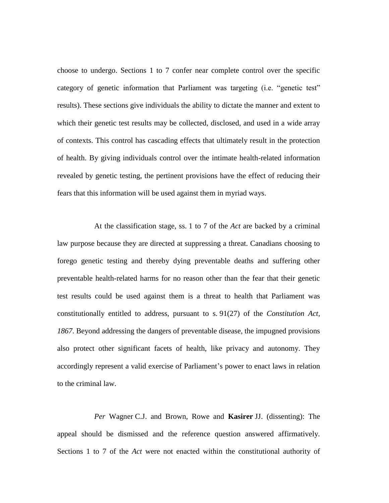choose to undergo. Sections 1 to 7 confer near complete control over the specific category of genetic information that Parliament was targeting (i.e. "genetic test" results). These sections give individuals the ability to dictate the manner and extent to which their genetic test results may be collected, disclosed, and used in a wide array of contexts. This control has cascading effects that ultimately result in the protection of health. By giving individuals control over the intimate health-related information revealed by genetic testing, the pertinent provisions have the effect of reducing their fears that this information will be used against them in myriad ways.

At the classification stage, ss. 1 to 7 of the *Act* are backed by a criminal law purpose because they are directed at suppressing a threat. Canadians choosing to forego genetic testing and thereby dying preventable deaths and suffering other preventable health-related harms for no reason other than the fear that their genetic test results could be used against them is a threat to health that Parliament was constitutionally entitled to address, pursuant to s. 91(27) of the *Constitution Act, 1867*. Beyond addressing the dangers of preventable disease, the impugned provisions also protect other significant facets of health, like privacy and autonomy. They accordingly represent a valid exercise of Parliament's power to enact laws in relation to the criminal law.

*Per* Wagner C.J. and Brown, Rowe and **Kasirer** JJ. (dissenting): The appeal should be dismissed and the reference question answered affirmatively. Sections 1 to 7 of the *Act* were not enacted within the constitutional authority of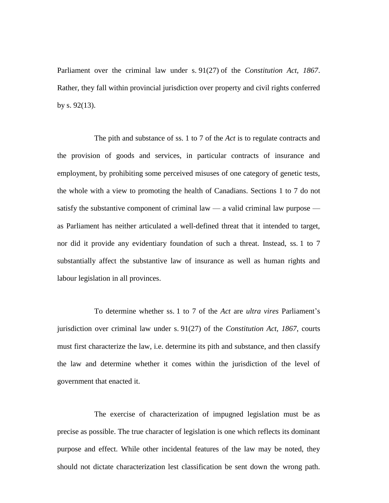Parliament over the criminal law under s. 91(27) of the *Constitution Act, 1867*. Rather, they fall within provincial jurisdiction over property and civil rights conferred by s. 92(13).

The pith and substance of ss. 1 to 7 of the *Act* is to regulate contracts and the provision of goods and services, in particular contracts of insurance and employment, by prohibiting some perceived misuses of one category of genetic tests, the whole with a view to promoting the health of Canadians. Sections 1 to 7 do not satisfy the substantive component of criminal law  $-$  a valid criminal law purpose  $$ as Parliament has neither articulated a well-defined threat that it intended to target, nor did it provide any evidentiary foundation of such a threat. Instead, ss. 1 to 7 substantially affect the substantive law of insurance as well as human rights and labour legislation in all provinces.

To determine whether ss. 1 to 7 of the *Act* are *ultra vires* Parliament's jurisdiction over criminal law under s. 91(27) of the *Constitution Act, 1867*, courts must first characterize the law, i.e. determine its pith and substance, and then classify the law and determine whether it comes within the jurisdiction of the level of government that enacted it.

The exercise of characterization of impugned legislation must be as precise as possible. The true character of legislation is one which reflects its dominant purpose and effect. While other incidental features of the law may be noted, they should not dictate characterization lest classification be sent down the wrong path.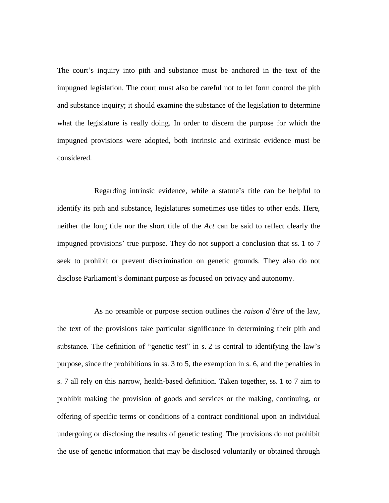The court's inquiry into pith and substance must be anchored in the text of the impugned legislation. The court must also be careful not to let form control the pith and substance inquiry; it should examine the substance of the legislation to determine what the legislature is really doing. In order to discern the purpose for which the impugned provisions were adopted, both intrinsic and extrinsic evidence must be considered.

Regarding intrinsic evidence, while a statute's title can be helpful to identify its pith and substance, legislatures sometimes use titles to other ends. Here, neither the long title nor the short title of the *Act* can be said to reflect clearly the impugned provisions' true purpose. They do not support a conclusion that ss. 1 to 7 seek to prohibit or prevent discrimination on genetic grounds. They also do not disclose Parliament's dominant purpose as focused on privacy and autonomy.

As no preamble or purpose section outlines the *raison d'être* of the law, the text of the provisions take particular significance in determining their pith and substance. The definition of "genetic test" in s. 2 is central to identifying the law's purpose, since the prohibitions in ss. 3 to 5, the exemption in s. 6, and the penalties in s. 7 all rely on this narrow, health-based definition. Taken together, ss. 1 to 7 aim to prohibit making the provision of goods and services or the making, continuing, or offering of specific terms or conditions of a contract conditional upon an individual undergoing or disclosing the results of genetic testing. The provisions do not prohibit the use of genetic information that may be disclosed voluntarily or obtained through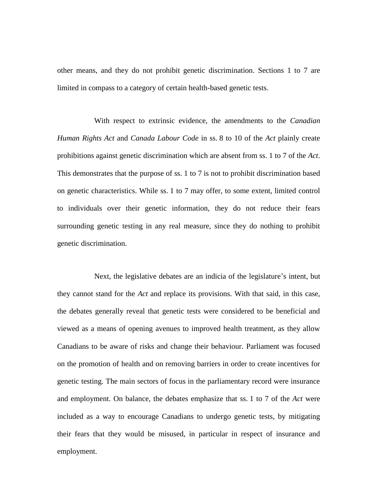other means, and they do not prohibit genetic discrimination. Sections 1 to 7 are limited in compass to a category of certain health-based genetic tests.

With respect to extrinsic evidence, the amendments to the *Canadian Human Rights Act* and *Canada Labour Code* in ss. 8 to 10 of the *Act* plainly create prohibitions against genetic discrimination which are absent from ss. 1 to 7 of the *Act*. This demonstrates that the purpose of ss. 1 to 7 is not to prohibit discrimination based on genetic characteristics. While ss. 1 to 7 may offer, to some extent, limited control to individuals over their genetic information, they do not reduce their fears surrounding genetic testing in any real measure, since they do nothing to prohibit genetic discrimination.

Next, the legislative debates are an indicia of the legislature's intent, but they cannot stand for the *Act* and replace its provisions. With that said, in this case, the debates generally reveal that genetic tests were considered to be beneficial and viewed as a means of opening avenues to improved health treatment, as they allow Canadians to be aware of risks and change their behaviour. Parliament was focused on the promotion of health and on removing barriers in order to create incentives for genetic testing. The main sectors of focus in the parliamentary record were insurance and employment. On balance, the debates emphasize that ss. 1 to 7 of the *Act* were included as a way to encourage Canadians to undergo genetic tests, by mitigating their fears that they would be misused, in particular in respect of insurance and employment.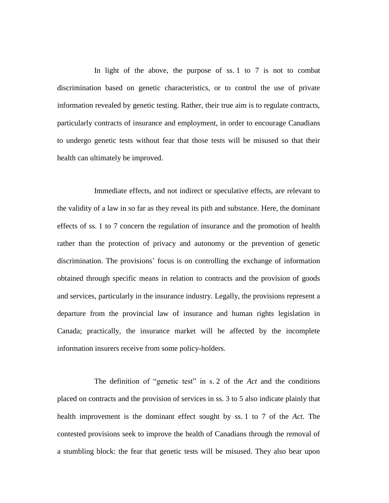In light of the above, the purpose of ss. 1 to 7 is not to combat discrimination based on genetic characteristics, or to control the use of private information revealed by genetic testing. Rather, their true aim is to regulate contracts, particularly contracts of insurance and employment, in order to encourage Canadians to undergo genetic tests without fear that those tests will be misused so that their health can ultimately be improved.

Immediate effects, and not indirect or speculative effects, are relevant to the validity of a law in so far as they reveal its pith and substance. Here, the dominant effects of ss. 1 to 7 concern the regulation of insurance and the promotion of health rather than the protection of privacy and autonomy or the prevention of genetic discrimination. The provisions' focus is on controlling the exchange of information obtained through specific means in relation to contracts and the provision of goods and services, particularly in the insurance industry. Legally, the provisions represent a departure from the provincial law of insurance and human rights legislation in Canada; practically, the insurance market will be affected by the incomplete information insurers receive from some policy-holders.

The definition of "genetic test" in s. 2 of the *Act* and the conditions placed on contracts and the provision of services in ss. 3 to 5 also indicate plainly that health improvement is the dominant effect sought by ss. 1 to 7 of the *Act*. The contested provisions seek to improve the health of Canadians through the removal of a stumbling block: the fear that genetic tests will be misused. They also bear upon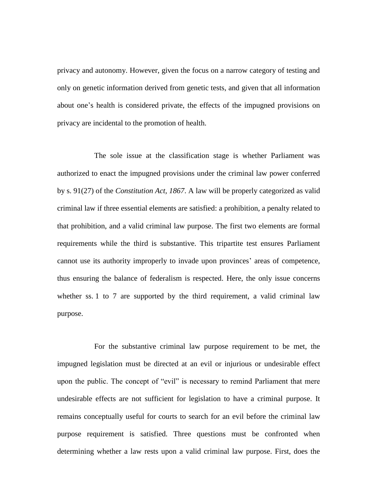privacy and autonomy. However, given the focus on a narrow category of testing and only on genetic information derived from genetic tests, and given that all information about one's health is considered private, the effects of the impugned provisions on privacy are incidental to the promotion of health.

The sole issue at the classification stage is whether Parliament was authorized to enact the impugned provisions under the criminal law power conferred by s. 91(27) of the *Constitution Act, 1867*. A law will be properly categorized as valid criminal law if three essential elements are satisfied: a prohibition, a penalty related to that prohibition, and a valid criminal law purpose. The first two elements are formal requirements while the third is substantive. This tripartite test ensures Parliament cannot use its authority improperly to invade upon provinces' areas of competence, thus ensuring the balance of federalism is respected. Here, the only issue concerns whether ss. 1 to 7 are supported by the third requirement, a valid criminal law purpose.

For the substantive criminal law purpose requirement to be met, the impugned legislation must be directed at an evil or injurious or undesirable effect upon the public. The concept of "evil" is necessary to remind Parliament that mere undesirable effects are not sufficient for legislation to have a criminal purpose. It remains conceptually useful for courts to search for an evil before the criminal law purpose requirement is satisfied. Three questions must be confronted when determining whether a law rests upon a valid criminal law purpose. First, does the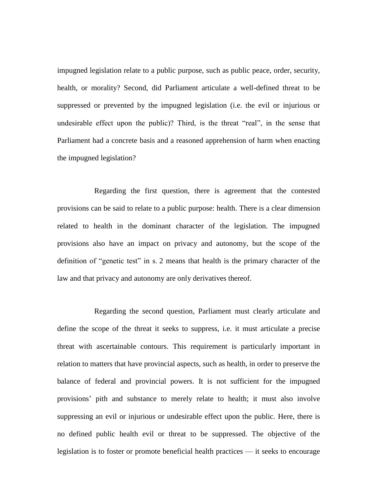impugned legislation relate to a public purpose, such as public peace, order, security, health, or morality? Second, did Parliament articulate a well-defined threat to be suppressed or prevented by the impugned legislation (i.e. the evil or injurious or undesirable effect upon the public)? Third, is the threat "real", in the sense that Parliament had a concrete basis and a reasoned apprehension of harm when enacting the impugned legislation?

Regarding the first question, there is agreement that the contested provisions can be said to relate to a public purpose: health. There is a clear dimension related to health in the dominant character of the legislation. The impugned provisions also have an impact on privacy and autonomy, but the scope of the definition of "genetic test" in s. 2 means that health is the primary character of the law and that privacy and autonomy are only derivatives thereof.

Regarding the second question, Parliament must clearly articulate and define the scope of the threat it seeks to suppress, i.e. it must articulate a precise threat with ascertainable contours. This requirement is particularly important in relation to matters that have provincial aspects, such as health, in order to preserve the balance of federal and provincial powers. It is not sufficient for the impugned provisions' pith and substance to merely relate to health; it must also involve suppressing an evil or injurious or undesirable effect upon the public. Here, there is no defined public health evil or threat to be suppressed. The objective of the legislation is to foster or promote beneficial health practices — it seeks to encourage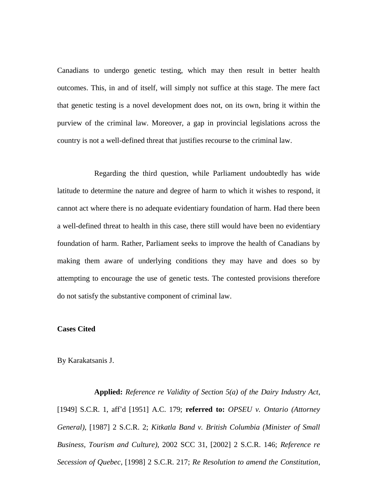Canadians to undergo genetic testing, which may then result in better health outcomes. This, in and of itself, will simply not suffice at this stage. The mere fact that genetic testing is a novel development does not, on its own, bring it within the purview of the criminal law. Moreover, a gap in provincial legislations across the country is not a well-defined threat that justifies recourse to the criminal law.

Regarding the third question, while Parliament undoubtedly has wide latitude to determine the nature and degree of harm to which it wishes to respond, it cannot act where there is no adequate evidentiary foundation of harm. Had there been a well-defined threat to health in this case, there still would have been no evidentiary foundation of harm. Rather, Parliament seeks to improve the health of Canadians by making them aware of underlying conditions they may have and does so by attempting to encourage the use of genetic tests. The contested provisions therefore do not satisfy the substantive component of criminal law.

### **Cases Cited**

#### By Karakatsanis J.

**Applied:** *Reference re Validity of Section 5(a) of the Dairy Industry Act*, [1949] S.C.R. 1, aff'd [1951] A.C. 179; **referred to:** *OPSEU v. Ontario (Attorney General)*, [1987] 2 S.C.R. 2; *Kitkatla Band v. British Columbia (Minister of Small Business, Tourism and Culture)*, 2002 SCC 31, [2002] 2 S.C.R. 146; *Reference re Secession of Quebec*, [1998] 2 S.C.R. 217; *Re Resolution to amend the Constitution*,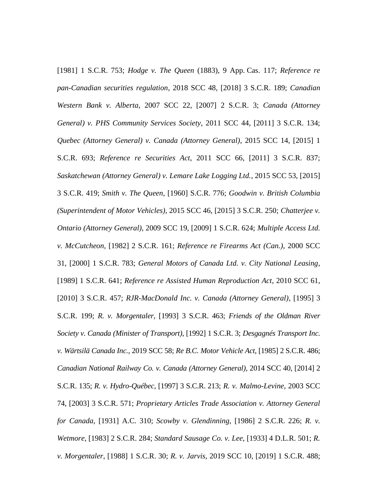[1981] 1 S.C.R. 753; *Hodge v. The Queen* (1883), 9 App. Cas. 117; *Reference re pan-Canadian securities regulation*, 2018 SCC 48, [2018] 3 S.C.R. 189; *Canadian Western Bank v. Alberta*, 2007 SCC 22, [2007] 2 S.C.R. 3; *Canada (Attorney General) v. PHS Community Services Society*, 2011 SCC 44, [2011] 3 S.C.R. 134; *Quebec (Attorney General) v. Canada (Attorney General)*, 2015 SCC 14, [2015] 1 S.C.R. 693; *Reference re Securities Act*, 2011 SCC 66, [2011] 3 S.C.R. 837; *Saskatchewan (Attorney General) v. Lemare Lake Logging Ltd.*, 2015 SCC 53, [2015] 3 S.C.R. 419; *Smith v. The Queen*, [1960] S.C.R. 776; *Goodwin v. British Columbia (Superintendent of Motor Vehicles)*, 2015 SCC 46, [2015] 3 S.C.R. 250; *Chatterjee v. Ontario (Attorney General)*, 2009 SCC 19, [2009] 1 S.C.R. 624; *Multiple Access Ltd. v. McCutcheon*, [1982] 2 S.C.R. 161; *Reference re Firearms Act (Can.)*, 2000 SCC 31, [2000] 1 S.C.R. 783; *General Motors of Canada Ltd. v. City National Leasing*, [1989] 1 S.C.R. 641; *Reference re Assisted Human Reproduction Act*, 2010 SCC 61, [2010] 3 S.C.R. 457; *RJR-MacDonald Inc. v. Canada (Attorney General)*, [1995] 3 S.C.R. 199; *R. v. Morgentaler*, [1993] 3 S.C.R. 463; *Friends of the Oldman River Society v. Canada (Minister of Transport)*, [1992] 1 S.C.R. 3; *Desgagnés Transport Inc. v. Wärtsilä Canada Inc.*, 2019 SCC 58; *Re B.C. Motor Vehicle Act*, [1985] 2 S.C.R. 486; *Canadian National Railway Co. v. Canada (Attorney General)*, 2014 SCC 40, [2014] 2 S.C.R. 135; *R. v. Hydro-Québec*, [1997] 3 S.C.R. 213; *R. v. Malmo-Levine*, 2003 SCC 74, [2003] 3 S.C.R. 571; *Proprietary Articles Trade Association v. Attorney General for Canada*, [1931] A.C. 310; *Scowby v. Glendinning*, [1986] 2 S.C.R. 226; *R. v. Wetmore*, [1983] 2 S.C.R. 284; *Standard Sausage Co. v. Lee*, [1933] 4 D.L.R. 501; *R. v. Morgentaler*, [1988] 1 S.C.R. 30; *R. v. Jarvis*, 2019 SCC 10, [2019] 1 S.C.R. 488;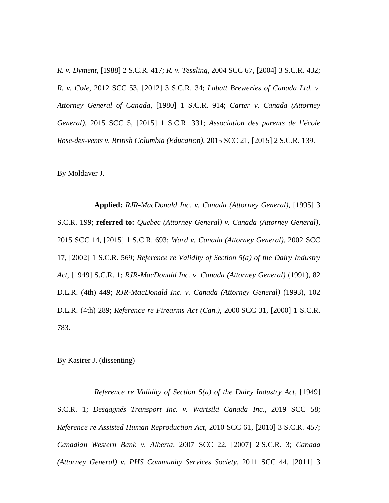*R. v. Dyment*, [1988] 2 S.C.R. 417; *R. v. Tessling*, 2004 SCC 67, [2004] 3 S.C.R. 432; *R. v. Cole*, 2012 SCC 53, [2012] 3 S.C.R. 34; *Labatt Breweries of Canada Ltd. v. Attorney General of Canada*, [1980] 1 S.C.R. 914; *Carter v. Canada (Attorney General)*, 2015 SCC 5, [2015] 1 S.C.R. 331; *Association des parents de l'école Rose-des-vents v. British Columbia (Education)*, 2015 SCC 21, [2015] 2 S.C.R. 139.

By Moldaver J.

**Applied:** *RJR-MacDonald Inc. v. Canada (Attorney General)*, [1995] 3 S.C.R. 199; **referred to:** *Quebec (Attorney General) v. Canada (Attorney General)*, 2015 SCC 14, [2015] 1 S.C.R. 693; *Ward v. Canada (Attorney General)*, 2002 SCC 17, [2002] 1 S.C.R. 569; *Reference re Validity of Section 5(a) of the Dairy Industry Act*, [1949] S.C.R. 1; *RJR-MacDonald Inc. v. Canada (Attorney General)* (1991), 82 D.L.R. (4th) 449; *RJR-MacDonald Inc. v. Canada (Attorney General)* (1993), 102 D.L.R. (4th) 289; *Reference re Firearms Act (Can.)*, 2000 SCC 31, [2000] 1 S.C.R. 783.

By Kasirer J. (dissenting)

*Reference re Validity of Section 5(a) of the Dairy Industry Act*, [1949] S.C.R. 1; *Desgagnés Transport Inc. v. Wärtsilä Canada Inc.*, 2019 SCC 58; *Reference re Assisted Human Reproduction Act*, 2010 SCC 61, [2010] 3 S.C.R. 457; *Canadian Western Bank v. Alberta*, 2007 SCC 22, [2007] 2 S.C.R. 3; *Canada (Attorney General) v. PHS Community Services Society*, 2011 SCC 44, [2011] 3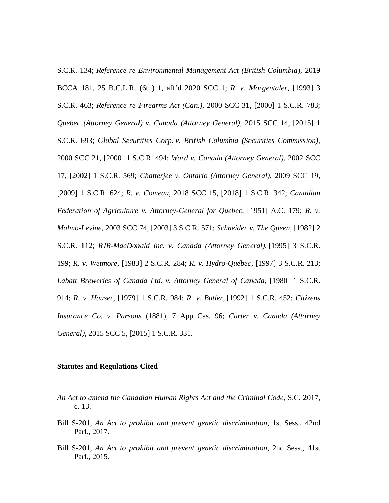S.C.R. 134; *Reference re Environmental Management Act (British Columbia*), 2019 BCCA 181, 25 B.C.L.R. (6th) 1, aff'd 2020 SCC 1; *R. v. Morgentaler*, [1993] 3 S.C.R. 463; *Reference re Firearms Act (Can.)*, 2000 SCC 31, [2000] 1 S.C.R. 783; *Quebec (Attorney General) v. Canada (Attorney General)*, 2015 SCC 14, [2015] 1 S.C.R. 693; *Global Securities Corp. v. British Columbia (Securities Commission)*, 2000 SCC 21, [2000] 1 S.C.R. 494; *Ward v. Canada (Attorney General)*, 2002 SCC 17, [2002] 1 S.C.R. 569; *Chatterjee v. Ontario (Attorney General)*, 2009 SCC 19, [2009] 1 S.C.R. 624; *R. v. Comeau*, 2018 SCC 15, [2018] 1 S.C.R. 342; *Canadian Federation of Agriculture v. Attorney-General for Quebec*, [1951] A.C. 179; *R. v. Malmo-Levine*, 2003 SCC 74, [2003] 3 S.C.R. 571; *Schneider v. The Queen*, [1982] 2 S.C.R. 112; *RJR-MacDonald Inc. v. Canada (Attorney General)*, [1995] 3 S.C.R. 199; *R. v. Wetmore*, [1983] 2 S.C.R. 284; *R. v. Hydro-Québec*, [1997] 3 S.C.R*.* 213; *Labatt Breweries of Canada Ltd. v. Attorney General of Canada*, [1980] 1 S.C.R. 914; *R. v. Hauser*, [1979] 1 S.C.R. 984; *R. v. Butler*, [1992] 1 S.C.R. 452; *Citizens Insurance Co. v. Parsons* (1881), 7 App. Cas. 96; *Carter v. Canada (Attorney General)*, 2015 SCC 5, [2015] 1 S.C.R. 331.

#### **Statutes and Regulations Cited**

- *An Act to amend the Canadian Human Rights Act and the Criminal Code*, S.C. 2017, c. 13.
- Bill S-201, *An Act to prohibit and prevent genetic discrimination*, 1st Sess., 42nd Parl., 2017.
- Bill S-201, *An Act to prohibit and prevent genetic discrimination*, 2nd Sess., 41st Parl., 2015.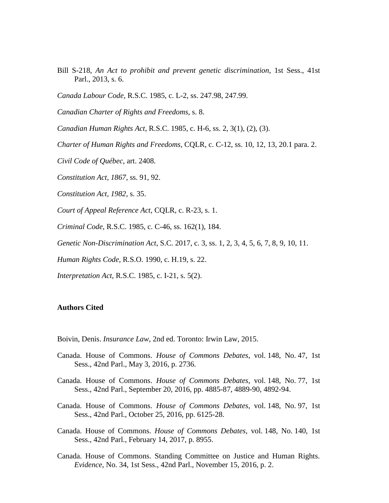- Bill S-218, *An Act to prohibit and prevent genetic discrimination*, 1st Sess., 41st Parl., 2013, s. 6.
- *Canada Labour Code*, R.S.C. 1985, c. L-2, ss. 247.98, 247.99.
- *Canadian Charter of Rights and Freedoms*, s. 8.
- *Canadian Human Rights Act*, R.S.C. 1985, c. H-6, ss. 2, 3(1), (2), (3).
- *Charter of Human Rights and Freedoms*, CQLR, c. C-12, ss. 10, 12, 13, 20.1 para. 2.
- *Civil Code of Québec*, art. 2408.
- *Constitution Act, 1867*, ss. 91, 92.
- *Constitution Act, 1982*, s. 35.
- *Court of Appeal Reference Act*, CQLR, c. R-23, s. 1.
- *Criminal Code*, R.S.C. 1985, c. C-46, ss. 162(1), 184.
- *Genetic Non-Discrimination Act*, S.C. 2017, c. 3, ss. 1, 2, 3, 4, 5, 6, 7, 8, 9, 10, 11.
- *Human Rights Code*, R.S.O. 1990, c. H.19, s. 22.
- *Interpretation Act*, R.S.C. 1985, c. I-21, s. 5(2).

#### **Authors Cited**

- Boivin, Denis. *Insurance Law*, 2nd ed. Toronto: Irwin Law, 2015.
- Canada. House of Commons. *House of Commons Debates*, vol. 148, No. 47, 1st Sess., 42nd Parl., May 3, 2016, p. 2736.
- Canada. House of Commons. *House of Commons Debates*, vol. 148, No. 77, 1st Sess., 42nd Parl., September 20, 2016, pp. 4885-87, 4889-90, 4892-94.
- Canada. House of Commons. *House of Commons Debates*, vol. 148, No. 97, 1st Sess., 42nd Parl., October 25, 2016, pp. 6125-28.
- Canada. House of Commons. *House of Commons Debates*, vol. 148, No. 140, 1st Sess., 42nd Parl., February 14, 2017, p. 8955.
- Canada. House of Commons. Standing Committee on Justice and Human Rights. *Evidence*, No. 34, 1st Sess., 42nd Parl., November 15, 2016, p. 2.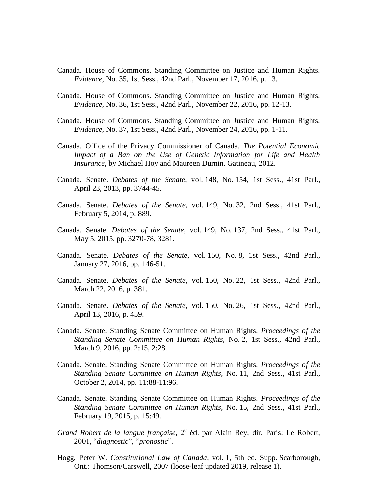- Canada. House of Commons. Standing Committee on Justice and Human Rights. *Evidence*, No. 35, 1st Sess., 42nd Parl., November 17, 2016, p. 13.
- Canada. House of Commons. Standing Committee on Justice and Human Rights. *Evidence*, No. 36, 1st Sess., 42nd Parl., November 22, 2016, pp. 12-13.
- Canada. House of Commons. Standing Committee on Justice and Human Rights. *Evidence*, No. 37, 1st Sess., 42nd Parl., November 24, 2016, pp. 1-11.
- Canada. Office of the Privacy Commissioner of Canada. *The Potential Economic Impact of a Ban on the Use of Genetic Information for Life and Health Insurance*, by Michael Hoy and Maureen Durnin. Gatineau, 2012.
- Canada. Senate. *Debates of the Senate*, vol. 148, No. 154, 1st Sess., 41st Parl., April 23, 2013, pp. 3744-45.
- Canada. Senate. *Debates of the Senate*, vol. 149, No. 32, 2nd Sess., 41st Parl., February 5, 2014, p. 889.
- Canada. Senate. *Debates of the Senate*, vol. 149, No. 137, 2nd Sess., 41st Parl., May 5, 2015, pp. 3270-78, 3281.
- Canada. Senate. *Debates of the Senate*, vol. 150, No. 8, 1st Sess., 42nd Parl., January 27, 2016, pp. 146-51.
- Canada. Senate. *Debates of the Senate*, vol. 150, No. 22, 1st Sess., 42nd Parl., March 22, 2016, p. 381.
- Canada. Senate. *Debates of the Senate*, vol. 150, No. 26, 1st Sess., 42nd Parl., April 13, 2016, p. 459.
- Canada. Senate. Standing Senate Committee on Human Rights. *Proceedings of the Standing Senate Committee on Human Rights*, No. 2, 1st Sess., 42nd Parl., March 9, 2016, pp. 2:15, 2:28.
- Canada. Senate. Standing Senate Committee on Human Rights. *Proceedings of the Standing Senate Committee on Human Rights*, No. 11, 2nd Sess., 41st Parl., October 2, 2014, pp. 11:88-11:96.
- Canada. Senate. Standing Senate Committee on Human Rights. *Proceedings of the Standing Senate Committee on Human Rights*, No. 15, 2nd Sess., 41st Parl., February 19, 2015, p. 15:49.
- Grand Robert de la langue française, 2<sup>e</sup> éd. par Alain Rey, dir. Paris: Le Robert, 2001, "*diagnostic*", "*pronostic*".
- Hogg, Peter W. *Constitutional Law of Canada*, vol. 1, 5th ed. Supp. Scarborough, Ont.: Thomson/Carswell, 2007 (loose-leaf updated 2019, release 1).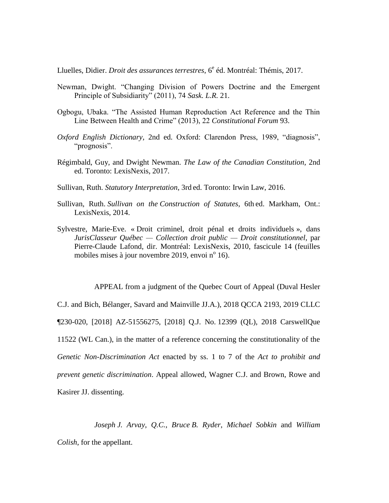Lluelles, Didier. *Droit des assurances terrestres*, 6<sup>e</sup> éd. Montréal: Thémis, 2017.

- Newman, Dwight. "Changing Division of Powers Doctrine and the Emergent Principle of Subsidiarity" (2011), 74 *Sask. L.R.* 21.
- Ogbogu, Ubaka. "The Assisted Human Reproduction Act Reference and the Thin Line Between Health and Crime" (2013), 22 *Constitutional Forum* 93.
- *Oxford English Dictionary*, 2nd ed. Oxford: Clarendon Press, 1989, "diagnosis", "prognosis".
- Régimbald, Guy, and Dwight Newman. *The Law of the Canadian Constitution*, 2nd ed. Toronto: LexisNexis, 2017.
- Sullivan, Ruth. *Statutory Interpretation*, 3rd ed. Toronto: Irwin Law, 2016.
- Sullivan, Ruth. *Sullivan on the Construction of Statutes*, 6th ed. Markham, Ont.: LexisNexis, 2014.
- Sylvestre, Marie-Eve. « Droit criminel, droit pénal et droits individuels », dans *JurisClasseur Québec — Collection droit public — Droit constitutionnel*, par Pierre-Claude Lafond, dir. Montréal: LexisNexis, 2010, fascicule 14 (feuilles mobiles mises à jour novembre 2019, envoi  $n^{\circ}$  16).

APPEAL from a judgment of the Quebec Court of Appeal (Duval Hesler

C.J. and Bich, Bélanger, Savard and Mainville JJ.A.), 2018 QCCA 2193, 2019 CLLC ¶230-020, [2018] AZ-51556275, [2018] Q.J. No. 12399 (QL), 2018 CarswellQue 11522 (WL Can.), in the matter of a reference concerning the constitutionality of the *Genetic Non-Discrimination Act* enacted by ss. 1 to 7 of the *Act to prohibit and prevent genetic discrimination*. Appeal allowed, Wagner C.J. and Brown, Rowe and Kasirer JJ. dissenting.

*Joseph J. Arvay*, *Q.C.*, *Bruce B. Ryder*, *Michael Sobkin* and *William Colish*, for the appellant.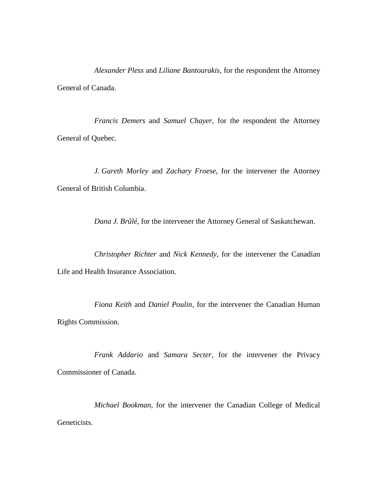*Alexander Pless* and *Liliane Bantourakis*, for the respondent the Attorney General of Canada.

*Francis Demers* and *Samuel Chayer*, for the respondent the Attorney General of Quebec.

*J. Gareth Morley* and *Zachary Froese*, for the intervener the Attorney General of British Columbia.

*Dana J. Brûlé*, for the intervener the Attorney General of Saskatchewan.

*Christopher Richter* and *Nick Kennedy*, for the intervener the Canadian Life and Health Insurance Association.

*Fiona Keith* and *Daniel Poulin*, for the intervener the Canadian Human Rights Commission.

*Frank Addario* and *Samara Secter*, for the intervener the Privacy Commissioner of Canada.

*Michael Bookman*, for the intervener the Canadian College of Medical Geneticists.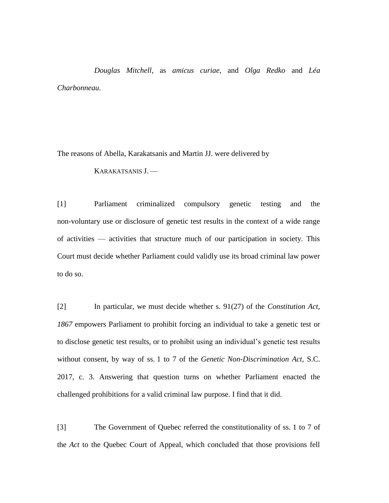*Douglas Mitchell*, as *amicus curiae*, and *Olga Redko* and *Léa Charbonneau*.

The reasons of Abella, Karakatsanis and Martin JJ. were delivered by

KARAKATSANIS J. —

[1] Parliament criminalized compulsory genetic testing and the non-voluntary use or disclosure of genetic test results in the context of a wide range of activities — activities that structure much of our participation in society. This Court must decide whether Parliament could validly use its broad criminal law power to do so.

[2] In particular, we must decide whether s. 91(27) of the *Constitution Act, 1867* empowers Parliament to prohibit forcing an individual to take a genetic test or to disclose genetic test results, or to prohibit using an individual's genetic test results without consent, by way of ss. 1 to 7 of the *Genetic Non-Discrimination Act*, S.C. 2017, c. 3. Answering that question turns on whether Parliament enacted the challenged prohibitions for a valid criminal law purpose. I find that it did.

[3] The Government of Quebec referred the constitutionality of ss. 1 to 7 of the *Act* to the Quebec Court of Appeal, which concluded that those provisions fell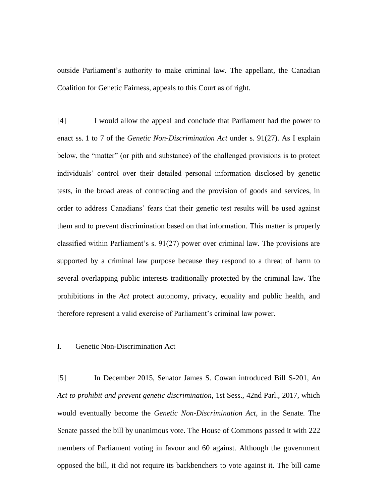outside Parliament's authority to make criminal law. The appellant, the Canadian Coalition for Genetic Fairness, appeals to this Court as of right.

[4] I would allow the appeal and conclude that Parliament had the power to enact ss. 1 to 7 of the *Genetic Non-Discrimination Act* under s. 91(27). As I explain below, the "matter" (or pith and substance) of the challenged provisions is to protect individuals' control over their detailed personal information disclosed by genetic tests, in the broad areas of contracting and the provision of goods and services, in order to address Canadians' fears that their genetic test results will be used against them and to prevent discrimination based on that information. This matter is properly classified within Parliament's s. 91(27) power over criminal law. The provisions are supported by a criminal law purpose because they respond to a threat of harm to several overlapping public interests traditionally protected by the criminal law. The prohibitions in the *Act* protect autonomy, privacy, equality and public health, and therefore represent a valid exercise of Parliament's criminal law power.

## I. Genetic Non-Discrimination Act

[5] In December 2015, Senator James S. Cowan introduced Bill S-201, *An Act to prohibit and prevent genetic discrimination*, 1st Sess., 42nd Parl., 2017, which would eventually become the *Genetic Non-Discrimination Act*, in the Senate. The Senate passed the bill by unanimous vote. The House of Commons passed it with 222 members of Parliament voting in favour and 60 against. Although the government opposed the bill, it did not require its backbenchers to vote against it. The bill came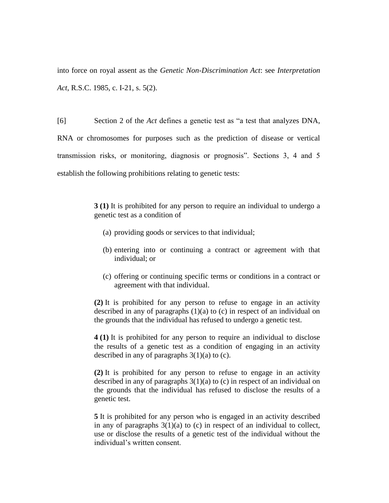into force on royal assent as the *Genetic Non-Discrimination Act*: see *Interpretation Act*, R.S.C. 1985, c. I-21, s. 5(2).

[6] Section 2 of the *Act* defines a genetic test as "a test that analyzes DNA, RNA or chromosomes for purposes such as the prediction of disease or vertical transmission risks, or monitoring, diagnosis or prognosis". Sections 3, 4 and 5 establish the following prohibitions relating to genetic tests:

> **3 (1)** It is prohibited for any person to require an individual to undergo a genetic test as a condition of

- (a) providing goods or services to that individual;
- (b) entering into or continuing a contract or agreement with that individual; or
- (c) offering or continuing specific terms or conditions in a contract or agreement with that individual.

**(2)** It is prohibited for any person to refuse to engage in an activity described in any of paragraphs (1)(a) to (c) in respect of an individual on the grounds that the individual has refused to undergo a genetic test.

**4 (1)** It is prohibited for any person to require an individual to disclose the results of a genetic test as a condition of engaging in an activity described in any of paragraphs  $3(1)(a)$  to (c).

**(2)** It is prohibited for any person to refuse to engage in an activity described in any of paragraphs  $3(1)(a)$  to (c) in respect of an individual on the grounds that the individual has refused to disclose the results of a genetic test.

**5** It is prohibited for any person who is engaged in an activity described in any of paragraphs  $3(1)(a)$  to (c) in respect of an individual to collect, use or disclose the results of a genetic test of the individual without the individual's written consent.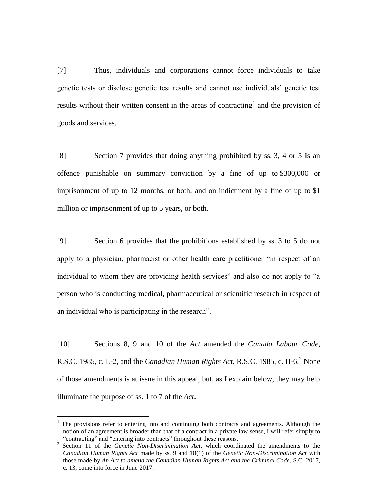[7] Thus, individuals and corporations cannot force individuals to take genetic tests or disclose genetic test results and cannot use individuals' genetic test results without their written consent in the areas of contracting  $\pm$  and the provision of goods and services.

[8] Section 7 provides that doing anything prohibited by ss. 3, 4 or 5 is an offence punishable on summary conviction by a fine of up to \$300,000 or imprisonment of up to 12 months, or both, and on indictment by a fine of up to \$1 million or imprisonment of up to 5 years, or both.

[9] Section 6 provides that the prohibitions established by ss. 3 to 5 do not apply to a physician, pharmacist or other health care practitioner "in respect of an individual to whom they are providing health services" and also do not apply to "a person who is conducting medical, pharmaceutical or scientific research in respect of an individual who is participating in the research".

[10] Sections 8, 9 and 10 of the *Act* amended the *Canada Labour Code*, R.S.C. 1985, c. L-2, and the *Canadian Human Rights Act*, R.S.C. 1985, c. H-6.<sup>2</sup> None of those amendments is at issue in this appeal, but, as I explain below, they may help illuminate the purpose of ss. 1 to 7 of the *Act*.

 $\overline{a}$ 

<sup>&</sup>lt;sup>1</sup> The provisions refer to entering into and continuing both contracts and agreements. Although the notion of an agreement is broader than that of a contract in a private law sense, I will refer simply to "contracting" and "entering into contracts" throughout these reasons.

<sup>&</sup>lt;sup>2</sup> Section 11 of the *Genetic Non-Discrimination Act*, which coordinated the amendments to the *Canadian Human Rights Act* made by ss. 9 and 10(1) of the *Genetic Non-Discrimination Act* with those made by *An Act to amend the Canadian Human Rights Act and the Criminal Code*, S.C. 2017, c. 13, came into force in June 2017.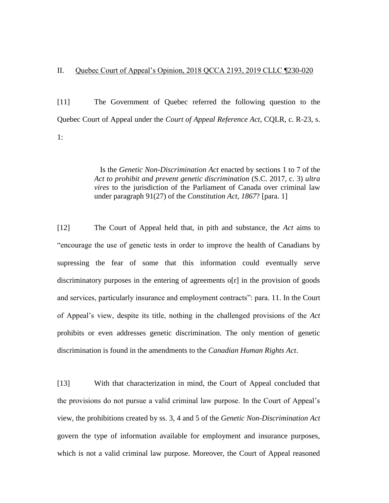[11] The Government of Quebec referred the following question to the Quebec Court of Appeal under the *Court of Appeal Reference Act*, CQLR, c. R-23, s. 1:

> Is the *Genetic Non-Discrimination Act* enacted by sections 1 to 7 of the *Act to prohibit and prevent genetic discrimination* (S.C. 2017, c. 3) *ultra vires* to the jurisdiction of the Parliament of Canada over criminal law under paragraph 91(27) of the *Constitution Act, 1867*? [para. 1]

[12] The Court of Appeal held that, in pith and substance, the *Act* aims to "encourage the use of genetic tests in order to improve the health of Canadians by supressing the fear of some that this information could eventually serve discriminatory purposes in the entering of agreements o[r] in the provision of goods and services, particularly insurance and employment contracts": para. 11. In the Court of Appeal's view, despite its title, nothing in the challenged provisions of the *Act* prohibits or even addresses genetic discrimination. The only mention of genetic discrimination is found in the amendments to the *Canadian Human Rights Act*.

[13] With that characterization in mind, the Court of Appeal concluded that the provisions do not pursue a valid criminal law purpose. In the Court of Appeal's view, the prohibitions created by ss. 3, 4 and 5 of the *Genetic Non-Discrimination Act* govern the type of information available for employment and insurance purposes, which is not a valid criminal law purpose. Moreover, the Court of Appeal reasoned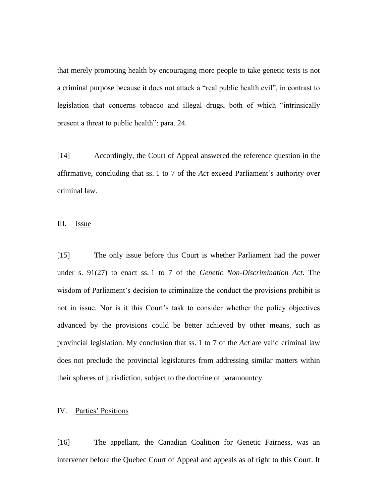that merely promoting health by encouraging more people to take genetic tests is not a criminal purpose because it does not attack a "real public health evil", in contrast to legislation that concerns tobacco and illegal drugs, both of which "intrinsically present a threat to public health": para. 24.

[14] Accordingly, the Court of Appeal answered the reference question in the affirmative, concluding that ss. 1 to 7 of the *Act* exceed Parliament's authority over criminal law.

III. Issue

[15] The only issue before this Court is whether Parliament had the power under s. 91(27) to enact ss. 1 to 7 of the *Genetic Non-Discrimination Act*. The wisdom of Parliament's decision to criminalize the conduct the provisions prohibit is not in issue. Nor is it this Court's task to consider whether the policy objectives advanced by the provisions could be better achieved by other means, such as provincial legislation. My conclusion that ss. 1 to 7 of the *Act* are valid criminal law does not preclude the provincial legislatures from addressing similar matters within their spheres of jurisdiction, subject to the doctrine of paramountcy.

## IV. Parties' Positions

[16] The appellant, the Canadian Coalition for Genetic Fairness, was an intervener before the Quebec Court of Appeal and appeals as of right to this Court. It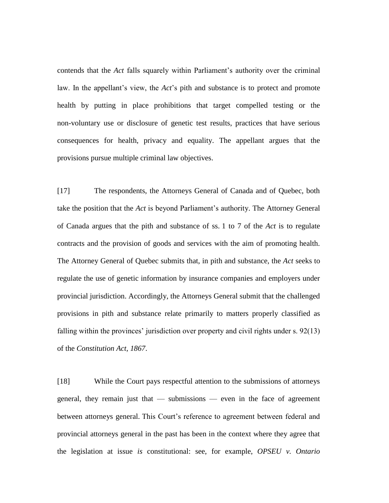contends that the *Act* falls squarely within Parliament's authority over the criminal law. In the appellant's view, the *Act*'s pith and substance is to protect and promote health by putting in place prohibitions that target compelled testing or the non-voluntary use or disclosure of genetic test results, practices that have serious consequences for health, privacy and equality. The appellant argues that the provisions pursue multiple criminal law objectives.

[17] The respondents, the Attorneys General of Canada and of Quebec, both take the position that the *Act* is beyond Parliament's authority. The Attorney General of Canada argues that the pith and substance of ss. 1 to 7 of the *Act* is to regulate contracts and the provision of goods and services with the aim of promoting health. The Attorney General of Quebec submits that, in pith and substance, the *Act* seeks to regulate the use of genetic information by insurance companies and employers under provincial jurisdiction. Accordingly, the Attorneys General submit that the challenged provisions in pith and substance relate primarily to matters properly classified as falling within the provinces' jurisdiction over property and civil rights under s. 92(13) of the *Constitution Act, 1867*.

[18] While the Court pays respectful attention to the submissions of attorneys general, they remain just that — submissions — even in the face of agreement between attorneys general. This Court's reference to agreement between federal and provincial attorneys general in the past has been in the context where they agree that the legislation at issue *is* constitutional: see, for example, *OPSEU v. Ontario*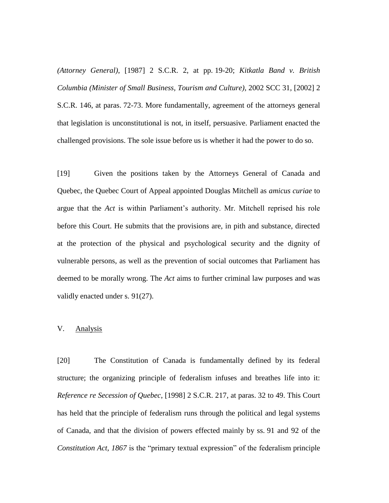*(Attorney General)*, [1987] 2 S.C.R. 2, at pp. 19-20; *Kitkatla Band v. British Columbia (Minister of Small Business, Tourism and Culture)*, 2002 SCC 31, [2002] 2 S.C.R. 146, at paras. 72-73. More fundamentally, agreement of the attorneys general that legislation is unconstitutional is not, in itself, persuasive. Parliament enacted the challenged provisions. The sole issue before us is whether it had the power to do so.

[19] Given the positions taken by the Attorneys General of Canada and Quebec, the Quebec Court of Appeal appointed Douglas Mitchell as *amicus curiae* to argue that the *Act* is within Parliament's authority. Mr. Mitchell reprised his role before this Court. He submits that the provisions are, in pith and substance, directed at the protection of the physical and psychological security and the dignity of vulnerable persons, as well as the prevention of social outcomes that Parliament has deemed to be morally wrong. The *Act* aims to further criminal law purposes and was validly enacted under s. 91(27).

# V. Analysis

[20] The Constitution of Canada is fundamentally defined by its federal structure; the organizing principle of federalism infuses and breathes life into it: *Reference re Secession of Quebec*, [1998] 2 S.C.R. 217, at paras. 32 to 49. This Court has held that the principle of federalism runs through the political and legal systems of Canada, and that the division of powers effected mainly by ss. 91 and 92 of the *Constitution Act, 1867* is the "primary textual expression" of the federalism principle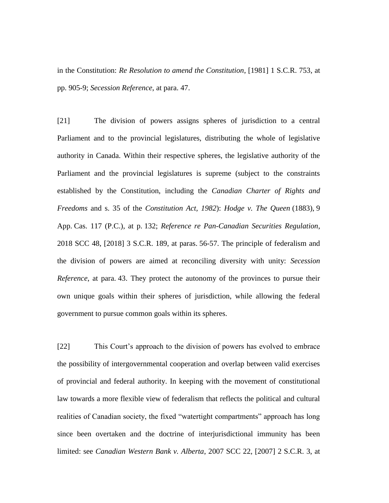in the Constitution: *Re Resolution to amend the Constitution*, [1981] 1 S.C.R. 753, at pp. 905-9; *Secession Reference*, at para. 47.

[21] The division of powers assigns spheres of jurisdiction to a central Parliament and to the provincial legislatures, distributing the whole of legislative authority in Canada. Within their respective spheres, the legislative authority of the Parliament and the provincial legislatures is supreme (subject to the constraints established by the Constitution, including the *Canadian Charter of Rights and Freedoms* and s. 35 of the *Constitution Act, 1982*): *Hodge v. The Queen* (1883), 9 App. Cas. 117 (P.C.), at p. 132; *Reference re Pan-Canadian Securities Regulation*, 2018 SCC 48, [2018] 3 S.C.R. 189, at paras. 56-57. The principle of federalism and the division of powers are aimed at reconciling diversity with unity: *Secession Reference*, at para. 43. They protect the autonomy of the provinces to pursue their own unique goals within their spheres of jurisdiction, while allowing the federal government to pursue common goals within its spheres.

[22] This Court's approach to the division of powers has evolved to embrace the possibility of intergovernmental cooperation and overlap between valid exercises of provincial and federal authority. In keeping with the movement of constitutional law towards a more flexible view of federalism that reflects the political and cultural realities of Canadian society, the fixed "watertight compartments" approach has long since been overtaken and the doctrine of interjurisdictional immunity has been limited: see *Canadian Western Bank v. Alberta*, 2007 SCC 22, [2007] 2 S.C.R. 3, at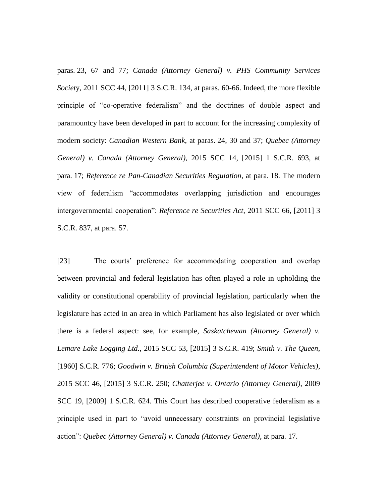paras. 23, 67 and 77; *Canada (Attorney General) v. PHS Community Services Societ*y, 2011 SCC 44, [2011] 3 S.C.R. 134, at paras. 60-66. Indeed, the more flexible principle of "co-operative federalism" and the doctrines of double aspect and paramountcy have been developed in part to account for the increasing complexity of modern society: *Canadian Western Bank*, at paras. 24, 30 and 37; *Quebec (Attorney General) v. Canada (Attorney General)*, 2015 SCC 14, [2015] 1 S.C.R. 693, at para. 17; *Reference re Pan-Canadian Securities Regulation*, at para. 18. The modern view of federalism "accommodates overlapping jurisdiction and encourages intergovernmental cooperation": *Reference re Securities Act*, 2011 SCC 66, [2011] 3 S.C.R. 837, at para. 57.

[23] The courts' preference for accommodating cooperation and overlap between provincial and federal legislation has often played a role in upholding the validity or constitutional operability of provincial legislation, particularly when the legislature has acted in an area in which Parliament has also legislated or over which there is a federal aspect: see, for example, *Saskatchewan (Attorney General) v. Lemare Lake Logging Ltd.*, 2015 SCC 53, [2015] 3 S.C.R. 419; *Smith v. The Queen*, [1960] S.C.R. 776; *Goodwin v. British Columbia (Superintendent of Motor Vehicles)*, 2015 SCC 46, [2015] 3 S.C.R. 250; *Chatterjee v. Ontario (Attorney General)*, 2009 SCC 19, [2009] 1 S.C.R. 624. This Court has described cooperative federalism as a principle used in part to "avoid unnecessary constraints on provincial legislative action": *Quebec (Attorney General) v. Canada (Attorney General)*, at para. 17.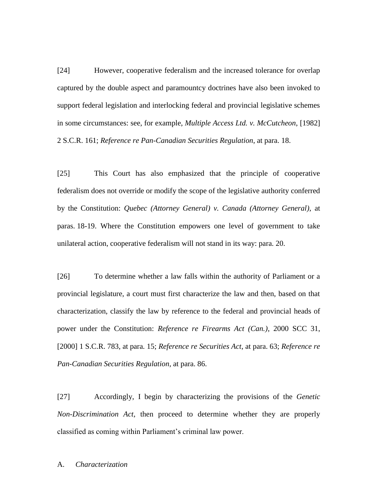[24] However, cooperative federalism and the increased tolerance for overlap captured by the double aspect and paramountcy doctrines have also been invoked to support federal legislation and interlocking federal and provincial legislative schemes in some circumstances: see, for example, *Multiple Access Ltd. v. McCutcheon*, [1982] 2 S.C.R. 161; *Reference re Pan-Canadian Securities Regulation*, at para. 18.

[25] This Court has also emphasized that the principle of cooperative federalism does not override or modify the scope of the legislative authority conferred by the Constitution: *Quebec (Attorney General) v. Canada (Attorney General)*, at paras. 18-19. Where the Constitution empowers one level of government to take unilateral action, cooperative federalism will not stand in its way: para. 20.

[26] To determine whether a law falls within the authority of Parliament or a provincial legislature, a court must first characterize the law and then, based on that characterization, classify the law by reference to the federal and provincial heads of power under the Constitution: *Reference re Firearms Act (Can.)*, 2000 SCC 31, [2000] 1 S.C.R. 783, at para. 15; *Reference re Securities Act*, at para. 63; *Reference re Pan-Canadian Securities Regulation*, at para. 86.

[27] Accordingly, I begin by characterizing the provisions of the *Genetic Non-Discrimination Act*, then proceed to determine whether they are properly classified as coming within Parliament's criminal law power.

A. *Characterization*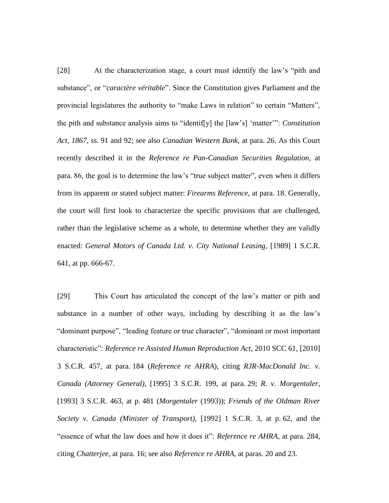[28] At the characterization stage, a court must identify the law's "pith and substance", or "*caractère véritable*". Since the Constitution gives Parliament and the provincial legislatures the authority to "make Laws in relation" to certain "Matters", the pith and substance analysis aims to "identif[y] the [law's] 'matter'": *Constitution Act, 1867*, ss. 91 and 92; see also *Canadian Western Bank*, at para. 26. As this Court recently described it in the *Reference re Pan-Canadian Securities Regulation*, at para. 86, the goal is to determine the law's "true subject matter", even when it differs from its apparent or stated subject matter: *Firearms Reference*, at para. 18. Generally, the court will first look to characterize the specific provisions that are challenged, rather than the legislative scheme as a whole, to determine whether they are validly enacted: *General Motors of Canada Ltd. v. City National Leasing*, [1989] 1 S.C.R. 641, at pp. 666-67.

[29] This Court has articulated the concept of the law's matter or pith and substance in a number of other ways, including by describing it as the law's "dominant purpose", "leading feature or true character", "dominant or most important characteristic": *Reference re Assisted Human Reproduction Act*, 2010 SCC 61, [2010] 3 S.C.R. 457, at para. 184 (*Reference re AHRA*), citing *RJR-MacDonald Inc. v. Canada (Attorney General)*, [1995] 3 S.C.R. 199, at para. 29; *R. v. Morgentaler*, [1993] 3 S.C.R. 463, at p. 481 (*Morgentaler* (1993)); *Friends of the Oldman River Society v. Canada (Minister of Transport)*, [1992] 1 S.C.R. 3, at p. 62, and the "essence of what the law does and how it does it": *Reference re AHRA*, at para. 284, citing *Chatterjee*, at para. 16; see also *Reference re AHRA*, at paras. 20 and 23.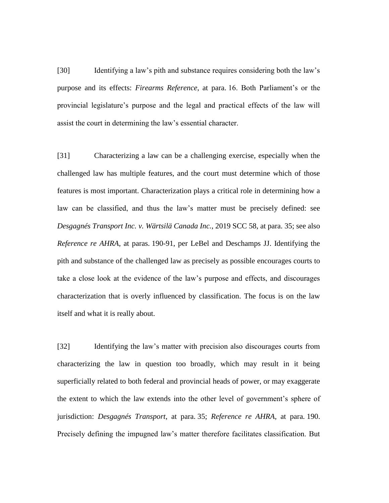[30] Identifying a law's pith and substance requires considering both the law's purpose and its effects: *Firearms Reference*, at para. 16. Both Parliament's or the provincial legislature's purpose and the legal and practical effects of the law will assist the court in determining the law's essential character.

[31] Characterizing a law can be a challenging exercise, especially when the challenged law has multiple features, and the court must determine which of those features is most important. Characterization plays a critical role in determining how a law can be classified, and thus the law's matter must be precisely defined: see *Desgagnés Transport Inc. v. Wärtsilä Canada Inc.*, 2019 SCC 58, at para. 35; see also *Reference re AHRA*, at paras. 190-91, per LeBel and Deschamps JJ. Identifying the pith and substance of the challenged law as precisely as possible encourages courts to take a close look at the evidence of the law's purpose and effects, and discourages characterization that is overly influenced by classification. The focus is on the law itself and what it is really about.

[32] Identifying the law's matter with precision also discourages courts from characterizing the law in question too broadly, which may result in it being superficially related to both federal and provincial heads of power, or may exaggerate the extent to which the law extends into the other level of government's sphere of jurisdiction: *Desgagnés Transport*, at para. 35; *Reference re AHRA*, at para. 190. Precisely defining the impugned law's matter therefore facilitates classification. But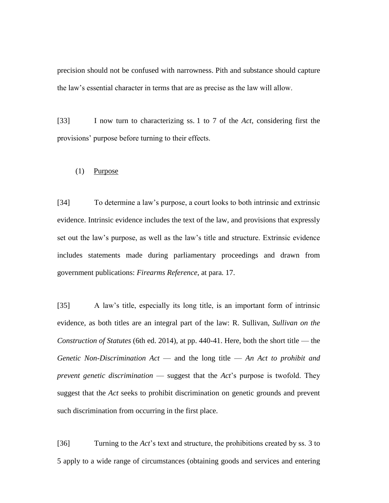precision should not be confused with narrowness. Pith and substance should capture the law's essential character in terms that are as precise as the law will allow.

[33] I now turn to characterizing ss. 1 to 7 of the *Act*, considering first the provisions' purpose before turning to their effects.

#### (1) Purpose

[34] To determine a law's purpose, a court looks to both intrinsic and extrinsic evidence. Intrinsic evidence includes the text of the law, and provisions that expressly set out the law's purpose, as well as the law's title and structure. Extrinsic evidence includes statements made during parliamentary proceedings and drawn from government publications: *Firearms Reference*, at para. 17.

[35] A law's title, especially its long title, is an important form of intrinsic evidence, as both titles are an integral part of the law: R. Sullivan, *Sullivan on the Construction of Statutes* (6th ed. 2014), at pp. 440-41. Here, both the short title — the *Genetic Non-Discrimination Act* — and the long title — *An Act to prohibit and prevent genetic discrimination* — suggest that the *Act*'s purpose is twofold. They suggest that the *Act* seeks to prohibit discrimination on genetic grounds and prevent such discrimination from occurring in the first place.

[36] Turning to the *Act*'s text and structure, the prohibitions created by ss. 3 to 5 apply to a wide range of circumstances (obtaining goods and services and entering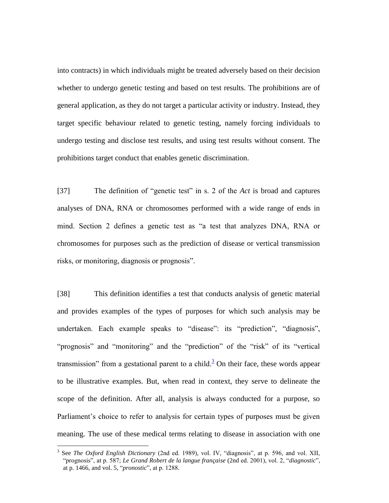into contracts) in which individuals might be treated adversely based on their decision whether to undergo genetic testing and based on test results. The prohibitions are of general application, as they do not target a particular activity or industry. Instead, they target specific behaviour related to genetic testing, namely forcing individuals to undergo testing and disclose test results, and using test results without consent. The prohibitions target conduct that enables genetic discrimination.

[37] The definition of "genetic test" in s. 2 of the *Act* is broad and captures analyses of DNA, RNA or chromosomes performed with a wide range of ends in mind. Section 2 defines a genetic test as "a test that analyzes DNA, RNA or chromosomes for purposes such as the prediction of disease or vertical transmission risks, or monitoring, diagnosis or prognosis".

[38] This definition identifies a test that conducts analysis of genetic material and provides examples of the types of purposes for which such analysis may be undertaken. Each example speaks to "disease": its "prediction", "diagnosis", "prognosis" and "monitoring" and the "prediction" of the "risk" of its "vertical transmission" from a gestational parent to a child.<sup>3</sup> On their face, these words appear to be illustrative examples. But, when read in context, they serve to delineate the scope of the definition. After all, analysis is always conducted for a purpose, so Parliament's choice to refer to analysis for certain types of purposes must be given meaning. The use of these medical terms relating to disease in association with one

 $\overline{a}$ 

<sup>&</sup>lt;sup>3</sup> See *The Oxford English Dictionary* (2nd ed. 1989), vol. IV, "diagnosis", at p. 596, and vol. XII, "prognosis", at p. 587; *Le Grand Robert de la langue française* (2nd ed. 2001), vol. 2, "*diagnostic*", at p. 1466, and vol. 5, "*pronostic*", at p. 1288.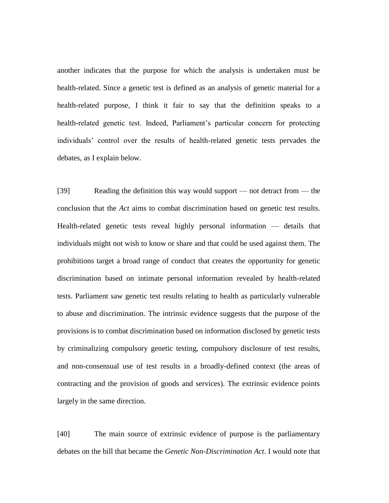another indicates that the purpose for which the analysis is undertaken must be health-related. Since a genetic test is defined as an analysis of genetic material for a health-related purpose, I think it fair to say that the definition speaks to a health-related genetic test. Indeed, Parliament's particular concern for protecting individuals' control over the results of health-related genetic tests pervades the debates, as I explain below.

[39] Reading the definition this way would support — not detract from — the conclusion that the *Act* aims to combat discrimination based on genetic test results. Health-related genetic tests reveal highly personal information — details that individuals might not wish to know or share and that could be used against them. The prohibitions target a broad range of conduct that creates the opportunity for genetic discrimination based on intimate personal information revealed by health-related tests. Parliament saw genetic test results relating to health as particularly vulnerable to abuse and discrimination. The intrinsic evidence suggests that the purpose of the provisions is to combat discrimination based on information disclosed by genetic tests by criminalizing compulsory genetic testing, compulsory disclosure of test results, and non-consensual use of test results in a broadly-defined context (the areas of contracting and the provision of goods and services). The extrinsic evidence points largely in the same direction.

[40] The main source of extrinsic evidence of purpose is the parliamentary debates on the bill that became the *Genetic Non-Discrimination Act*. I would note that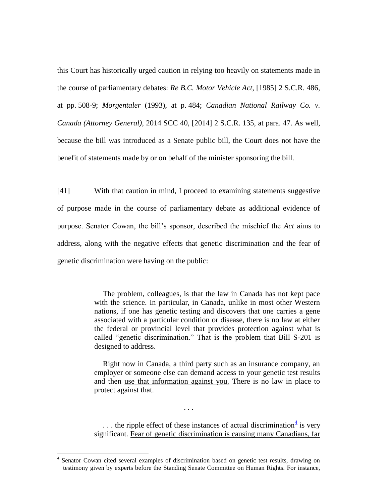this Court has historically urged caution in relying too heavily on statements made in the course of parliamentary debates: *Re B.C. Motor Vehicle Act*, [1985] 2 S.C.R. 486, at pp. 508-9; *Morgentaler* (1993), at p. 484; *Canadian National Railway Co. v. Canada (Attorney General)*, 2014 SCC 40, [2014] 2 S.C.R. 135, at para. 47. As well, because the bill was introduced as a Senate public bill, the Court does not have the benefit of statements made by or on behalf of the minister sponsoring the bill.

[41] With that caution in mind, I proceed to examining statements suggestive of purpose made in the course of parliamentary debate as additional evidence of purpose. Senator Cowan, the bill's sponsor, described the mischief the *Act* aims to address, along with the negative effects that genetic discrimination and the fear of genetic discrimination were having on the public:

> The problem, colleagues, is that the law in Canada has not kept pace with the science. In particular, in Canada, unlike in most other Western nations, if one has genetic testing and discovers that one carries a gene associated with a particular condition or disease, there is no law at either the federal or provincial level that provides protection against what is called "genetic discrimination." That is the problem that Bill S-201 is designed to address.

> Right now in Canada, a third party such as an insurance company, an employer or someone else can demand access to your genetic test results and then use that information against you. There is no law in place to protect against that.

> ... the ripple effect of these instances of actual discrimination<sup>4</sup> is very significant. Fear of genetic discrimination is causing many Canadians, far

 $\overline{a}$ 

. . .

<sup>4</sup> Senator Cowan cited several examples of discrimination based on genetic test results, drawing on testimony given by experts before the Standing Senate Committee on Human Rights. For instance,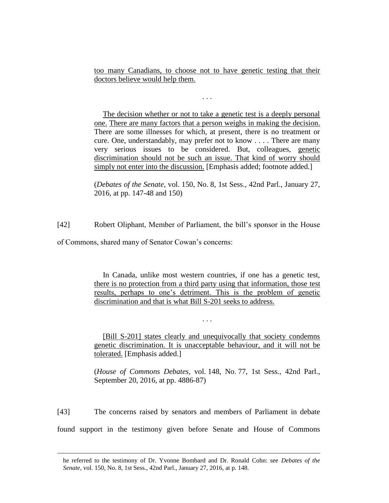too many Canadians, to choose not to have genetic testing that their doctors believe would help them.

. . .

The decision whether or not to take a genetic test is a deeply personal one. There are many factors that a person weighs in making the decision. There are some illnesses for which, at present, there is no treatment or cure. One, understandably, may prefer not to know . . . . There are many very serious issues to be considered. But, colleagues, genetic discrimination should not be such an issue. That kind of worry should simply not enter into the discussion. [Emphasis added; footnote added.]

(*Debates of the Senate*, vol. 150, No. 8, 1st Sess., 42nd Parl., January 27, 2016, at pp. 147-48 and 150)

[42] Robert Oliphant, Member of Parliament, the bill's sponsor in the House

of Commons, shared many of Senator Cowan's concerns:

 $\overline{a}$ 

In Canada, unlike most western countries, if one has a genetic test, there is no protection from a third party using that information, those test results, perhaps to one's detriment. This is the problem of genetic discrimination and that is what Bill S-201 seeks to address.

[Bill S-201] states clearly and unequivocally that society condemns genetic discrimination. It is unacceptable behaviour, and it will not be tolerated. [Emphasis added.]

. . .

(*House of Commons Debates*, vol. 148, No. 77, 1st Sess., 42nd Parl., September 20, 2016, at pp. 4886-87)

[43] The concerns raised by senators and members of Parliament in debate found support in the testimony given before Senate and House of Commons

he referred to the testimony of Dr. Yvonne Bombard and Dr. Ronald Cohn: see *Debates of the Senate*, vol. 150, No. 8, 1st Sess., 42nd Parl., January 27, 2016, at p. 148.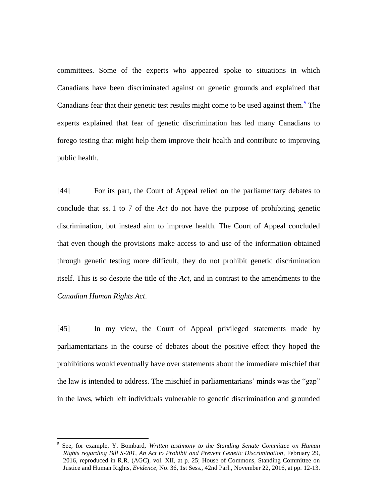committees. Some of the experts who appeared spoke to situations in which Canadians have been discriminated against on genetic grounds and explained that Canadians fear that their genetic test results might come to be used against them.<sup>5</sup> The experts explained that fear of genetic discrimination has led many Canadians to forego testing that might help them improve their health and contribute to improving public health.

[44] For its part, the Court of Appeal relied on the parliamentary debates to conclude that ss. 1 to 7 of the *Act* do not have the purpose of prohibiting genetic discrimination, but instead aim to improve health. The Court of Appeal concluded that even though the provisions make access to and use of the information obtained through genetic testing more difficult, they do not prohibit genetic discrimination itself. This is so despite the title of the *Act*, and in contrast to the amendments to the *Canadian Human Rights Act*.

[45] In my view, the Court of Appeal privileged statements made by parliamentarians in the course of debates about the positive effect they hoped the prohibitions would eventually have over statements about the immediate mischief that the law is intended to address. The mischief in parliamentarians' minds was the "gap" in the laws, which left individuals vulnerable to genetic discrimination and grounded

 $\overline{a}$ 

<sup>5</sup> See, for example, Y. Bombard, *Written testimony to the Standing Senate Committee on Human Rights regarding Bill S-201, An Act to Prohibit and Prevent Genetic Discrimination*, February 29, 2016, reproduced in R.R. (AGC), vol. XII, at p. 25; House of Commons, Standing Committee on Justice and Human Rights, *Evidence*, No. 36, 1st Sess., 42nd Parl., November 22, 2016, at pp. 12-13.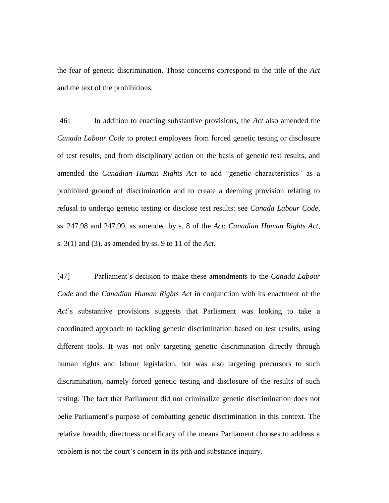the fear of genetic discrimination. Those concerns correspond to the title of the *Act* and the text of the prohibitions.

[46] In addition to enacting substantive provisions, the *Act* also amended the *Canada Labour Code* to protect employees from forced genetic testing or disclosure of test results, and from disciplinary action on the basis of genetic test results, and amended the *Canadian Human Rights Act* to add "genetic characteristics" as a prohibited ground of discrimination and to create a deeming provision relating to refusal to undergo genetic testing or disclose test results: see *Canada Labour Code*, ss. 247.98 and 247.99, as amended by s. 8 of the *Act*; *Canadian Human Rights Act*, s. 3(1) and (3), as amended by ss. 9 to 11 of the *Act*.

[47] Parliament's decision to make these amendments to the *Canada Labour Code* and the *Canadian Human Rights Act* in conjunction with its enactment of the *Act*'s substantive provisions suggests that Parliament was looking to take a coordinated approach to tackling genetic discrimination based on test results, using different tools. It was not only targeting genetic discrimination directly through human rights and labour legislation, but was also targeting precursors to such discrimination, namely forced genetic testing and disclosure of the results of such testing. The fact that Parliament did not criminalize genetic discrimination does not belie Parliament's purpose of combatting genetic discrimination in this context. The relative breadth, directness or efficacy of the means Parliament chooses to address a problem is not the court's concern in its pith and substance inquiry.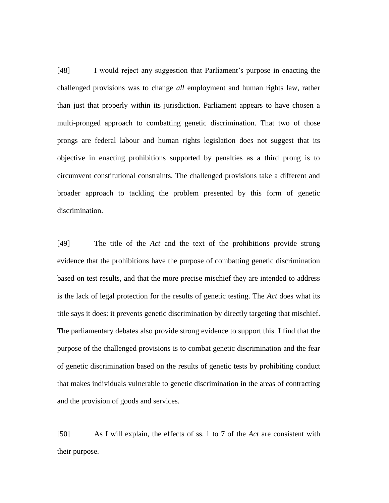[48] I would reject any suggestion that Parliament's purpose in enacting the challenged provisions was to change *all* employment and human rights law, rather than just that properly within its jurisdiction. Parliament appears to have chosen a multi-pronged approach to combatting genetic discrimination. That two of those prongs are federal labour and human rights legislation does not suggest that its objective in enacting prohibitions supported by penalties as a third prong is to circumvent constitutional constraints. The challenged provisions take a different and broader approach to tackling the problem presented by this form of genetic discrimination.

[49] The title of the *Act* and the text of the prohibitions provide strong evidence that the prohibitions have the purpose of combatting genetic discrimination based on test results, and that the more precise mischief they are intended to address is the lack of legal protection for the results of genetic testing. The *Act* does what its title says it does: it prevents genetic discrimination by directly targeting that mischief. The parliamentary debates also provide strong evidence to support this. I find that the purpose of the challenged provisions is to combat genetic discrimination and the fear of genetic discrimination based on the results of genetic tests by prohibiting conduct that makes individuals vulnerable to genetic discrimination in the areas of contracting and the provision of goods and services.

[50] As I will explain, the effects of ss. 1 to 7 of the *Act* are consistent with their purpose.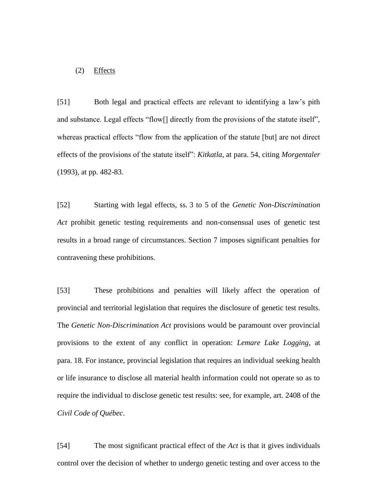#### (2) Effects

[51] Both legal and practical effects are relevant to identifying a law's pith and substance. Legal effects "flow[] directly from the provisions of the statute itself", whereas practical effects "flow from the application of the statute [but] are not direct effects of the provisions of the statute itself": *Kitkatla*, at para. 54, citing *Morgentaler* (1993), at pp. 482-83.

[52] Starting with legal effects, ss. 3 to 5 of the *Genetic Non-Discrimination Act* prohibit genetic testing requirements and non-consensual uses of genetic test results in a broad range of circumstances. Section 7 imposes significant penalties for contravening these prohibitions.

[53] These prohibitions and penalties will likely affect the operation of provincial and territorial legislation that requires the disclosure of genetic test results. The *Genetic Non-Discrimination Act* provisions would be paramount over provincial provisions to the extent of any conflict in operation: *Lemare Lake Logging*, at para. 18. For instance, provincial legislation that requires an individual seeking health or life insurance to disclose all material health information could not operate so as to require the individual to disclose genetic test results: see, for example, art. 2408 of the *Civil Code of Québec*.

[54] The most significant practical effect of the *Act* is that it gives individuals control over the decision of whether to undergo genetic testing and over access to the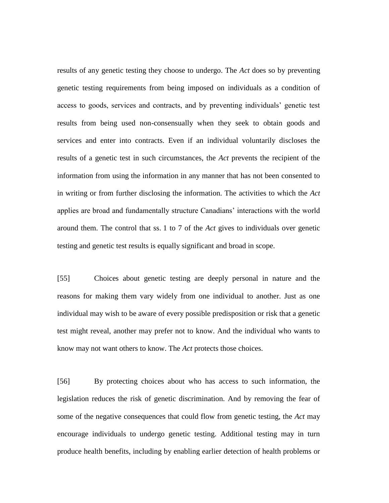results of any genetic testing they choose to undergo. The *Act* does so by preventing genetic testing requirements from being imposed on individuals as a condition of access to goods, services and contracts, and by preventing individuals' genetic test results from being used non-consensually when they seek to obtain goods and services and enter into contracts. Even if an individual voluntarily discloses the results of a genetic test in such circumstances, the *Act* prevents the recipient of the information from using the information in any manner that has not been consented to in writing or from further disclosing the information. The activities to which the *Act* applies are broad and fundamentally structure Canadians' interactions with the world around them. The control that ss. 1 to 7 of the *Act* gives to individuals over genetic testing and genetic test results is equally significant and broad in scope.

[55] Choices about genetic testing are deeply personal in nature and the reasons for making them vary widely from one individual to another. Just as one individual may wish to be aware of every possible predisposition or risk that a genetic test might reveal, another may prefer not to know. And the individual who wants to know may not want others to know. The *Act* protects those choices.

[56] By protecting choices about who has access to such information, the legislation reduces the risk of genetic discrimination. And by removing the fear of some of the negative consequences that could flow from genetic testing, the *Act* may encourage individuals to undergo genetic testing. Additional testing may in turn produce health benefits, including by enabling earlier detection of health problems or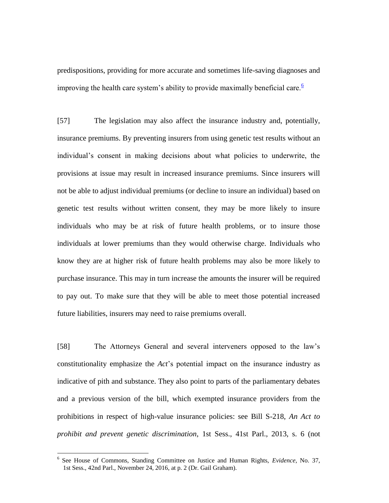predispositions, providing for more accurate and sometimes life-saving diagnoses and improving the health care system's ability to provide maximally beneficial care.<sup> $6$ </sup>

[57] The legislation may also affect the insurance industry and, potentially, insurance premiums. By preventing insurers from using genetic test results without an individual's consent in making decisions about what policies to underwrite, the provisions at issue may result in increased insurance premiums. Since insurers will not be able to adjust individual premiums (or decline to insure an individual) based on genetic test results without written consent, they may be more likely to insure individuals who may be at risk of future health problems, or to insure those individuals at lower premiums than they would otherwise charge. Individuals who know they are at higher risk of future health problems may also be more likely to purchase insurance. This may in turn increase the amounts the insurer will be required to pay out. To make sure that they will be able to meet those potential increased future liabilities, insurers may need to raise premiums overall.

[58] The Attorneys General and several interveners opposed to the law's constitutionality emphasize the *Act*'s potential impact on the insurance industry as indicative of pith and substance. They also point to parts of the parliamentary debates and a previous version of the bill, which exempted insurance providers from the prohibitions in respect of high-value insurance policies: see Bill S-218, *An Act to prohibit and prevent genetic discrimination*, 1st Sess., 41st Parl., 2013, s. 6 (not

 $\overline{a}$ 

<sup>6</sup> See House of Commons, Standing Committee on Justice and Human Rights, *Evidence*, No. 37, 1st Sess., 42nd Parl., November 24, 2016, at p. 2 (Dr. Gail Graham).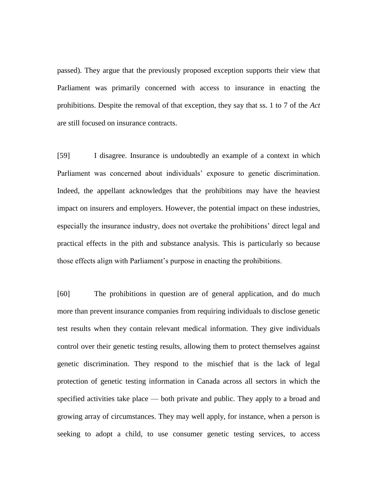passed). They argue that the previously proposed exception supports their view that Parliament was primarily concerned with access to insurance in enacting the prohibitions. Despite the removal of that exception, they say that ss. 1 to 7 of the *Act* are still focused on insurance contracts.

[59] I disagree. Insurance is undoubtedly an example of a context in which Parliament was concerned about individuals' exposure to genetic discrimination. Indeed, the appellant acknowledges that the prohibitions may have the heaviest impact on insurers and employers. However, the potential impact on these industries, especially the insurance industry, does not overtake the prohibitions' direct legal and practical effects in the pith and substance analysis. This is particularly so because those effects align with Parliament's purpose in enacting the prohibitions.

[60] The prohibitions in question are of general application, and do much more than prevent insurance companies from requiring individuals to disclose genetic test results when they contain relevant medical information. They give individuals control over their genetic testing results, allowing them to protect themselves against genetic discrimination. They respond to the mischief that is the lack of legal protection of genetic testing information in Canada across all sectors in which the specified activities take place — both private and public. They apply to a broad and growing array of circumstances. They may well apply, for instance, when a person is seeking to adopt a child, to use consumer genetic testing services, to access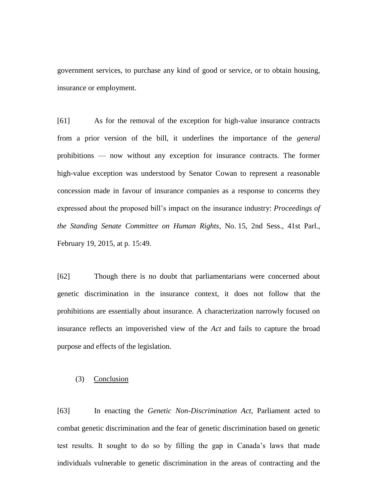government services, to purchase any kind of good or service, or to obtain housing, insurance or employment.

[61] As for the removal of the exception for high-value insurance contracts from a prior version of the bill, it underlines the importance of the *general* prohibitions — now without any exception for insurance contracts. The former high-value exception was understood by Senator Cowan to represent a reasonable concession made in favour of insurance companies as a response to concerns they expressed about the proposed bill's impact on the insurance industry: *Proceedings of the Standing Senate Committee on Human Rights*, No. 15, 2nd Sess., 41st Parl., February 19, 2015, at p. 15:49.

[62] Though there is no doubt that parliamentarians were concerned about genetic discrimination in the insurance context, it does not follow that the prohibitions are essentially about insurance. A characterization narrowly focused on insurance reflects an impoverished view of the *Act* and fails to capture the broad purpose and effects of the legislation.

# (3) Conclusion

[63] In enacting the *Genetic Non-Discrimination Act*, Parliament acted to combat genetic discrimination and the fear of genetic discrimination based on genetic test results. It sought to do so by filling the gap in Canada's laws that made individuals vulnerable to genetic discrimination in the areas of contracting and the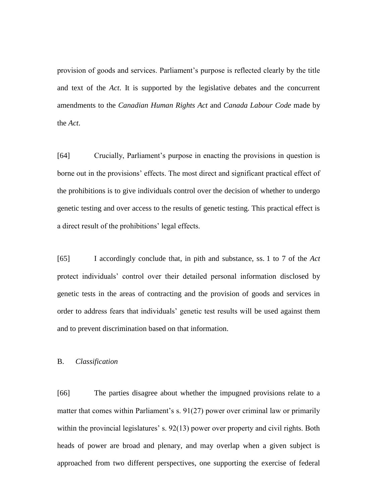provision of goods and services. Parliament's purpose is reflected clearly by the title and text of the *Act*. It is supported by the legislative debates and the concurrent amendments to the *Canadian Human Rights Act* and *Canada Labour Code* made by the *Act*.

[64] Crucially, Parliament's purpose in enacting the provisions in question is borne out in the provisions' effects. The most direct and significant practical effect of the prohibitions is to give individuals control over the decision of whether to undergo genetic testing and over access to the results of genetic testing. This practical effect is a direct result of the prohibitions' legal effects.

[65] I accordingly conclude that, in pith and substance, ss. 1 to 7 of the *Act* protect individuals' control over their detailed personal information disclosed by genetic tests in the areas of contracting and the provision of goods and services in order to address fears that individuals' genetic test results will be used against them and to prevent discrimination based on that information.

## B. *Classification*

[66] The parties disagree about whether the impugned provisions relate to a matter that comes within Parliament's s. 91(27) power over criminal law or primarily within the provincial legislatures' s. 92(13) power over property and civil rights. Both heads of power are broad and plenary, and may overlap when a given subject is approached from two different perspectives, one supporting the exercise of federal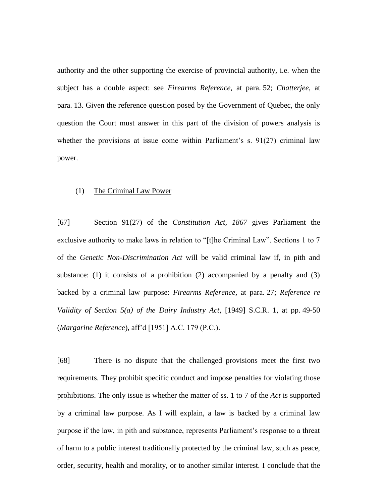authority and the other supporting the exercise of provincial authority, i.e. when the subject has a double aspect: see *Firearms Reference*, at para. 52; *Chatterjee*, at para. 13. Given the reference question posed by the Government of Quebec, the only question the Court must answer in this part of the division of powers analysis is whether the provisions at issue come within Parliament's s.  $91(27)$  criminal law power.

#### (1) The Criminal Law Power

[67] Section 91(27) of the *Constitution Act, 1867* gives Parliament the exclusive authority to make laws in relation to "[t]he Criminal Law". Sections 1 to 7 of the *Genetic Non-Discrimination Act* will be valid criminal law if, in pith and substance: (1) it consists of a prohibition (2) accompanied by a penalty and  $(3)$ backed by a criminal law purpose: *Firearms Reference*, at para. 27; *Reference re Validity of Section 5(a) of the Dairy Industry Act*, [1949] S.C.R. 1, at pp. 49-50 (*Margarine Reference*), aff'd [1951] A.C. 179 (P.C.).

[68] There is no dispute that the challenged provisions meet the first two requirements. They prohibit specific conduct and impose penalties for violating those prohibitions. The only issue is whether the matter of ss. 1 to 7 of the *Act* is supported by a criminal law purpose. As I will explain, a law is backed by a criminal law purpose if the law, in pith and substance, represents Parliament's response to a threat of harm to a public interest traditionally protected by the criminal law, such as peace, order, security, health and morality, or to another similar interest. I conclude that the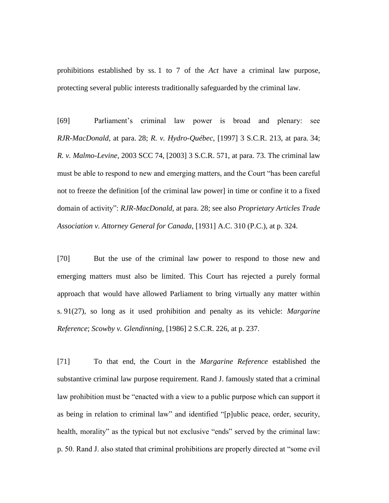prohibitions established by ss. 1 to 7 of the *Act* have a criminal law purpose, protecting several public interests traditionally safeguarded by the criminal law.

[69] Parliament's criminal law power is broad and plenary: see *RJR-MacDonald*, at para. 28; *R. v. Hydro-Québec*, [1997] 3 S.C.R. 213, at para. 34; *R. v. Malmo-Levine*, 2003 SCC 74, [2003] 3 S.C.R. 571, at para. 73. The criminal law must be able to respond to new and emerging matters, and the Court "has been careful not to freeze the definition [of the criminal law power] in time or confine it to a fixed domain of activity": *RJR-MacDonald*, at para. 28; see also *Proprietary Articles Trade Association v. Attorney General for Canada*, [1931] A.C. 310 (P.C.), at p. 324.

[70] But the use of the criminal law power to respond to those new and emerging matters must also be limited. This Court has rejected a purely formal approach that would have allowed Parliament to bring virtually any matter within s. 91(27), so long as it used prohibition and penalty as its vehicle: *Margarine Reference*; *Scowby v. Glendinning*, [1986] 2 S.C.R. 226, at p. 237.

[71] To that end, the Court in the *Margarine Reference* established the substantive criminal law purpose requirement. Rand J. famously stated that a criminal law prohibition must be "enacted with a view to a public purpose which can support it as being in relation to criminal law" and identified "[p]ublic peace, order, security, health, morality" as the typical but not exclusive "ends" served by the criminal law: p. 50. Rand J. also stated that criminal prohibitions are properly directed at "some evil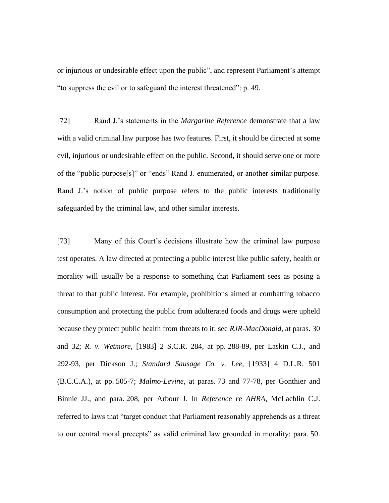or injurious or undesirable effect upon the public", and represent Parliament's attempt "to suppress the evil or to safeguard the interest threatened": p. 49.

[72] Rand J.'s statements in the *Margarine Reference* demonstrate that a law with a valid criminal law purpose has two features. First, it should be directed at some evil, injurious or undesirable effect on the public. Second, it should serve one or more of the "public purpose[s]" or "ends" Rand J. enumerated, or another similar purpose. Rand J.'s notion of public purpose refers to the public interests traditionally safeguarded by the criminal law, and other similar interests.

[73] Many of this Court's decisions illustrate how the criminal law purpose test operates. A law directed at protecting a public interest like public safety, health or morality will usually be a response to something that Parliament sees as posing a threat to that public interest. For example, prohibitions aimed at combatting tobacco consumption and protecting the public from adulterated foods and drugs were upheld because they protect public health from threats to it: see *RJR-MacDonald*, at paras. 30 and 32; *R. v. Wetmore*, [1983] 2 S.C.R. 284, at pp. 288-89, per Laskin C.J., and 292-93, per Dickson J.; *Standard Sausage Co. v. Lee*, [1933] 4 D.L.R. 501 (B.C.C.A.), at pp. 505-7; *Malmo-Levine*, at paras. 73 and 77-78, per Gonthier and Binnie JJ., and para. 208, per Arbour J. In *Reference re AHRA*, McLachlin C.J. referred to laws that "target conduct that Parliament reasonably apprehends as a threat to our central moral precepts" as valid criminal law grounded in morality: para. 50.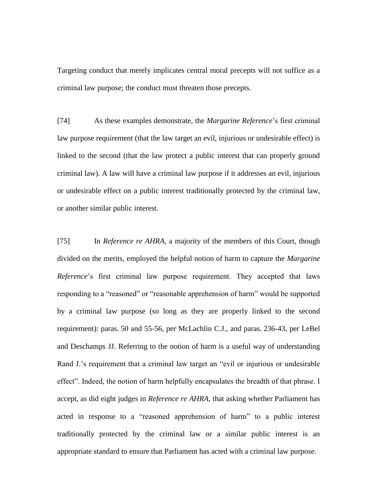Targeting conduct that merely implicates central moral precepts will not suffice as a criminal law purpose; the conduct must threaten those precepts.

[74] As these examples demonstrate, the *Margarine Reference*'s first criminal law purpose requirement (that the law target an evil, injurious or undesirable effect) is linked to the second (that the law protect a public interest that can properly ground criminal law). A law will have a criminal law purpose if it addresses an evil, injurious or undesirable effect on a public interest traditionally protected by the criminal law, or another similar public interest.

[75] In *Reference re AHRA*, a majority of the members of this Court, though divided on the merits, employed the helpful notion of harm to capture the *Margarine Reference*'s first criminal law purpose requirement. They accepted that laws responding to a "reasoned" or "reasonable apprehension of harm" would be supported by a criminal law purpose (so long as they are properly linked to the second requirement): paras. 50 and 55-56, per McLachlin C.J., and paras. 236-43, per LeBel and Deschamps JJ. Referring to the notion of harm is a useful way of understanding Rand J.'s requirement that a criminal law target an "evil or injurious or undesirable effect". Indeed, the notion of harm helpfully encapsulates the breadth of that phrase. I accept, as did eight judges in *Reference re AHRA*, that asking whether Parliament has acted in response to a "reasoned apprehension of harm" to a public interest traditionally protected by the criminal law or a similar public interest is an appropriate standard to ensure that Parliament has acted with a criminal law purpose.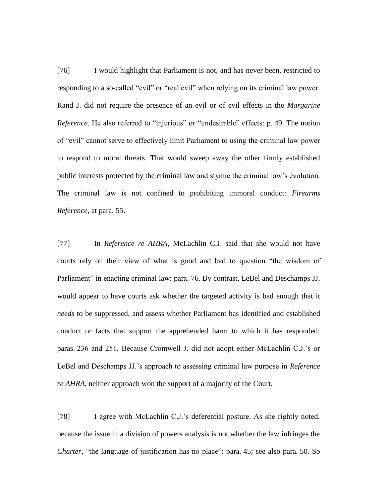[76] I would highlight that Parliament is not, and has never been, restricted to responding to a so-called "evil" or "real evil" when relying on its criminal law power. Rand J. did not require the presence of an evil or of evil effects in the *Margarine Reference*. He also referred to "injurious" or "undesirable" effects: p. 49. The notion of "evil" cannot serve to effectively limit Parliament to using the criminal law power to respond to moral threats. That would sweep away the other firmly established public interests protected by the criminal law and stymie the criminal law's evolution. The criminal law is not confined to prohibiting immoral conduct: *Firearms Reference*, at para. 55.

[77] In *Reference re AHRA*, McLachlin C.J. said that she would not have courts rely on their view of what is good and bad to question "the wisdom of Parliament" in enacting criminal law: para. 76. By contrast, LeBel and Deschamps JJ. would appear to have courts ask whether the targeted activity is bad enough that it *needs* to be suppressed, and assess whether Parliament has identified and established conduct or facts that support the apprehended harm to which it has responded: paras. 236 and 251. Because Cromwell J. did not adopt either McLachlin C.J.'s or LeBel and Deschamps JJ.'s approach to assessing criminal law purpose in *Reference re AHRA*, neither approach won the support of a majority of the Court.

[78] I agree with McLachlin C.J.'s deferential posture. As she rightly noted, because the issue in a division of powers analysis is not whether the law infringes the *Charter*, "the language of justification has no place": para. 45; see also para. 50. So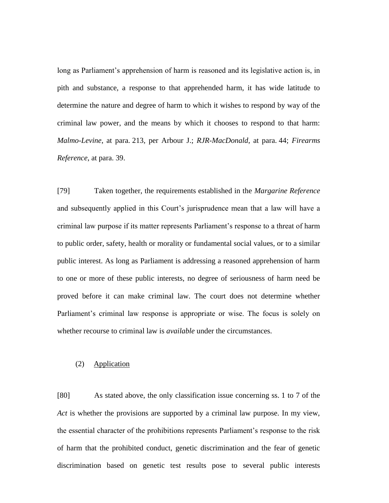long as Parliament's apprehension of harm is reasoned and its legislative action is, in pith and substance, a response to that apprehended harm, it has wide latitude to determine the nature and degree of harm to which it wishes to respond by way of the criminal law power, and the means by which it chooses to respond to that harm: *Malmo-Levine*, at para. 213, per Arbour J.; *RJR-MacDonald*, at para. 44; *Firearms Reference*, at para. 39.

[79] Taken together, the requirements established in the *Margarine Reference* and subsequently applied in this Court's jurisprudence mean that a law will have a criminal law purpose if its matter represents Parliament's response to a threat of harm to public order, safety, health or morality or fundamental social values, or to a similar public interest. As long as Parliament is addressing a reasoned apprehension of harm to one or more of these public interests, no degree of seriousness of harm need be proved before it can make criminal law. The court does not determine whether Parliament's criminal law response is appropriate or wise. The focus is solely on whether recourse to criminal law is *available* under the circumstances.

## (2) Application

[80] As stated above, the only classification issue concerning ss. 1 to 7 of the *Act* is whether the provisions are supported by a criminal law purpose. In my view, the essential character of the prohibitions represents Parliament's response to the risk of harm that the prohibited conduct, genetic discrimination and the fear of genetic discrimination based on genetic test results pose to several public interests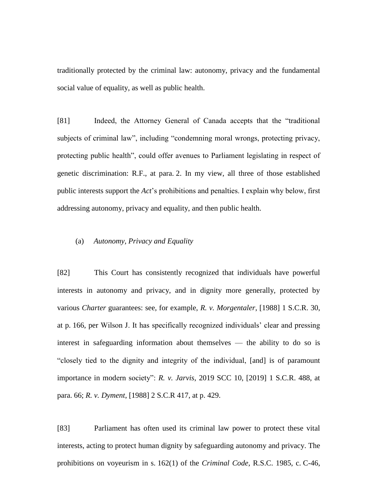traditionally protected by the criminal law: autonomy, privacy and the fundamental social value of equality, as well as public health.

[81] Indeed, the Attorney General of Canada accepts that the "traditional subjects of criminal law", including "condemning moral wrongs, protecting privacy, protecting public health", could offer avenues to Parliament legislating in respect of genetic discrimination: R.F., at para. 2. In my view, all three of those established public interests support the *Act*'s prohibitions and penalties. I explain why below, first addressing autonomy, privacy and equality, and then public health.

## (a) *Autonomy, Privacy and Equality*

[82] This Court has consistently recognized that individuals have powerful interests in autonomy and privacy, and in dignity more generally, protected by various *Charter* guarantees: see, for example, *R. v. Morgentaler*, [1988] 1 S.C.R. 30, at p. 166, per Wilson J. It has specifically recognized individuals' clear and pressing interest in safeguarding information about themselves — the ability to do so is "closely tied to the dignity and integrity of the individual, [and] is of paramount importance in modern society": *R. v. Jarvis*, 2019 SCC 10, [2019] 1 S.C.R. 488, at para. 66; *R. v. Dyment*, [1988] 2 S.C.R 417, at p. 429.

[83] Parliament has often used its criminal law power to protect these vital interests, acting to protect human dignity by safeguarding autonomy and privacy. The prohibitions on voyeurism in s. 162(1) of the *Criminal Code*, R.S.C. 1985, c. C-46,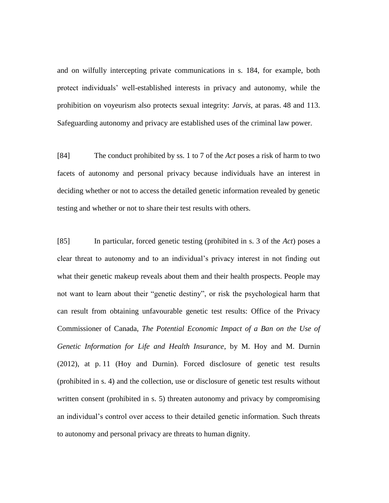and on wilfully intercepting private communications in s. 184, for example, both protect individuals' well-established interests in privacy and autonomy, while the prohibition on voyeurism also protects sexual integrity: *Jarvis*, at paras. 48 and 113. Safeguarding autonomy and privacy are established uses of the criminal law power.

[84] The conduct prohibited by ss. 1 to 7 of the *Act* poses a risk of harm to two facets of autonomy and personal privacy because individuals have an interest in deciding whether or not to access the detailed genetic information revealed by genetic testing and whether or not to share their test results with others.

[85] In particular, forced genetic testing (prohibited in s. 3 of the *Act*) poses a clear threat to autonomy and to an individual's privacy interest in not finding out what their genetic makeup reveals about them and their health prospects. People may not want to learn about their "genetic destiny", or risk the psychological harm that can result from obtaining unfavourable genetic test results: Office of the Privacy Commissioner of Canada, *The Potential Economic Impact of a Ban on the Use of Genetic Information for Life and Health Insurance*, by M. Hoy and M. Durnin (2012), at p. 11 (Hoy and Durnin). Forced disclosure of genetic test results (prohibited in s. 4) and the collection, use or disclosure of genetic test results without written consent (prohibited in s. 5) threaten autonomy and privacy by compromising an individual's control over access to their detailed genetic information. Such threats to autonomy and personal privacy are threats to human dignity.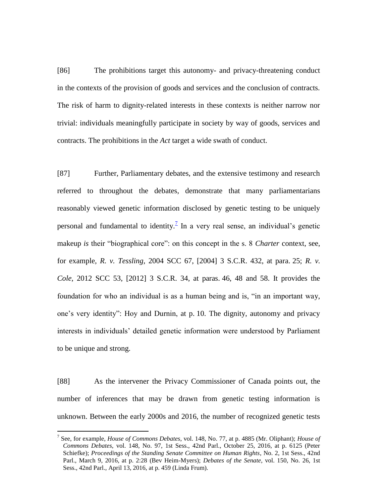[86] The prohibitions target this autonomy- and privacy-threatening conduct in the contexts of the provision of goods and services and the conclusion of contracts. The risk of harm to dignity-related interests in these contexts is neither narrow nor trivial: individuals meaningfully participate in society by way of goods, services and contracts. The prohibitions in the *Act* target a wide swath of conduct.

[87] Further, Parliamentary debates, and the extensive testimony and research referred to throughout the debates, demonstrate that many parliamentarians reasonably viewed genetic information disclosed by genetic testing to be uniquely personal and fundamental to identity.<sup> $7$ </sup> In a very real sense, an individual's genetic makeup *is* their "biographical core": on this concept in the s. 8 *Charter* context, see, for example, *R. v. Tessling*, 2004 SCC 67, [2004] 3 S.C.R. 432, at para. 25; *R. v. Cole*, 2012 SCC 53, [2012] 3 S.C.R. 34, at paras. 46, 48 and 58. It provides the foundation for who an individual is as a human being and is, "in an important way, one's very identity": Hoy and Durnin, at p. 10. The dignity, autonomy and privacy interests in individuals' detailed genetic information were understood by Parliament to be unique and strong.

[88] As the intervener the Privacy Commissioner of Canada points out, the number of inferences that may be drawn from genetic testing information is unknown. Between the early 2000s and 2016, the number of recognized genetic tests

 $\overline{a}$ 

<sup>7</sup> See, for example, *House of Commons Debates*, vol. 148, No. 77, at p. 4885 (Mr. Oliphant); *House of Commons Debates*, vol. 148, No. 97, 1st Sess., 42nd Parl., October 25, 2016, at p. 6125 (Peter Schiefke); *Proceedings of the Standing Senate Committee on Human Rights*, No. 2, 1st Sess., 42nd Parl., March 9, 2016, at p. 2:28 (Bev Heim-Myers); *Debates of the Senate*, vol. 150, No. 26, 1st Sess., 42nd Parl., April 13, 2016, at p. 459 (Linda Frum).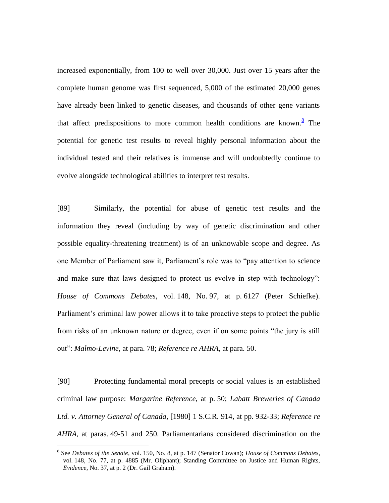increased exponentially, from 100 to well over 30,000. Just over 15 years after the complete human genome was first sequenced, 5,000 of the estimated 20,000 genes have already been linked to genetic diseases, and thousands of other gene variants that affect predispositions to more common health conditions are known. $\frac{8}{3}$  The potential for genetic test results to reveal highly personal information about the individual tested and their relatives is immense and will undoubtedly continue to evolve alongside technological abilities to interpret test results.

[89] Similarly, the potential for abuse of genetic test results and the information they reveal (including by way of genetic discrimination and other possible equality-threatening treatment) is of an unknowable scope and degree. As one Member of Parliament saw it, Parliament's role was to "pay attention to science and make sure that laws designed to protect us evolve in step with technology": *House of Commons Debates*, vol. 148, No. 97, at p. 6127 (Peter Schiefke). Parliament's criminal law power allows it to take proactive steps to protect the public from risks of an unknown nature or degree, even if on some points "the jury is still out": *Malmo-Levine*, at para. 78; *Reference re AHRA*, at para. 50.

[90] Protecting fundamental moral precepts or social values is an established criminal law purpose: *Margarine Reference*, at p. 50; *Labatt Breweries of Canada Ltd. v. Attorney General of Canada*, [1980] 1 S.C.R. 914, at pp. 932-33; *Reference re AHRA*, at paras. 49-51 and 250. Parliamentarians considered discrimination on the

 $\overline{a}$ 

<sup>8</sup> See *Debates of the Senate*, vol. 150, No. 8, at p. 147 (Senator Cowan); *House of Commons Debates*, vol. 148, No. 77, at p. 4885 (Mr. Oliphant); Standing Committee on Justice and Human Rights, *Evidence*, No. 37, at p. 2 (Dr. Gail Graham).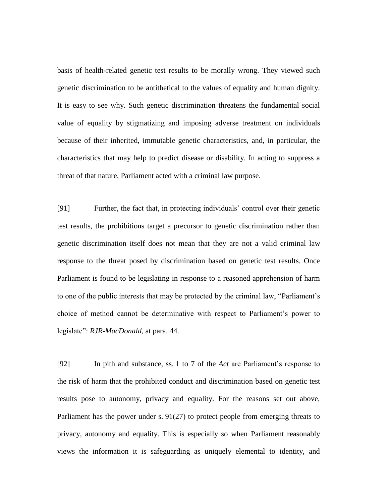basis of health-related genetic test results to be morally wrong. They viewed such genetic discrimination to be antithetical to the values of equality and human dignity. It is easy to see why. Such genetic discrimination threatens the fundamental social value of equality by stigmatizing and imposing adverse treatment on individuals because of their inherited, immutable genetic characteristics, and, in particular, the characteristics that may help to predict disease or disability. In acting to suppress a threat of that nature, Parliament acted with a criminal law purpose.

[91] Further, the fact that, in protecting individuals' control over their genetic test results, the prohibitions target a precursor to genetic discrimination rather than genetic discrimination itself does not mean that they are not a valid criminal law response to the threat posed by discrimination based on genetic test results. Once Parliament is found to be legislating in response to a reasoned apprehension of harm to one of the public interests that may be protected by the criminal law, "Parliament's choice of method cannot be determinative with respect to Parliament's power to legislate": *RJR-MacDonald*, at para. 44.

[92] In pith and substance, ss. 1 to 7 of the *Act* are Parliament's response to the risk of harm that the prohibited conduct and discrimination based on genetic test results pose to autonomy, privacy and equality. For the reasons set out above, Parliament has the power under s. 91(27) to protect people from emerging threats to privacy, autonomy and equality. This is especially so when Parliament reasonably views the information it is safeguarding as uniquely elemental to identity, and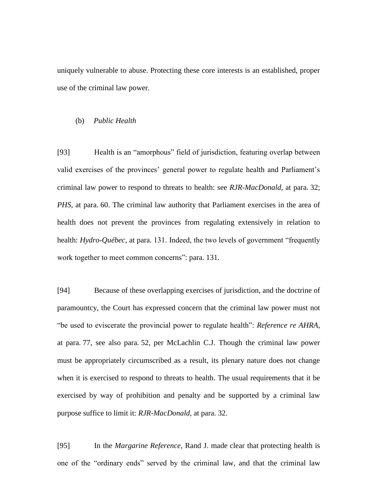uniquely vulnerable to abuse. Protecting these core interests is an established, proper use of the criminal law power.

## (b) *Public Health*

[93] Health is an "amorphous" field of jurisdiction, featuring overlap between valid exercises of the provinces' general power to regulate health and Parliament's criminal law power to respond to threats to health: see *RJR-MacDonald*, at para. 32; *PHS*, at para. 60. The criminal law authority that Parliament exercises in the area of health does not prevent the provinces from regulating extensively in relation to health: *Hydro-Québec*, at para. 131. Indeed, the two levels of government "frequently work together to meet common concerns": para. 131.

[94] Because of these overlapping exercises of jurisdiction, and the doctrine of paramountcy, the Court has expressed concern that the criminal law power must not "be used to eviscerate the provincial power to regulate health": *Reference re AHRA*, at para. 77, see also para. 52, per McLachlin C.J. Though the criminal law power must be appropriately circumscribed as a result, its plenary nature does not change when it is exercised to respond to threats to health. The usual requirements that it be exercised by way of prohibition and penalty and be supported by a criminal law purpose suffice to limit it: *RJR-MacDonald*, at para. 32.

[95] In the *Margarine Reference*, Rand J. made clear that protecting health is one of the "ordinary ends" served by the criminal law, and that the criminal law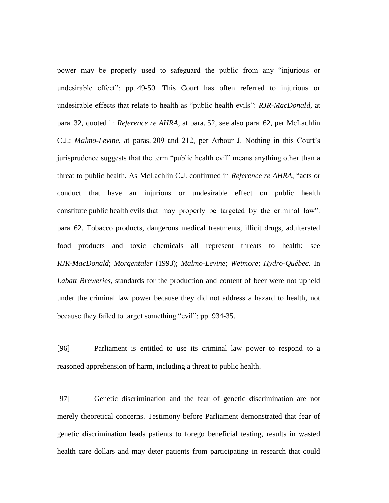power may be properly used to safeguard the public from any "injurious or undesirable effect": pp. 49-50. This Court has often referred to injurious or undesirable effects that relate to health as "public health evils": *RJR-MacDonald*, at para. 32, quoted in *Reference re AHRA*, at para. 52, see also para. 62, per McLachlin C.J.; *Malmo-Levine*, at paras. 209 and 212, per Arbour J. Nothing in this Court's jurisprudence suggests that the term "public health evil" means anything other than a threat to public health. As McLachlin C.J. confirmed in *Reference re AHRA*, "acts or conduct that have an injurious or undesirable effect on public health constitute public health evils that may properly be targeted by the criminal law": para. 62. Tobacco products, dangerous medical treatments, illicit drugs, adulterated food products and toxic chemicals all represent threats to health: see *RJR-MacDonald*; *Morgentaler* (1993); *Malmo-Levine*; *Wetmore*; *Hydro-Québec*. In *Labatt Breweries*, standards for the production and content of beer were not upheld under the criminal law power because they did not address a hazard to health, not because they failed to target something "evil": pp. 934-35.

[96] Parliament is entitled to use its criminal law power to respond to a reasoned apprehension of harm, including a threat to public health.

[97] Genetic discrimination and the fear of genetic discrimination are not merely theoretical concerns. Testimony before Parliament demonstrated that fear of genetic discrimination leads patients to forego beneficial testing, results in wasted health care dollars and may deter patients from participating in research that could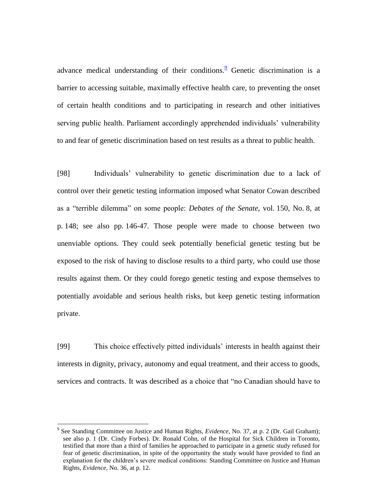advance medical understanding of their conditions. <sup>2</sup> Genetic discrimination is a barrier to accessing suitable, maximally effective health care, to preventing the onset of certain health conditions and to participating in research and other initiatives serving public health. Parliament accordingly apprehended individuals' vulnerability to and fear of genetic discrimination based on test results as a threat to public health.

[98] Individuals' vulnerability to genetic discrimination due to a lack of control over their genetic testing information imposed what Senator Cowan described as a "terrible dilemma" on some people: *Debates of the Senate*, vol. 150, No. 8, at p. 148; see also pp. 146-47. Those people were made to choose between two unenviable options. They could seek potentially beneficial genetic testing but be exposed to the risk of having to disclose results to a third party, who could use those results against them. Or they could forego genetic testing and expose themselves to potentially avoidable and serious health risks, but keep genetic testing information private.

[99] This choice effectively pitted individuals' interests in health against their interests in dignity, privacy, autonomy and equal treatment, and their access to goods, services and contracts. It was described as a choice that "no Canadian should have to

 $\overline{a}$ 

<sup>&</sup>lt;sup>9</sup> See Standing Committee on Justice and Human Rights, *Evidence*, No. 37, at p. 2 (Dr. Gail Graham); see also p. 1 (Dr. Cindy Forbes). Dr. Ronald Cohn, of the Hospital for Sick Children in Toronto, testified that more than a third of families he approached to participate in a genetic study refused for fear of genetic discrimination, in spite of the opportunity the study would have provided to find an explanation for the children's severe medical conditions: Standing Committee on Justice and Human Rights, *Evidence*, No. 36, at p. 12.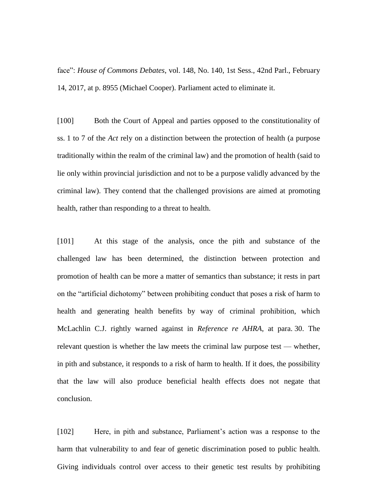face": *House of Commons Debates*, vol. 148, No. 140, 1st Sess., 42nd Parl., February 14, 2017, at p. 8955 (Michael Cooper). Parliament acted to eliminate it.

[100] Both the Court of Appeal and parties opposed to the constitutionality of ss. 1 to 7 of the *Act* rely on a distinction between the protection of health (a purpose traditionally within the realm of the criminal law) and the promotion of health (said to lie only within provincial jurisdiction and not to be a purpose validly advanced by the criminal law). They contend that the challenged provisions are aimed at promoting health, rather than responding to a threat to health.

[101] At this stage of the analysis, once the pith and substance of the challenged law has been determined, the distinction between protection and promotion of health can be more a matter of semantics than substance; it rests in part on the "artificial dichotomy" between prohibiting conduct that poses a risk of harm to health and generating health benefits by way of criminal prohibition, which McLachlin C.J. rightly warned against in *Reference re AHRA*, at para. 30. The relevant question is whether the law meets the criminal law purpose test — whether, in pith and substance, it responds to a risk of harm to health. If it does, the possibility that the law will also produce beneficial health effects does not negate that conclusion.

[102] Here, in pith and substance, Parliament's action was a response to the harm that vulnerability to and fear of genetic discrimination posed to public health. Giving individuals control over access to their genetic test results by prohibiting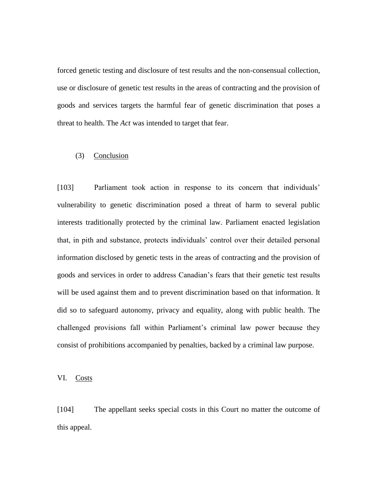forced genetic testing and disclosure of test results and the non-consensual collection, use or disclosure of genetic test results in the areas of contracting and the provision of goods and services targets the harmful fear of genetic discrimination that poses a threat to health. The *Act* was intended to target that fear.

# (3) Conclusion

[103] Parliament took action in response to its concern that individuals' vulnerability to genetic discrimination posed a threat of harm to several public interests traditionally protected by the criminal law. Parliament enacted legislation that, in pith and substance, protects individuals' control over their detailed personal information disclosed by genetic tests in the areas of contracting and the provision of goods and services in order to address Canadian's fears that their genetic test results will be used against them and to prevent discrimination based on that information. It did so to safeguard autonomy, privacy and equality, along with public health. The challenged provisions fall within Parliament's criminal law power because they consist of prohibitions accompanied by penalties, backed by a criminal law purpose.

VI. Costs

[104] The appellant seeks special costs in this Court no matter the outcome of this appeal.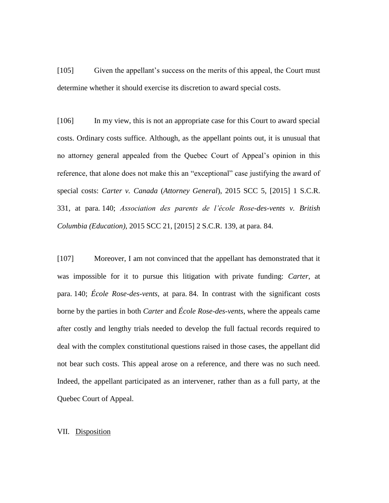[105] Given the appellant's success on the merits of this appeal, the Court must determine whether it should exercise its discretion to award special costs.

[106] In my view, this is not an appropriate case for this Court to award special costs. Ordinary costs suffice. Although, as the appellant points out, it is unusual that no attorney general appealed from the Quebec Court of Appeal's opinion in this reference, that alone does not make this an "exceptional" case justifying the award of special costs: *Carter v. Canada* (*Attorney General*), 2015 SCC 5, [2015] 1 S.C.R. 331, at para. 140; *Association des parents de l'école Rose-des-vents v. British Columbia (Education)*, 2015 SCC 21, [2015] 2 S.C.R. 139, at para. 84.

[107] Moreover, I am not convinced that the appellant has demonstrated that it was impossible for it to pursue this litigation with private funding: *Carter*, at para. 140; *École Rose-des-vents*, at para. 84. In contrast with the significant costs borne by the parties in both *Carter* and *École Rose-des-vents*, where the appeals came after costly and lengthy trials needed to develop the full factual records required to deal with the complex constitutional questions raised in those cases, the appellant did not bear such costs. This appeal arose on a reference, and there was no such need. Indeed, the appellant participated as an intervener, rather than as a full party, at the Quebec Court of Appeal.

## VII. Disposition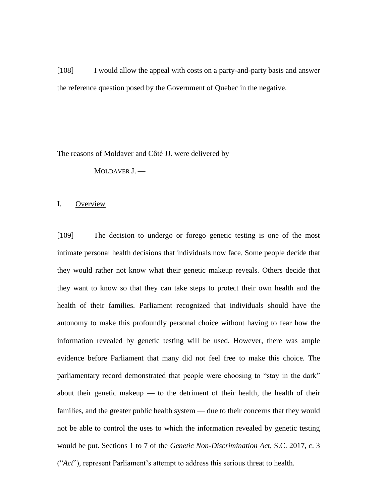[108] I would allow the appeal with costs on a party-and-party basis and answer the reference question posed by the Government of Quebec in the negative.

The reasons of Moldaver and Côté JJ. were delivered by

MOLDAVER J. —

### I. Overview

[109] The decision to undergo or forego genetic testing is one of the most intimate personal health decisions that individuals now face. Some people decide that they would rather not know what their genetic makeup reveals. Others decide that they want to know so that they can take steps to protect their own health and the health of their families. Parliament recognized that individuals should have the autonomy to make this profoundly personal choice without having to fear how the information revealed by genetic testing will be used. However, there was ample evidence before Parliament that many did not feel free to make this choice. The parliamentary record demonstrated that people were choosing to "stay in the dark" about their genetic makeup  $-$  to the detriment of their health, the health of their families, and the greater public health system — due to their concerns that they would not be able to control the uses to which the information revealed by genetic testing would be put. Sections 1 to 7 of the *Genetic Non-Discrimination Act*, S.C. 2017, c. 3 ("*Act*"), represent Parliament's attempt to address this serious threat to health.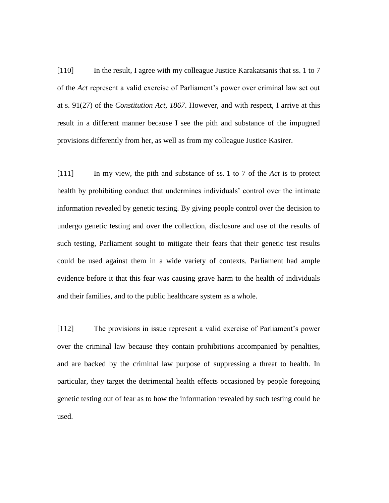[110] In the result, I agree with my colleague Justice Karakatsanis that ss. 1 to 7 of the *Act* represent a valid exercise of Parliament's power over criminal law set out at s. 91(27) of the *Constitution Act, 1867*. However, and with respect, I arrive at this result in a different manner because I see the pith and substance of the impugned provisions differently from her, as well as from my colleague Justice Kasirer.

[111] In my view, the pith and substance of ss. 1 to 7 of the *Act* is to protect health by prohibiting conduct that undermines individuals' control over the intimate information revealed by genetic testing. By giving people control over the decision to undergo genetic testing and over the collection, disclosure and use of the results of such testing, Parliament sought to mitigate their fears that their genetic test results could be used against them in a wide variety of contexts. Parliament had ample evidence before it that this fear was causing grave harm to the health of individuals and their families, and to the public healthcare system as a whole.

[112] The provisions in issue represent a valid exercise of Parliament's power over the criminal law because they contain prohibitions accompanied by penalties, and are backed by the criminal law purpose of suppressing a threat to health. In particular, they target the detrimental health effects occasioned by people foregoing genetic testing out of fear as to how the information revealed by such testing could be used.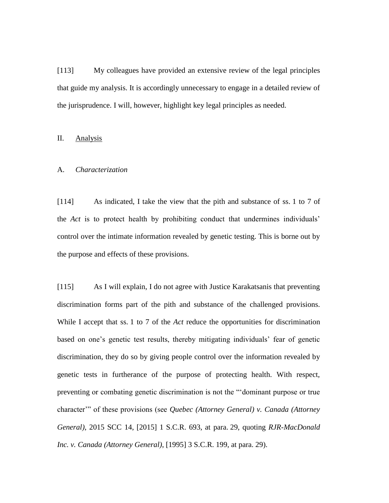[113] My colleagues have provided an extensive review of the legal principles that guide my analysis. It is accordingly unnecessary to engage in a detailed review of the jurisprudence. I will, however, highlight key legal principles as needed.

# II. Analysis

#### A. *Characterization*

[114] As indicated, I take the view that the pith and substance of ss. 1 to 7 of the *Act* is to protect health by prohibiting conduct that undermines individuals' control over the intimate information revealed by genetic testing. This is borne out by the purpose and effects of these provisions.

[115] As I will explain, I do not agree with Justice Karakatsanis that preventing discrimination forms part of the pith and substance of the challenged provisions. While I accept that ss. 1 to 7 of the *Act* reduce the opportunities for discrimination based on one's genetic test results, thereby mitigating individuals' fear of genetic discrimination, they do so by giving people control over the information revealed by genetic tests in furtherance of the purpose of protecting health. With respect, preventing or combating genetic discrimination is not the "'dominant purpose or true character'" of these provisions (see *Quebec (Attorney General) v. Canada (Attorney General)*, 2015 SCC 14, [2015] 1 S.C.R. 693, at para. 29, quoting *RJR-MacDonald Inc. v. Canada (Attorney General)*, [1995] 3 S.C.R. 199, at para. 29).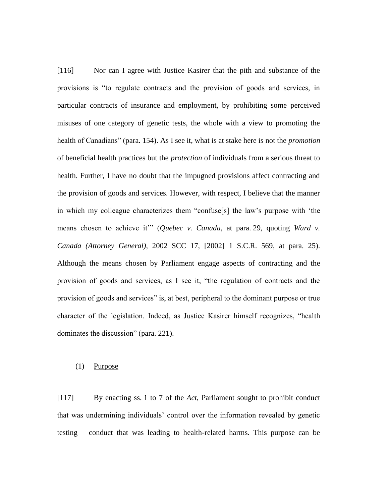[116] Nor can I agree with Justice Kasirer that the pith and substance of the provisions is "to regulate contracts and the provision of goods and services, in particular contracts of insurance and employment, by prohibiting some perceived misuses of one category of genetic tests, the whole with a view to promoting the health of Canadians" (para. 154). As I see it, what is at stake here is not the *promotion*  of beneficial health practices but the *protection* of individuals from a serious threat to health. Further, I have no doubt that the impugned provisions affect contracting and the provision of goods and services. However, with respect, I believe that the manner in which my colleague characterizes them "confuse[s] the law's purpose with 'the means chosen to achieve it" (*Quebec v. Canada*, at para. 29, quoting *Ward v. Canada (Attorney General)*, 2002 SCC 17, [2002] 1 S.C.R. 569, at para. 25). Although the means chosen by Parliament engage aspects of contracting and the provision of goods and services, as I see it, "the regulation of contracts and the provision of goods and services" is, at best, peripheral to the dominant purpose or true character of the legislation. Indeed, as Justice Kasirer himself recognizes, "health dominates the discussion" (para. 221).

## (1) Purpose

[117] By enacting ss. 1 to 7 of the *Act*, Parliament sought to prohibit conduct that was undermining individuals' control over the information revealed by genetic testing — conduct that was leading to health-related harms. This purpose can be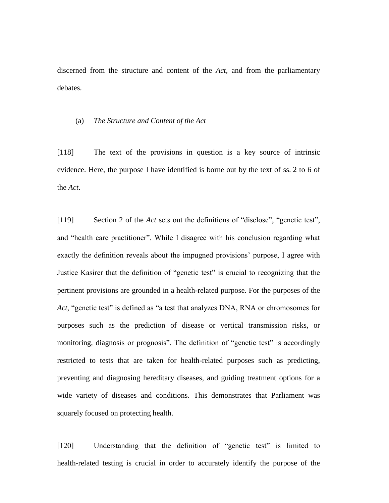discerned from the structure and content of the *Act*, and from the parliamentary debates.

#### (a) *The Structure and Content of the Act*

[118] The text of the provisions in question is a key source of intrinsic evidence. Here, the purpose I have identified is borne out by the text of ss. 2 to 6 of the *Act*.

[119] Section 2 of the *Act* sets out the definitions of "disclose", "genetic test", and "health care practitioner". While I disagree with his conclusion regarding what exactly the definition reveals about the impugned provisions' purpose, I agree with Justice Kasirer that the definition of "genetic test" is crucial to recognizing that the pertinent provisions are grounded in a health-related purpose. For the purposes of the *Act*, "genetic test" is defined as "a test that analyzes DNA, RNA or chromosomes for purposes such as the prediction of disease or vertical transmission risks, or monitoring, diagnosis or prognosis". The definition of "genetic test" is accordingly restricted to tests that are taken for health-related purposes such as predicting, preventing and diagnosing hereditary diseases, and guiding treatment options for a wide variety of diseases and conditions. This demonstrates that Parliament was squarely focused on protecting health.

[120] Understanding that the definition of "genetic test" is limited to health-related testing is crucial in order to accurately identify the purpose of the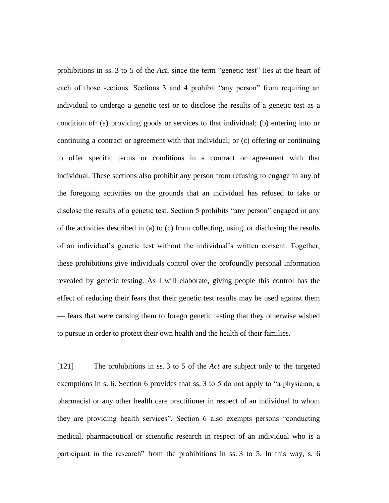prohibitions in ss. 3 to 5 of the *Act*, since the term "genetic test" lies at the heart of each of those sections. Sections 3 and 4 prohibit "any person" from requiring an individual to undergo a genetic test or to disclose the results of a genetic test as a condition of: (a) providing goods or services to that individual; (b) entering into or continuing a contract or agreement with that individual; or (c) offering or continuing to offer specific terms or conditions in a contract or agreement with that individual. These sections also prohibit any person from refusing to engage in any of the foregoing activities on the grounds that an individual has refused to take or disclose the results of a genetic test. Section 5 prohibits "any person" engaged in any of the activities described in (a) to (c) from collecting, using, or disclosing the results of an individual's genetic test without the individual's written consent. Together, these prohibitions give individuals control over the profoundly personal information revealed by genetic testing. As I will elaborate, giving people this control has the effect of reducing their fears that their genetic test results may be used against them — fears that were causing them to forego genetic testing that they otherwise wished to pursue in order to protect their own health and the health of their families.

[121] The prohibitions in ss. 3 to 5 of the *Act* are subject only to the targeted exemptions in s. 6. Section 6 provides that ss. 3 to 5 do not apply to "a physician, a pharmacist or any other health care practitioner in respect of an individual to whom they are providing health services". Section 6 also exempts persons "conducting medical, pharmaceutical or scientific research in respect of an individual who is a participant in the research" from the prohibitions in ss. 3 to 5. In this way, s. 6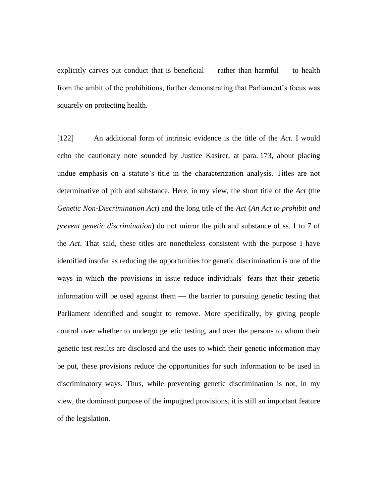explicitly carves out conduct that is beneficial — rather than harmful — to health from the ambit of the prohibitions, further demonstrating that Parliament's focus was squarely on protecting health.

[122] An additional form of intrinsic evidence is the title of the *Act*. I would echo the cautionary note sounded by Justice Kasirer, at para. 173, about placing undue emphasis on a statute's title in the characterization analysis. Titles are not determinative of pith and substance. Here, in my view, the short title of the *Act* (the *Genetic Non-Discrimination Act*) and the long title of the *Act* (*An Act to prohibit and prevent genetic discrimination*) do not mirror the pith and substance of ss. 1 to 7 of the *Act*. That said, these titles are nonetheless consistent with the purpose I have identified insofar as reducing the opportunities for genetic discrimination is one of the ways in which the provisions in issue reduce individuals' fears that their genetic information will be used against them — the barrier to pursuing genetic testing that Parliament identified and sought to remove. More specifically, by giving people control over whether to undergo genetic testing, and over the persons to whom their genetic test results are disclosed and the uses to which their genetic information may be put, these provisions reduce the opportunities for such information to be used in discriminatory ways. Thus, while preventing genetic discrimination is not, in my view, the dominant purpose of the impugned provisions, it is still an important feature of the legislation.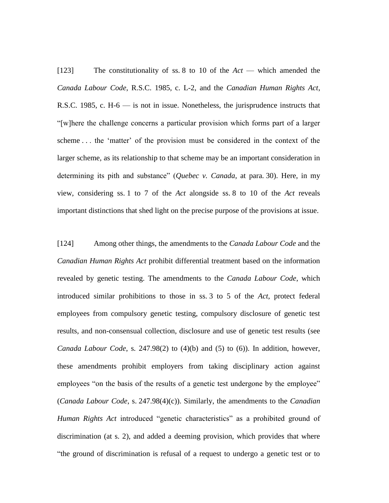[123] The constitutionality of ss. 8 to 10 of the *Act* — which amended the *Canada Labour Code*, R.S.C. 1985, c. L-2, and the *Canadian Human Rights Act*, R.S.C. 1985, c. H-6 — is not in issue. Nonetheless, the jurisprudence instructs that "[w]here the challenge concerns a particular provision which forms part of a larger scheme . . . the 'matter' of the provision must be considered in the context of the larger scheme, as its relationship to that scheme may be an important consideration in determining its pith and substance" (*Quebec v. Canada*, at para. 30). Here, in my view, considering ss. 1 to 7 of the *Act* alongside ss. 8 to 10 of the *Act* reveals important distinctions that shed light on the precise purpose of the provisions at issue.

[124] Among other things, the amendments to the *Canada Labour Code* and the *Canadian Human Rights Act* prohibit differential treatment based on the information revealed by genetic testing. The amendments to the *Canada Labour Code*, which introduced similar prohibitions to those in ss. 3 to 5 of the *Act*, protect federal employees from compulsory genetic testing, compulsory disclosure of genetic test results, and non-consensual collection, disclosure and use of genetic test results (see *Canada Labour Code*, s. 247.98(2) to (4)(b) and (5) to (6)). In addition, however, these amendments prohibit employers from taking disciplinary action against employees "on the basis of the results of a genetic test undergone by the employee" (*Canada Labour Code*, s. 247.98(4)(c)). Similarly, the amendments to the *Canadian Human Rights Act* introduced "genetic characteristics" as a prohibited ground of discrimination (at s. 2), and added a deeming provision, which provides that where "the ground of discrimination is refusal of a request to undergo a genetic test or to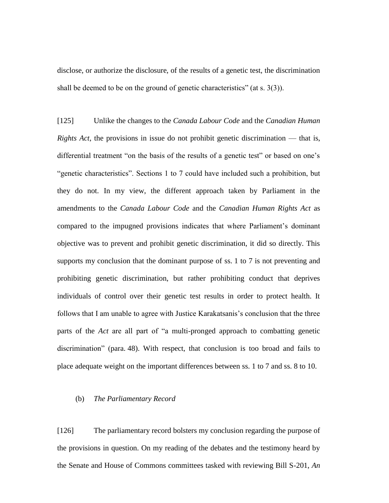disclose, or authorize the disclosure, of the results of a genetic test, the discrimination shall be deemed to be on the ground of genetic characteristics" (at s. 3(3)).

[125] Unlike the changes to the *Canada Labour Code* and the *Canadian Human Rights Act*, the provisions in issue do not prohibit genetic discrimination — that is, differential treatment "on the basis of the results of a genetic test" or based on one's "genetic characteristics". Sections 1 to 7 could have included such a prohibition, but they do not. In my view, the different approach taken by Parliament in the amendments to the *Canada Labour Code* and the *Canadian Human Rights Act* as compared to the impugned provisions indicates that where Parliament's dominant objective was to prevent and prohibit genetic discrimination, it did so directly. This supports my conclusion that the dominant purpose of ss. 1 to 7 is not preventing and prohibiting genetic discrimination, but rather prohibiting conduct that deprives individuals of control over their genetic test results in order to protect health. It follows that I am unable to agree with Justice Karakatsanis's conclusion that the three parts of the *Act* are all part of "a multi-pronged approach to combatting genetic discrimination" (para. 48). With respect, that conclusion is too broad and fails to place adequate weight on the important differences between ss. 1 to 7 and ss. 8 to 10.

#### (b) *The Parliamentary Record*

[126] The parliamentary record bolsters my conclusion regarding the purpose of the provisions in question. On my reading of the debates and the testimony heard by the Senate and House of Commons committees tasked with reviewing Bill S-201, *An*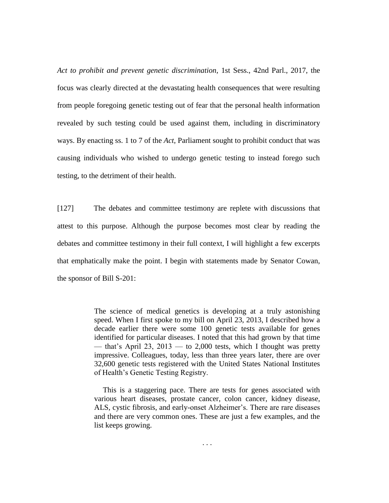*Act to prohibit and prevent genetic discrimination*, 1st Sess., 42nd Parl., 2017, the focus was clearly directed at the devastating health consequences that were resulting from people foregoing genetic testing out of fear that the personal health information revealed by such testing could be used against them, including in discriminatory ways. By enacting ss. 1 to 7 of the *Act*, Parliament sought to prohibit conduct that was causing individuals who wished to undergo genetic testing to instead forego such testing, to the detriment of their health.

[127] The debates and committee testimony are replete with discussions that attest to this purpose. Although the purpose becomes most clear by reading the debates and committee testimony in their full context, I will highlight a few excerpts that emphatically make the point. I begin with statements made by Senator Cowan, the sponsor of Bill S-201:

> The science of medical genetics is developing at a truly astonishing speed. When I first spoke to my bill on April 23, 2013, I described how a decade earlier there were some 100 genetic tests available for genes identified for particular diseases. I noted that this had grown by that time — that's April 23,  $2013$  — to 2,000 tests, which I thought was pretty impressive. Colleagues, today, less than three years later, there are over 32,600 genetic tests registered with the United States National Institutes of Health's Genetic Testing Registry.

> This is a staggering pace. There are tests for genes associated with various heart diseases, prostate cancer, colon cancer, kidney disease, ALS, cystic fibrosis, and early-onset Alzheimer's. There are rare diseases and there are very common ones. These are just a few examples, and the list keeps growing.

> > . . .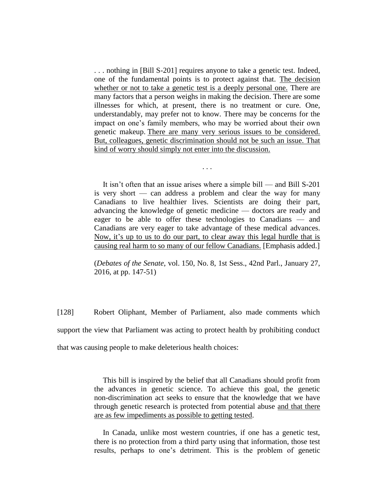. . . nothing in [Bill S-201] requires anyone to take a genetic test. Indeed, one of the fundamental points is to protect against that. The decision whether or not to take a genetic test is a deeply personal one. There are many factors that a person weighs in making the decision. There are some illnesses for which, at present, there is no treatment or cure. One, understandably, may prefer not to know. There may be concerns for the impact on one's family members, who may be worried about their own genetic makeup. There are many very serious issues to be considered. But, colleagues, genetic discrimination should not be such an issue. That kind of worry should simply not enter into the discussion.

It isn't often that an issue arises where a simple bill — and Bill S-201 is very short — can address a problem and clear the way for many Canadians to live healthier lives. Scientists are doing their part, advancing the knowledge of genetic medicine — doctors are ready and eager to be able to offer these technologies to Canadians — and Canadians are very eager to take advantage of these medical advances. Now, it's up to us to do our part, to clear away this legal hurdle that is causing real harm to so many of our fellow Canadians. [Emphasis added.]

. . .

(*Debates of the Senate*, vol. 150, No. 8, 1st Sess., 42nd Parl., January 27, 2016, at pp. 147-51)

[128] Robert Oliphant, Member of Parliament, also made comments which support the view that Parliament was acting to protect health by prohibiting conduct that was causing people to make deleterious health choices:

> This bill is inspired by the belief that all Canadians should profit from the advances in genetic science. To achieve this goal, the genetic non-discrimination act seeks to ensure that the knowledge that we have through genetic research is protected from potential abuse and that there are as few impediments as possible to getting tested.

> In Canada, unlike most western countries, if one has a genetic test, there is no protection from a third party using that information, those test results, perhaps to one's detriment. This is the problem of genetic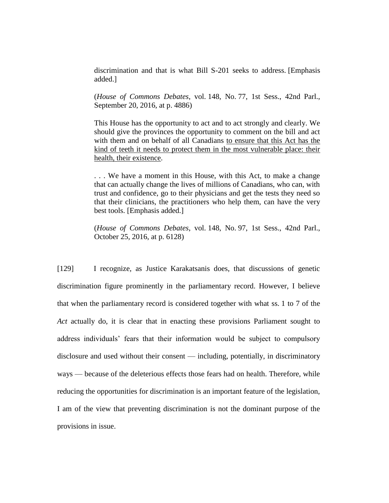discrimination and that is what Bill S-201 seeks to address. [Emphasis added.]

(*House of Commons Debates*, vol. 148, No. 77, 1st Sess., 42nd Parl., September 20, 2016, at p. 4886)

This House has the opportunity to act and to act strongly and clearly. We should give the provinces the opportunity to comment on the bill and act with them and on behalf of all Canadians to ensure that this Act has the kind of teeth it needs to protect them in the most vulnerable place: their health, their existence.

. . . We have a moment in this House, with this Act, to make a change that can actually change the lives of millions of Canadians, who can, with trust and confidence, go to their physicians and get the tests they need so that their clinicians, the practitioners who help them, can have the very best tools. [Emphasis added.]

(*House of Commons Debates*, vol. 148, No. 97, 1st Sess., 42nd Parl., October 25, 2016, at p. 6128)

[129] I recognize, as Justice Karakatsanis does, that discussions of genetic discrimination figure prominently in the parliamentary record. However, I believe that when the parliamentary record is considered together with what ss. 1 to 7 of the *Act* actually do, it is clear that in enacting these provisions Parliament sought to address individuals' fears that their information would be subject to compulsory disclosure and used without their consent — including, potentially, in discriminatory ways — because of the deleterious effects those fears had on health. Therefore, while reducing the opportunities for discrimination is an important feature of the legislation, I am of the view that preventing discrimination is not the dominant purpose of the provisions in issue.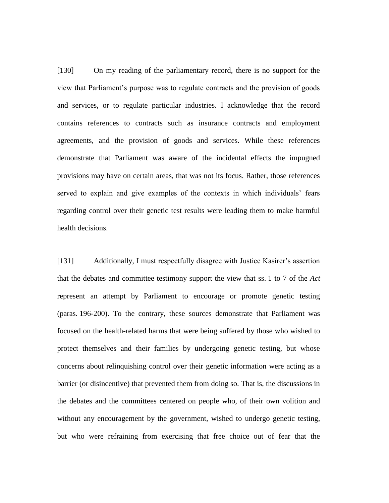[130] On my reading of the parliamentary record, there is no support for the view that Parliament's purpose was to regulate contracts and the provision of goods and services, or to regulate particular industries. I acknowledge that the record contains references to contracts such as insurance contracts and employment agreements, and the provision of goods and services. While these references demonstrate that Parliament was aware of the incidental effects the impugned provisions may have on certain areas, that was not its focus. Rather, those references served to explain and give examples of the contexts in which individuals' fears regarding control over their genetic test results were leading them to make harmful health decisions.

[131] Additionally, I must respectfully disagree with Justice Kasirer's assertion that the debates and committee testimony support the view that ss. 1 to 7 of the *Act*  represent an attempt by Parliament to encourage or promote genetic testing (paras. 196-200). To the contrary, these sources demonstrate that Parliament was focused on the health-related harms that were being suffered by those who wished to protect themselves and their families by undergoing genetic testing, but whose concerns about relinquishing control over their genetic information were acting as a barrier (or disincentive) that prevented them from doing so. That is, the discussions in the debates and the committees centered on people who, of their own volition and without any encouragement by the government, wished to undergo genetic testing, but who were refraining from exercising that free choice out of fear that the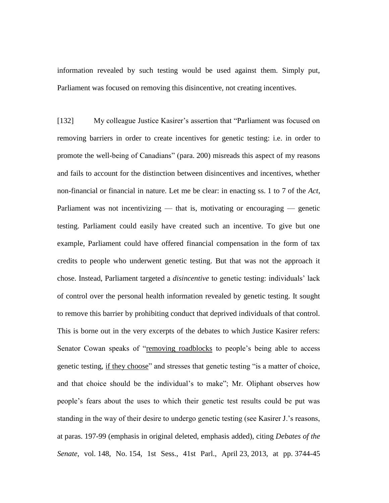information revealed by such testing would be used against them. Simply put, Parliament was focused on removing this disincentive, not creating incentives.

[132] My colleague Justice Kasirer's assertion that "Parliament was focused on removing barriers in order to create incentives for genetic testing: i.e. in order to promote the well-being of Canadians" (para. 200) misreads this aspect of my reasons and fails to account for the distinction between disincentives and incentives, whether non-financial or financial in nature. Let me be clear: in enacting ss. 1 to 7 of the *Act*, Parliament was not incentivizing — that is, motivating or encouraging — genetic testing. Parliament could easily have created such an incentive. To give but one example, Parliament could have offered financial compensation in the form of tax credits to people who underwent genetic testing. But that was not the approach it chose. Instead, Parliament targeted a *disincentive* to genetic testing: individuals' lack of control over the personal health information revealed by genetic testing. It sought to remove this barrier by prohibiting conduct that deprived individuals of that control. This is borne out in the very excerpts of the debates to which Justice Kasirer refers: Senator Cowan speaks of "removing roadblocks to people's being able to access genetic testing, if they choose" and stresses that genetic testing "is a matter of choice, and that choice should be the individual's to make"; Mr. Oliphant observes how people's fears about the uses to which their genetic test results could be put was standing in the way of their desire to undergo genetic testing (see Kasirer J.'s reasons, at paras. 197-99 (emphasis in original deleted, emphasis added), citing *Debates of the Senate*, vol. 148, No. 154, 1st Sess., 41st Parl., April 23, 2013, at pp. 3744-45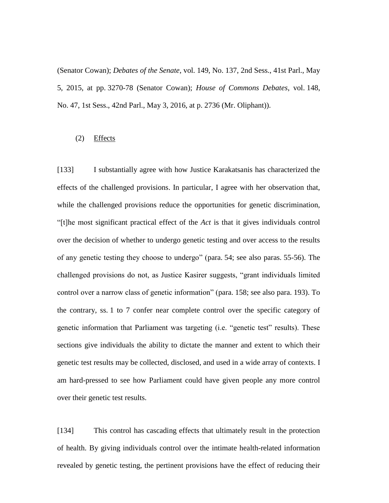(Senator Cowan); *Debates of the Senate*, vol. 149, No. 137, 2nd Sess., 41st Parl., May 5, 2015, at pp. 3270-78 (Senator Cowan); *House of Commons Debates*, vol. 148, No. 47, 1st Sess., 42nd Parl., May 3, 2016, at p. 2736 (Mr. Oliphant)).

#### (2) Effects

[133] I substantially agree with how Justice Karakatsanis has characterized the effects of the challenged provisions. In particular, I agree with her observation that, while the challenged provisions reduce the opportunities for genetic discrimination, "[t]he most significant practical effect of the *Act* is that it gives individuals control over the decision of whether to undergo genetic testing and over access to the results of any genetic testing they choose to undergo" (para. 54; see also paras. 55-56). The challenged provisions do not, as Justice Kasirer suggests, "grant individuals limited control over a narrow class of genetic information" (para. 158; see also para. 193). To the contrary, ss. 1 to 7 confer near complete control over the specific category of genetic information that Parliament was targeting (i.e. "genetic test" results). These sections give individuals the ability to dictate the manner and extent to which their genetic test results may be collected, disclosed, and used in a wide array of contexts. I am hard-pressed to see how Parliament could have given people any more control over their genetic test results.

[134] This control has cascading effects that ultimately result in the protection of health. By giving individuals control over the intimate health-related information revealed by genetic testing, the pertinent provisions have the effect of reducing their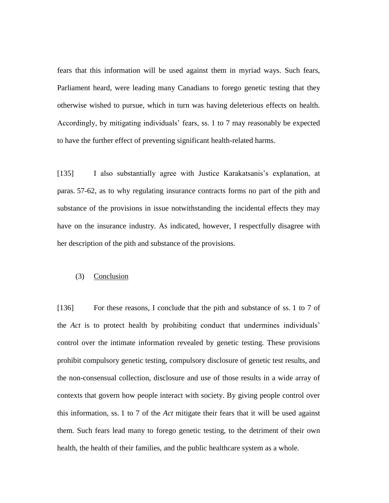fears that this information will be used against them in myriad ways. Such fears, Parliament heard, were leading many Canadians to forego genetic testing that they otherwise wished to pursue, which in turn was having deleterious effects on health. Accordingly, by mitigating individuals' fears, ss. 1 to 7 may reasonably be expected to have the further effect of preventing significant health-related harms.

[135] I also substantially agree with Justice Karakatsanis's explanation, at paras. 57-62, as to why regulating insurance contracts forms no part of the pith and substance of the provisions in issue notwithstanding the incidental effects they may have on the insurance industry. As indicated, however, I respectfully disagree with her description of the pith and substance of the provisions.

## (3) Conclusion

[136] For these reasons, I conclude that the pith and substance of ss. 1 to 7 of the *Act* is to protect health by prohibiting conduct that undermines individuals' control over the intimate information revealed by genetic testing. These provisions prohibit compulsory genetic testing, compulsory disclosure of genetic test results, and the non-consensual collection, disclosure and use of those results in a wide array of contexts that govern how people interact with society. By giving people control over this information, ss. 1 to 7 of the *Act* mitigate their fears that it will be used against them. Such fears lead many to forego genetic testing, to the detriment of their own health, the health of their families, and the public healthcare system as a whole.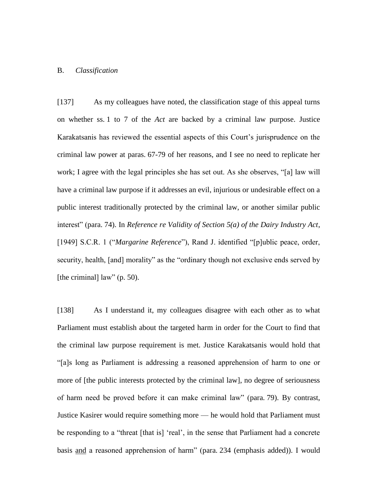## B. *Classification*

[137] As my colleagues have noted, the classification stage of this appeal turns on whether ss. 1 to 7 of the *Act* are backed by a criminal law purpose. Justice Karakatsanis has reviewed the essential aspects of this Court's jurisprudence on the criminal law power at paras. 67-79 of her reasons, and I see no need to replicate her work; I agree with the legal principles she has set out. As she observes, "[a] law will have a criminal law purpose if it addresses an evil, injurious or undesirable effect on a public interest traditionally protected by the criminal law, or another similar public interest" (para. 74). In *Reference re Validity of Section 5(a) of the Dairy Industry Act*, [1949] S.C.R. 1 ("*Margarine Reference*"), Rand J. identified "[p]ublic peace, order, security, health, [and] morality" as the "ordinary though not exclusive ends served by [the criminal] law" (p. 50).

[138] As I understand it, my colleagues disagree with each other as to what Parliament must establish about the targeted harm in order for the Court to find that the criminal law purpose requirement is met. Justice Karakatsanis would hold that "[a]s long as Parliament is addressing a reasoned apprehension of harm to one or more of [the public interests protected by the criminal law], no degree of seriousness of harm need be proved before it can make criminal law" (para. 79). By contrast, Justice Kasirer would require something more — he would hold that Parliament must be responding to a "threat [that is] 'real', in the sense that Parliament had a concrete basis and a reasoned apprehension of harm" (para. 234 (emphasis added)). I would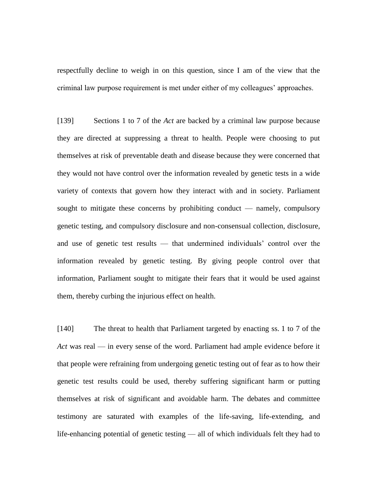respectfully decline to weigh in on this question, since I am of the view that the criminal law purpose requirement is met under either of my colleagues' approaches.

[139] Sections 1 to 7 of the *Act* are backed by a criminal law purpose because they are directed at suppressing a threat to health. People were choosing to put themselves at risk of preventable death and disease because they were concerned that they would not have control over the information revealed by genetic tests in a wide variety of contexts that govern how they interact with and in society. Parliament sought to mitigate these concerns by prohibiting conduct — namely, compulsory genetic testing, and compulsory disclosure and non-consensual collection, disclosure, and use of genetic test results — that undermined individuals' control over the information revealed by genetic testing. By giving people control over that information, Parliament sought to mitigate their fears that it would be used against them, thereby curbing the injurious effect on health.

[140] The threat to health that Parliament targeted by enacting ss. 1 to 7 of the *Act* was real — in every sense of the word. Parliament had ample evidence before it that people were refraining from undergoing genetic testing out of fear as to how their genetic test results could be used, thereby suffering significant harm or putting themselves at risk of significant and avoidable harm. The debates and committee testimony are saturated with examples of the life-saving, life-extending, and life-enhancing potential of genetic testing — all of which individuals felt they had to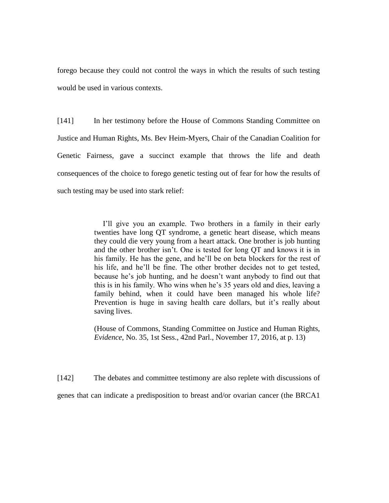forego because they could not control the ways in which the results of such testing would be used in various contexts.

[141] In her testimony before the House of Commons Standing Committee on Justice and Human Rights, Ms. Bev Heim-Myers, Chair of the Canadian Coalition for Genetic Fairness, gave a succinct example that throws the life and death consequences of the choice to forego genetic testing out of fear for how the results of such testing may be used into stark relief:

> I'll give you an example. Two brothers in a family in their early twenties have long QT syndrome, a genetic heart disease, which means they could die very young from a heart attack. One brother is job hunting and the other brother isn't. One is tested for long QT and knows it is in his family. He has the gene, and he'll be on beta blockers for the rest of his life, and he'll be fine. The other brother decides not to get tested, because he's job hunting, and he doesn't want anybody to find out that this is in his family. Who wins when he's 35 years old and dies, leaving a family behind, when it could have been managed his whole life? Prevention is huge in saving health care dollars, but it's really about saving lives.

> (House of Commons, Standing Committee on Justice and Human Rights, *Evidence*, No. 35, 1st Sess., 42nd Parl., November 17, 2016, at p. 13)

[142] The debates and committee testimony are also replete with discussions of genes that can indicate a predisposition to breast and/or ovarian cancer (the BRCA1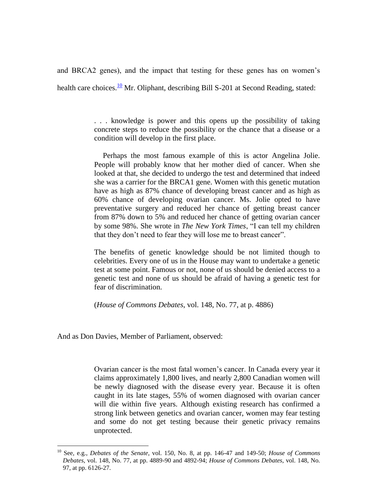and BRCA2 genes), and the impact that testing for these genes has on women's health care choices.<sup>10</sup> Mr. Oliphant, describing Bill S-201 at Second Reading, stated:

> . . . knowledge is power and this opens up the possibility of taking concrete steps to reduce the possibility or the chance that a disease or a condition will develop in the first place.

> Perhaps the most famous example of this is actor Angelina Jolie. People will probably know that her mother died of cancer. When she looked at that, she decided to undergo the test and determined that indeed she was a carrier for the BRCA1 gene. Women with this genetic mutation have as high as 87% chance of developing breast cancer and as high as 60% chance of developing ovarian cancer. Ms. Jolie opted to have preventative surgery and reduced her chance of getting breast cancer from 87% down to 5% and reduced her chance of getting ovarian cancer by some 98%. She wrote in *The New York Times*, "I can tell my children that they don't need to fear they will lose me to breast cancer".

> The benefits of genetic knowledge should be not limited though to celebrities. Every one of us in the House may want to undertake a genetic test at some point. Famous or not, none of us should be denied access to a genetic test and none of us should be afraid of having a genetic test for fear of discrimination.

(*House of Commons Debates*, vol. 148, No. 77, at p. 4886)

And as Don Davies, Member of Parliament, observed:

 $\overline{a}$ 

Ovarian cancer is the most fatal women's cancer. In Canada every year it claims approximately 1,800 lives, and nearly 2,800 Canadian women will be newly diagnosed with the disease every year. Because it is often caught in its late stages, 55% of women diagnosed with ovarian cancer will die within five years. Although existing research has confirmed a strong link between genetics and ovarian cancer, women may fear testing and some do not get testing because their genetic privacy remains unprotected.

<sup>10</sup> See, e.g., *Debates of the Senate*, vol. 150, No. 8, at pp. 146-47 and 149-50; *House of Commons Debates*, vol. 148, No. 77, at pp. 4889-90 and 4892-94; *House of Commons Debates*, vol. 148, No. 97, at pp. 6126-27.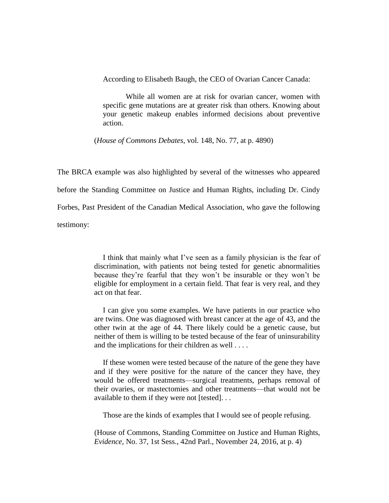According to Elisabeth Baugh, the CEO of Ovarian Cancer Canada:

While all women are at risk for ovarian cancer, women with specific gene mutations are at greater risk than others. Knowing about your genetic makeup enables informed decisions about preventive action.

(*House of Commons Debates*, vol. 148, No. 77, at p. 4890)

The BRCA example was also highlighted by several of the witnesses who appeared before the Standing Committee on Justice and Human Rights, including Dr. Cindy Forbes, Past President of the Canadian Medical Association, who gave the following testimony:

> I think that mainly what I've seen as a family physician is the fear of discrimination, with patients not being tested for genetic abnormalities because they're fearful that they won't be insurable or they won't be eligible for employment in a certain field. That fear is very real, and they act on that fear.

> I can give you some examples. We have patients in our practice who are twins. One was diagnosed with breast cancer at the age of 43, and the other twin at the age of 44. There likely could be a genetic cause, but neither of them is willing to be tested because of the fear of uninsurability and the implications for their children as well . . . .

> If these women were tested because of the nature of the gene they have and if they were positive for the nature of the cancer they have, they would be offered treatments—surgical treatments, perhaps removal of their ovaries, or mastectomies and other treatments—that would not be available to them if they were not [tested]. . .

Those are the kinds of examples that I would see of people refusing.

(House of Commons, Standing Committee on Justice and Human Rights, *Evidence*, No. 37, 1st Sess., 42nd Parl., November 24, 2016, at p. 4)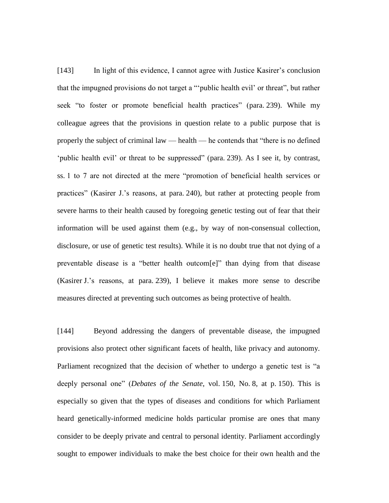[143] In light of this evidence, I cannot agree with Justice Kasirer's conclusion that the impugned provisions do not target a "'public health evil' or threat", but rather seek "to foster or promote beneficial health practices" (para. 239). While my colleague agrees that the provisions in question relate to a public purpose that is properly the subject of criminal law — health — he contends that "there is no defined 'public health evil' or threat to be suppressed" (para. 239). As I see it, by contrast, ss. 1 to 7 are not directed at the mere "promotion of beneficial health services or practices" (Kasirer J.'s reasons, at para. 240), but rather at protecting people from severe harms to their health caused by foregoing genetic testing out of fear that their information will be used against them (e.g., by way of non-consensual collection, disclosure, or use of genetic test results). While it is no doubt true that not dying of a preventable disease is a "better health outcom[e]" than dying from that disease (Kasirer J.'s reasons, at para. 239), I believe it makes more sense to describe measures directed at preventing such outcomes as being protective of health.

[144] Beyond addressing the dangers of preventable disease, the impugned provisions also protect other significant facets of health, like privacy and autonomy. Parliament recognized that the decision of whether to undergo a genetic test is "a deeply personal one" (*Debates of the Senate*, vol. 150, No. 8, at p. 150). This is especially so given that the types of diseases and conditions for which Parliament heard genetically-informed medicine holds particular promise are ones that many consider to be deeply private and central to personal identity. Parliament accordingly sought to empower individuals to make the best choice for their own health and the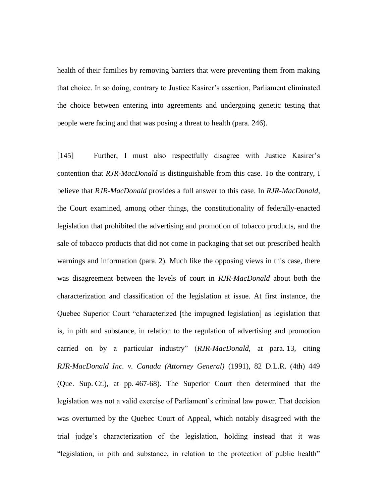health of their families by removing barriers that were preventing them from making that choice. In so doing, contrary to Justice Kasirer's assertion, Parliament eliminated the choice between entering into agreements and undergoing genetic testing that people were facing and that was posing a threat to health (para. 246).

[145] Further, I must also respectfully disagree with Justice Kasirer's contention that *RJR-MacDonald* is distinguishable from this case. To the contrary, I believe that *RJR-MacDonald* provides a full answer to this case. In *RJR-MacDonald*, the Court examined, among other things, the constitutionality of federally-enacted legislation that prohibited the advertising and promotion of tobacco products, and the sale of tobacco products that did not come in packaging that set out prescribed health warnings and information (para. 2). Much like the opposing views in this case, there was disagreement between the levels of court in *RJR-MacDonald* about both the characterization and classification of the legislation at issue. At first instance, the Quebec Superior Court "characterized [the impugned legislation] as legislation that is, in pith and substance, in relation to the regulation of advertising and promotion carried on by a particular industry" (*RJR-MacDonald*, at para. 13, citing *RJR-MacDonald Inc. v. Canada (Attorney General)* (1991), 82 D.L.R. (4th) 449 (Que. Sup. Ct.), at pp. 467-68). The Superior Court then determined that the legislation was not a valid exercise of Parliament's criminal law power. That decision was overturned by the Quebec Court of Appeal, which notably disagreed with the trial judge's characterization of the legislation, holding instead that it was "legislation, in pith and substance, in relation to the protection of public health"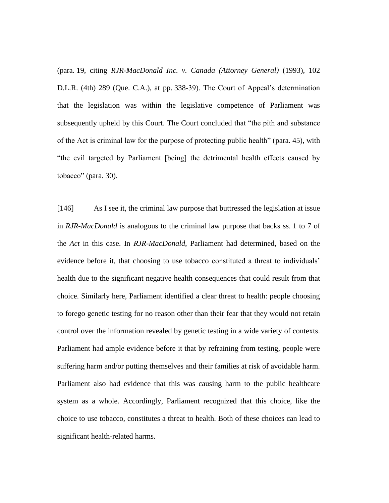(para. 19, citing *RJR-MacDonald Inc. v. Canada (Attorney General)* (1993), 102 D.L.R. (4th) 289 (Que. C.A.), at pp. 338-39). The Court of Appeal's determination that the legislation was within the legislative competence of Parliament was subsequently upheld by this Court. The Court concluded that "the pith and substance of the Act is criminal law for the purpose of protecting public health" (para. 45), with "the evil targeted by Parliament [being] the detrimental health effects caused by tobacco" (para. 30).

[146] As I see it, the criminal law purpose that buttressed the legislation at issue in *RJR-MacDonald* is analogous to the criminal law purpose that backs ss. 1 to 7 of the *Act* in this case. In *RJR-MacDonald*, Parliament had determined, based on the evidence before it, that choosing to use tobacco constituted a threat to individuals' health due to the significant negative health consequences that could result from that choice. Similarly here, Parliament identified a clear threat to health: people choosing to forego genetic testing for no reason other than their fear that they would not retain control over the information revealed by genetic testing in a wide variety of contexts. Parliament had ample evidence before it that by refraining from testing, people were suffering harm and/or putting themselves and their families at risk of avoidable harm. Parliament also had evidence that this was causing harm to the public healthcare system as a whole. Accordingly, Parliament recognized that this choice, like the choice to use tobacco, constitutes a threat to health. Both of these choices can lead to significant health-related harms.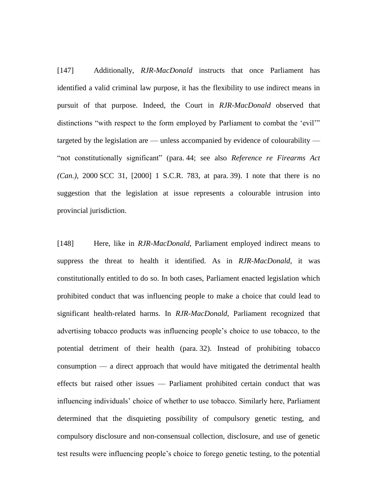[147] Additionally, *RJR-MacDonald* instructs that once Parliament has identified a valid criminal law purpose, it has the flexibility to use indirect means in pursuit of that purpose. Indeed, the Court in *RJR-MacDonald* observed that distinctions "with respect to the form employed by Parliament to combat the 'evil'" targeted by the legislation are — unless accompanied by evidence of colourability — "not constitutionally significant" (para. 44; see also *Reference re Firearms Act (Can.)*, 2000 SCC 31, [2000] 1 S.C.R. 783, at para. 39). I note that there is no suggestion that the legislation at issue represents a colourable intrusion into provincial jurisdiction.

[148] Here, like in *RJR-MacDonald*, Parliament employed indirect means to suppress the threat to health it identified. As in *RJR-MacDonald*, it was constitutionally entitled to do so. In both cases, Parliament enacted legislation which prohibited conduct that was influencing people to make a choice that could lead to significant health-related harms. In *RJR-MacDonald*, Parliament recognized that advertising tobacco products was influencing people's choice to use tobacco, to the potential detriment of their health (para. 32). Instead of prohibiting tobacco consumption — a direct approach that would have mitigated the detrimental health effects but raised other issues — Parliament prohibited certain conduct that was influencing individuals' choice of whether to use tobacco. Similarly here, Parliament determined that the disquieting possibility of compulsory genetic testing, and compulsory disclosure and non-consensual collection, disclosure, and use of genetic test results were influencing people's choice to forego genetic testing, to the potential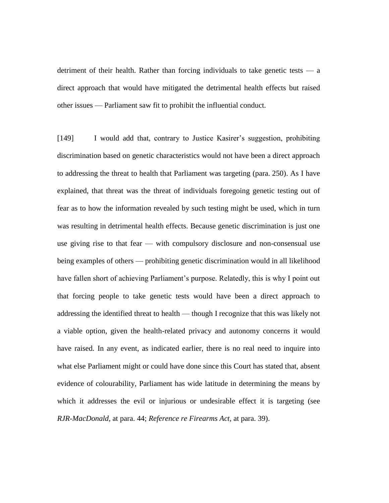detriment of their health. Rather than forcing individuals to take genetic tests — a direct approach that would have mitigated the detrimental health effects but raised other issues — Parliament saw fit to prohibit the influential conduct.

[149] I would add that, contrary to Justice Kasirer's suggestion, prohibiting discrimination based on genetic characteristics would not have been a direct approach to addressing the threat to health that Parliament was targeting (para. 250). As I have explained, that threat was the threat of individuals foregoing genetic testing out of fear as to how the information revealed by such testing might be used, which in turn was resulting in detrimental health effects. Because genetic discrimination is just one use giving rise to that fear — with compulsory disclosure and non-consensual use being examples of others — prohibiting genetic discrimination would in all likelihood have fallen short of achieving Parliament's purpose. Relatedly, this is why I point out that forcing people to take genetic tests would have been a direct approach to addressing the identified threat to health — though I recognize that this was likely not a viable option, given the health-related privacy and autonomy concerns it would have raised. In any event, as indicated earlier, there is no real need to inquire into what else Parliament might or could have done since this Court has stated that, absent evidence of colourability, Parliament has wide latitude in determining the means by which it addresses the evil or injurious or undesirable effect it is targeting (see *RJR-MacDonald*, at para. 44; *Reference re Firearms Act*, at para. 39).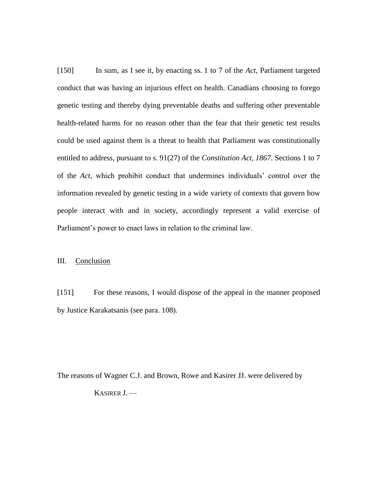[150] In sum, as I see it, by enacting ss. 1 to 7 of the *Act*, Parliament targeted conduct that was having an injurious effect on health. Canadians choosing to forego genetic testing and thereby dying preventable deaths and suffering other preventable health-related harms for no reason other than the fear that their genetic test results could be used against them is a threat to health that Parliament was constitutionally entitled to address, pursuant to s. 91(27) of the *Constitution Act, 1867*. Sections 1 to 7 of the *Act*, which prohibit conduct that undermines individuals' control over the information revealed by genetic testing in a wide variety of contexts that govern how people interact with and in society, accordingly represent a valid exercise of Parliament's power to enact laws in relation to the criminal law.

### III. Conclusion

[151] For these reasons, I would dispose of the appeal in the manner proposed by Justice Karakatsanis (see para. 108).

The reasons of Wagner C.J. and Brown, Rowe and Kasirer JJ. were delivered by KASIRER J. —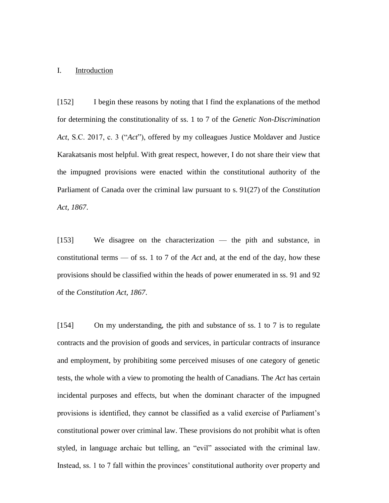## I. Introduction

[152] I begin these reasons by noting that I find the explanations of the method for determining the constitutionality of ss. 1 to 7 of the *Genetic Non-Discrimination Act*, S.C. 2017, c. 3 ("*Act*"), offered by my colleagues Justice Moldaver and Justice Karakatsanis most helpful. With great respect, however, I do not share their view that the impugned provisions were enacted within the constitutional authority of the Parliament of Canada over the criminal law pursuant to s. 91(27) of the *Constitution Act, 1867*.

[153] We disagree on the characterization — the pith and substance, in constitutional terms — of ss. 1 to 7 of the *Act* and, at the end of the day, how these provisions should be classified within the heads of power enumerated in ss. 91 and 92 of the *Constitution Act, 1867*.

[154] On my understanding, the pith and substance of ss. 1 to 7 is to regulate contracts and the provision of goods and services, in particular contracts of insurance and employment, by prohibiting some perceived misuses of one category of genetic tests, the whole with a view to promoting the health of Canadians. The *Act* has certain incidental purposes and effects, but when the dominant character of the impugned provisions is identified, they cannot be classified as a valid exercise of Parliament's constitutional power over criminal law. These provisions do not prohibit what is often styled, in language archaic but telling, an "evil" associated with the criminal law. Instead, ss. 1 to 7 fall within the provinces' constitutional authority over property and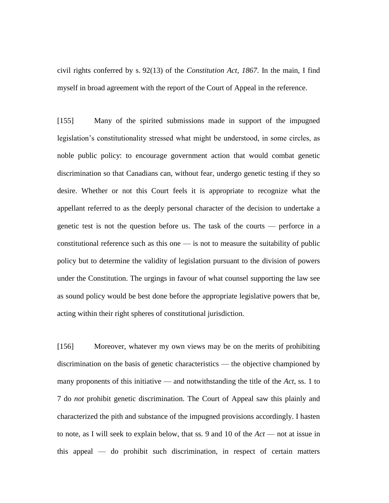civil rights conferred by s. 92(13) of the *Constitution Act, 1867*. In the main, I find myself in broad agreement with the report of the Court of Appeal in the reference.

[155] Many of the spirited submissions made in support of the impugned legislation's constitutionality stressed what might be understood, in some circles, as noble public policy: to encourage government action that would combat genetic discrimination so that Canadians can, without fear, undergo genetic testing if they so desire. Whether or not this Court feels it is appropriate to recognize what the appellant referred to as the deeply personal character of the decision to undertake a genetic test is not the question before us. The task of the courts — perforce in a constitutional reference such as this one — is not to measure the suitability of public policy but to determine the validity of legislation pursuant to the division of powers under the Constitution. The urgings in favour of what counsel supporting the law see as sound policy would be best done before the appropriate legislative powers that be, acting within their right spheres of constitutional jurisdiction.

[156] Moreover, whatever my own views may be on the merits of prohibiting discrimination on the basis of genetic characteristics — the objective championed by many proponents of this initiative — and notwithstanding the title of the *Act*, ss. 1 to 7 do *not* prohibit genetic discrimination. The Court of Appeal saw this plainly and characterized the pith and substance of the impugned provisions accordingly. I hasten to note, as I will seek to explain below, that ss. 9 and 10 of the *Act* — not at issue in this appeal — do prohibit such discrimination, in respect of certain matters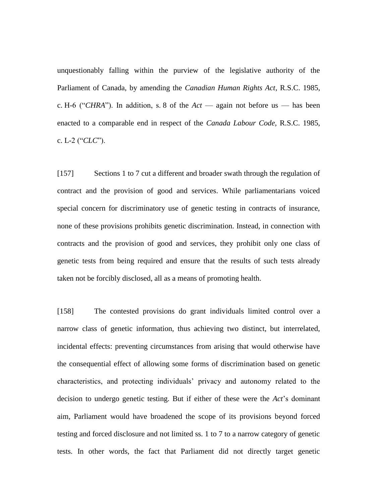unquestionably falling within the purview of the legislative authority of the Parliament of Canada, by amending the *Canadian Human Rights Act*, R.S.C. 1985, c. H-6 ("*CHRA*"). In addition, s. 8 of the *Act* — again not before us — has been enacted to a comparable end in respect of the *Canada Labour Code*, R.S.C. 1985, c. L-2 ("*CLC*").

[157] Sections 1 to 7 cut a different and broader swath through the regulation of contract and the provision of good and services. While parliamentarians voiced special concern for discriminatory use of genetic testing in contracts of insurance, none of these provisions prohibits genetic discrimination. Instead, in connection with contracts and the provision of good and services, they prohibit only one class of genetic tests from being required and ensure that the results of such tests already taken not be forcibly disclosed, all as a means of promoting health.

[158] The contested provisions do grant individuals limited control over a narrow class of genetic information, thus achieving two distinct, but interrelated, incidental effects: preventing circumstances from arising that would otherwise have the consequential effect of allowing some forms of discrimination based on genetic characteristics, and protecting individuals' privacy and autonomy related to the decision to undergo genetic testing. But if either of these were the *Act*'s dominant aim, Parliament would have broadened the scope of its provisions beyond forced testing and forced disclosure and not limited ss. 1 to 7 to a narrow category of genetic tests. In other words, the fact that Parliament did not directly target genetic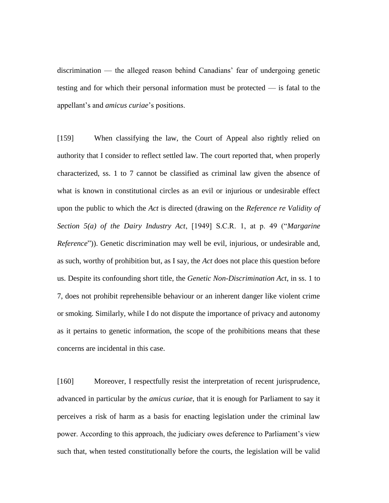discrimination — the alleged reason behind Canadians' fear of undergoing genetic testing and for which their personal information must be protected — is fatal to the appellant's and *amicus curiae*'s positions.

[159] When classifying the law, the Court of Appeal also rightly relied on authority that I consider to reflect settled law. The court reported that, when properly characterized, ss. 1 to 7 cannot be classified as criminal law given the absence of what is known in constitutional circles as an evil or injurious or undesirable effect upon the public to which the *Act* is directed (drawing on the *Reference re Validity of Section 5(a) of the Dairy Industry Act*, [1949] S.C.R. 1, at p. 49 ("*Margarine Reference*")). Genetic discrimination may well be evil, injurious, or undesirable and, as such, worthy of prohibition but, as I say, the *Act* does not place this question before us. Despite its confounding short title, the *Genetic Non-Discrimination Act*, in ss. 1 to 7, does not prohibit reprehensible behaviour or an inherent danger like violent crime or smoking. Similarly, while I do not dispute the importance of privacy and autonomy as it pertains to genetic information, the scope of the prohibitions means that these concerns are incidental in this case.

[160] Moreover, I respectfully resist the interpretation of recent jurisprudence, advanced in particular by the *amicus curiae*, that it is enough for Parliament to say it perceives a risk of harm as a basis for enacting legislation under the criminal law power. According to this approach, the judiciary owes deference to Parliament's view such that, when tested constitutionally before the courts, the legislation will be valid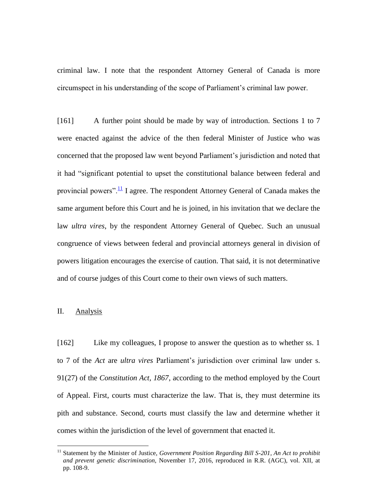criminal law. I note that the respondent Attorney General of Canada is more circumspect in his understanding of the scope of Parliament's criminal law power.

[161] A further point should be made by way of introduction. Sections 1 to 7 were enacted against the advice of the then federal Minister of Justice who was concerned that the proposed law went beyond Parliament's jurisdiction and noted that it had "significant potential to upset the constitutional balance between federal and provincial powers".<sup>11</sup> I agree. The respondent Attorney General of Canada makes the same argument before this Court and he is joined, in his invitation that we declare the law *ultra vires*, by the respondent Attorney General of Quebec. Such an unusual congruence of views between federal and provincial attorneys general in division of powers litigation encourages the exercise of caution. That said, it is not determinative and of course judges of this Court come to their own views of such matters.

# II. Analysis

 $\overline{a}$ 

[162] Like my colleagues, I propose to answer the question as to whether ss. 1 to 7 of the *Act* are *ultra vires* Parliament's jurisdiction over criminal law under s. 91(27) of the *Constitution Act, 1867*, according to the method employed by the Court of Appeal. First, courts must characterize the law. That is, they must determine its pith and substance. Second, courts must classify the law and determine whether it comes within the jurisdiction of the level of government that enacted it.

<sup>&</sup>lt;sup>11</sup> Statement by the Minister of Justice, *Government Position Regarding Bill S-201*, An Act to prohibit *and prevent genetic discrimination*, November 17, 2016, reproduced in R.R. (AGC), vol. XII, at pp. 108-9.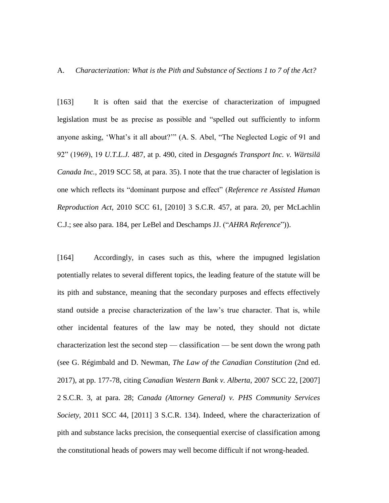A. *Characterization: What is the Pith and Substance of Sections 1 to 7 of the Act?*

[163] It is often said that the exercise of characterization of impugned legislation must be as precise as possible and "spelled out sufficiently to inform anyone asking, 'What's it all about?'" (A. S. Abel, "The Neglected Logic of 91 and 92" (1969), 19 *U.T.L.J.* 487, at p. 490, cited in *Desgagnés Transport Inc. v. Wärtsilä Canada Inc.*, 2019 SCC 58, at para. 35). I note that the true character of legislation is one which reflects its "dominant purpose and effect" (*Reference re Assisted Human Reproduction Act*, 2010 SCC 61, [2010] 3 S.C.R. 457, at para. 20, per McLachlin C.J.; see also para. 184, per LeBel and Deschamps JJ. ("*AHRA Reference*")).

[164] Accordingly, in cases such as this, where the impugned legislation potentially relates to several different topics, the leading feature of the statute will be its pith and substance, meaning that the secondary purposes and effects effectively stand outside a precise characterization of the law's true character. That is, while other incidental features of the law may be noted, they should not dictate characterization lest the second step — classification — be sent down the wrong path (see G. Régimbald and D. Newman, *The Law of the Canadian Constitution* (2nd ed. 2017), at pp. 177-78, citing *Canadian Western Bank v. Alberta*, 2007 SCC 22, [2007] 2 S.C.R. 3, at para. 28; *Canada (Attorney General) v. PHS Community Services Society*, 2011 SCC 44, [2011] 3 S.C.R. 134). Indeed, where the characterization of pith and substance lacks precision, the consequential exercise of classification among the constitutional heads of powers may well become difficult if not wrong-headed.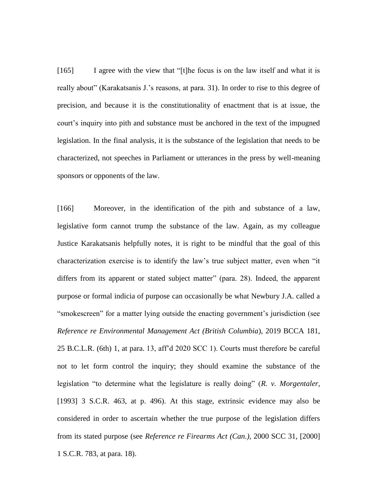[165] I agree with the view that "[t]he focus is on the law itself and what it is really about" (Karakatsanis J.'s reasons, at para. 31). In order to rise to this degree of precision, and because it is the constitutionality of enactment that is at issue, the court's inquiry into pith and substance must be anchored in the text of the impugned legislation. In the final analysis, it is the substance of the legislation that needs to be characterized, not speeches in Parliament or utterances in the press by well-meaning sponsors or opponents of the law.

[166] Moreover, in the identification of the pith and substance of a law, legislative form cannot trump the substance of the law. Again, as my colleague Justice Karakatsanis helpfully notes, it is right to be mindful that the goal of this characterization exercise is to identify the law's true subject matter, even when "it differs from its apparent or stated subject matter" (para. 28). Indeed, the apparent purpose or formal indicia of purpose can occasionally be what Newbury J.A. called a "smokescreen" for a matter lying outside the enacting government's jurisdiction (see *Reference re Environmental Management Act (British Columbia*), 2019 BCCA 181, 25 B.C.L.R. (6th) 1, at para. 13, aff'd 2020 SCC 1). Courts must therefore be careful not to let form control the inquiry; they should examine the substance of the legislation "to determine what the legislature is really doing" (*R. v. Morgentaler*, [1993] 3 S.C.R. 463, at p. 496). At this stage, extrinsic evidence may also be considered in order to ascertain whether the true purpose of the legislation differs from its stated purpose (see *Reference re Firearms Act (Can.)*, 2000 SCC 31, [2000] 1 S.C.R. 783, at para. 18).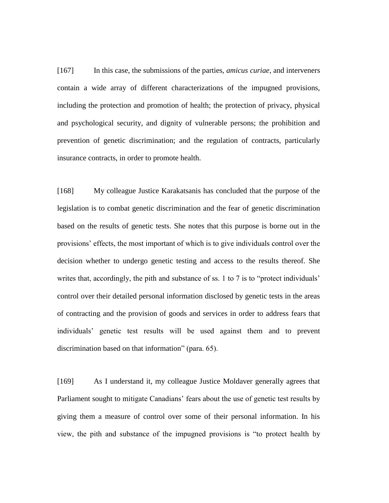[167] In this case, the submissions of the parties, *amicus curiae*, and interveners contain a wide array of different characterizations of the impugned provisions, including the protection and promotion of health; the protection of privacy, physical and psychological security, and dignity of vulnerable persons; the prohibition and prevention of genetic discrimination; and the regulation of contracts, particularly insurance contracts, in order to promote health.

[168] My colleague Justice Karakatsanis has concluded that the purpose of the legislation is to combat genetic discrimination and the fear of genetic discrimination based on the results of genetic tests. She notes that this purpose is borne out in the provisions' effects, the most important of which is to give individuals control over the decision whether to undergo genetic testing and access to the results thereof. She writes that, accordingly, the pith and substance of ss. 1 to 7 is to "protect individuals' control over their detailed personal information disclosed by genetic tests in the areas of contracting and the provision of goods and services in order to address fears that individuals' genetic test results will be used against them and to prevent discrimination based on that information" (para. 65).

[169] As I understand it, my colleague Justice Moldaver generally agrees that Parliament sought to mitigate Canadians' fears about the use of genetic test results by giving them a measure of control over some of their personal information. In his view, the pith and substance of the impugned provisions is "to protect health by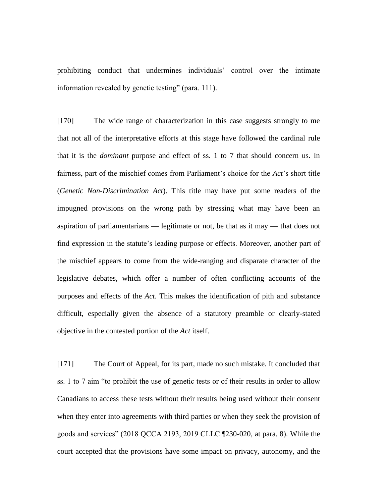prohibiting conduct that undermines individuals' control over the intimate information revealed by genetic testing" (para. 111).

[170] The wide range of characterization in this case suggests strongly to me that not all of the interpretative efforts at this stage have followed the cardinal rule that it is the *dominant* purpose and effect of ss. 1 to 7 that should concern us. In fairness, part of the mischief comes from Parliament's choice for the *Act*'s short title (*Genetic Non-Discrimination Act*). This title may have put some readers of the impugned provisions on the wrong path by stressing what may have been an aspiration of parliamentarians — legitimate or not, be that as it may — that does not find expression in the statute's leading purpose or effects. Moreover, another part of the mischief appears to come from the wide-ranging and disparate character of the legislative debates, which offer a number of often conflicting accounts of the purposes and effects of the *Act*. This makes the identification of pith and substance difficult, especially given the absence of a statutory preamble or clearly-stated objective in the contested portion of the *Act* itself.

[171] The Court of Appeal, for its part, made no such mistake. It concluded that ss. 1 to 7 aim "to prohibit the use of genetic tests or of their results in order to allow Canadians to access these tests without their results being used without their consent when they enter into agreements with third parties or when they seek the provision of goods and services" (2018 QCCA 2193, 2019 CLLC ¶230-020, at para. 8). While the court accepted that the provisions have some impact on privacy, autonomy, and the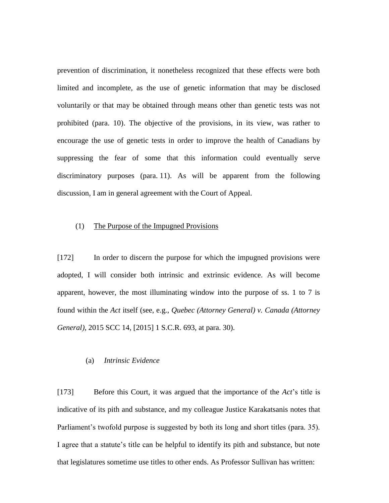prevention of discrimination, it nonetheless recognized that these effects were both limited and incomplete, as the use of genetic information that may be disclosed voluntarily or that may be obtained through means other than genetic tests was not prohibited (para. 10). The objective of the provisions, in its view, was rather to encourage the use of genetic tests in order to improve the health of Canadians by suppressing the fear of some that this information could eventually serve discriminatory purposes (para. 11). As will be apparent from the following discussion, I am in general agreement with the Court of Appeal.

## (1) The Purpose of the Impugned Provisions

[172] In order to discern the purpose for which the impugned provisions were adopted, I will consider both intrinsic and extrinsic evidence. As will become apparent, however, the most illuminating window into the purpose of ss. 1 to 7 is found within the *Act* itself (see, e.g., *Quebec (Attorney General) v. Canada (Attorney General)*, 2015 SCC 14, [2015] 1 S.C.R. 693, at para. 30).

## (a) *Intrinsic Evidence*

[173] Before this Court, it was argued that the importance of the *Act*'s title is indicative of its pith and substance, and my colleague Justice Karakatsanis notes that Parliament's twofold purpose is suggested by both its long and short titles (para. 35). I agree that a statute's title can be helpful to identify its pith and substance, but note that legislatures sometime use titles to other ends. As Professor Sullivan has written: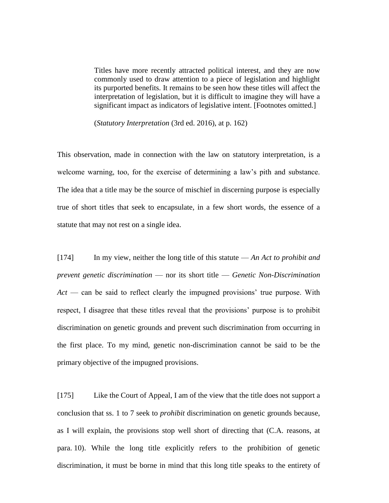Titles have more recently attracted political interest, and they are now commonly used to draw attention to a piece of legislation and highlight its purported benefits. It remains to be seen how these titles will affect the interpretation of legislation, but it is difficult to imagine they will have a significant impact as indicators of legislative intent. [Footnotes omitted.]

(*Statutory Interpretation* (3rd ed. 2016), at p. 162)

This observation, made in connection with the law on statutory interpretation, is a welcome warning, too, for the exercise of determining a law's pith and substance. The idea that a title may be the source of mischief in discerning purpose is especially true of short titles that seek to encapsulate, in a few short words, the essence of a statute that may not rest on a single idea.

[174] In my view, neither the long title of this statute — *An Act to prohibit and prevent genetic discrimination* — nor its short title — *Genetic Non-Discrimination Act* — can be said to reflect clearly the impugned provisions' true purpose. With respect, I disagree that these titles reveal that the provisions' purpose is to prohibit discrimination on genetic grounds and prevent such discrimination from occurring in the first place. To my mind, genetic non-discrimination cannot be said to be the primary objective of the impugned provisions.

[175] Like the Court of Appeal, I am of the view that the title does not support a conclusion that ss. 1 to 7 seek to *prohibit* discrimination on genetic grounds because, as I will explain, the provisions stop well short of directing that (C.A. reasons, at para. 10). While the long title explicitly refers to the prohibition of genetic discrimination, it must be borne in mind that this long title speaks to the entirety of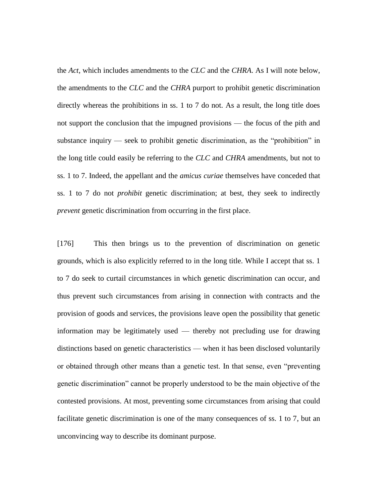the *Act*, which includes amendments to the *CLC* and the *CHRA*. As I will note below, the amendments to the *CLC* and the *CHRA* purport to prohibit genetic discrimination directly whereas the prohibitions in ss. 1 to 7 do not. As a result, the long title does not support the conclusion that the impugned provisions — the focus of the pith and substance inquiry — seek to prohibit genetic discrimination, as the "prohibition" in the long title could easily be referring to the *CLC* and *CHRA* amendments, but not to ss. 1 to 7. Indeed, the appellant and the *amicus curiae* themselves have conceded that ss. 1 to 7 do not *prohibit* genetic discrimination; at best, they seek to indirectly *prevent* genetic discrimination from occurring in the first place.

[176] This then brings us to the prevention of discrimination on genetic grounds, which is also explicitly referred to in the long title. While I accept that ss. 1 to 7 do seek to curtail circumstances in which genetic discrimination can occur, and thus prevent such circumstances from arising in connection with contracts and the provision of goods and services, the provisions leave open the possibility that genetic information may be legitimately used — thereby not precluding use for drawing distinctions based on genetic characteristics — when it has been disclosed voluntarily or obtained through other means than a genetic test. In that sense, even "preventing genetic discrimination" cannot be properly understood to be the main objective of the contested provisions. At most, preventing some circumstances from arising that could facilitate genetic discrimination is one of the many consequences of ss. 1 to 7, but an unconvincing way to describe its dominant purpose.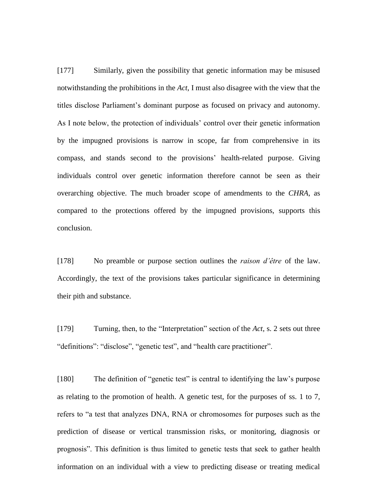[177] Similarly, given the possibility that genetic information may be misused notwithstanding the prohibitions in the *Act*, I must also disagree with the view that the titles disclose Parliament's dominant purpose as focused on privacy and autonomy. As I note below, the protection of individuals' control over their genetic information by the impugned provisions is narrow in scope, far from comprehensive in its compass, and stands second to the provisions' health-related purpose. Giving individuals control over genetic information therefore cannot be seen as their overarching objective. The much broader scope of amendments to the *CHRA*, as compared to the protections offered by the impugned provisions, supports this conclusion.

[178] No preamble or purpose section outlines the *raison d'être* of the law. Accordingly, the text of the provisions takes particular significance in determining their pith and substance.

[179] Turning, then, to the "Interpretation" section of the *Act*, s. 2 sets out three "definitions": "disclose", "genetic test", and "health care practitioner".

[180] The definition of "genetic test" is central to identifying the law's purpose as relating to the promotion of health. A genetic test, for the purposes of ss. 1 to 7, refers to "a test that analyzes DNA, RNA or chromosomes for purposes such as the prediction of disease or vertical transmission risks, or monitoring, diagnosis or prognosis". This definition is thus limited to genetic tests that seek to gather health information on an individual with a view to predicting disease or treating medical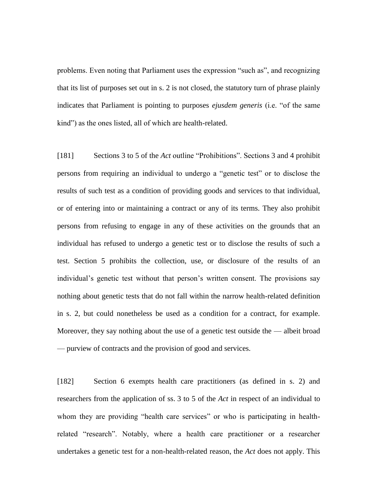problems. Even noting that Parliament uses the expression "such as", and recognizing that its list of purposes set out in s. 2 is not closed, the statutory turn of phrase plainly indicates that Parliament is pointing to purposes *ejusdem generis* (i.e. "of the same kind") as the ones listed, all of which are health-related.

[181] Sections 3 to 5 of the *Act* outline "Prohibitions". Sections 3 and 4 prohibit persons from requiring an individual to undergo a "genetic test" or to disclose the results of such test as a condition of providing goods and services to that individual, or of entering into or maintaining a contract or any of its terms. They also prohibit persons from refusing to engage in any of these activities on the grounds that an individual has refused to undergo a genetic test or to disclose the results of such a test. Section 5 prohibits the collection, use, or disclosure of the results of an individual's genetic test without that person's written consent. The provisions say nothing about genetic tests that do not fall within the narrow health-related definition in s. 2, but could nonetheless be used as a condition for a contract, for example. Moreover, they say nothing about the use of a genetic test outside the — albeit broad — purview of contracts and the provision of good and services.

[182] Section 6 exempts health care practitioners (as defined in s. 2) and researchers from the application of ss. 3 to 5 of the *Act* in respect of an individual to whom they are providing "health care services" or who is participating in healthrelated "research". Notably, where a health care practitioner or a researcher undertakes a genetic test for a non-health-related reason, the *Act* does not apply. This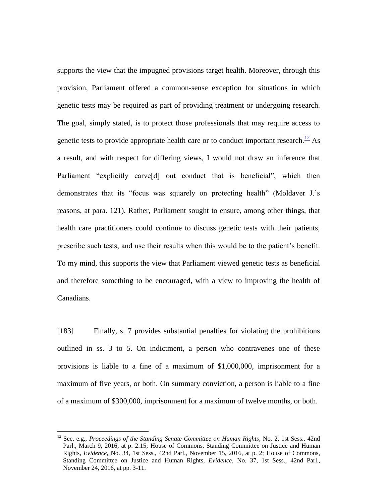supports the view that the impugned provisions target health. Moreover, through this provision, Parliament offered a common-sense exception for situations in which genetic tests may be required as part of providing treatment or undergoing research. The goal, simply stated, is to protect those professionals that may require access to genetic tests to provide appropriate health care or to conduct important research.<sup>12</sup> As a result, and with respect for differing views, I would not draw an inference that Parliament "explicitly carve<sup>[d]</sup> out conduct that is beneficial", which then demonstrates that its "focus was squarely on protecting health" (Moldaver J.'s reasons, at para. 121). Rather, Parliament sought to ensure, among other things, that health care practitioners could continue to discuss genetic tests with their patients, prescribe such tests, and use their results when this would be to the patient's benefit. To my mind, this supports the view that Parliament viewed genetic tests as beneficial and therefore something to be encouraged, with a view to improving the health of Canadians.

[183] Finally, s. 7 provides substantial penalties for violating the prohibitions outlined in ss. 3 to 5. On indictment, a person who contravenes one of these provisions is liable to a fine of a maximum of \$1,000,000, imprisonment for a maximum of five years, or both. On summary conviction, a person is liable to a fine of a maximum of \$300,000, imprisonment for a maximum of twelve months, or both.

 $\overline{a}$ 

<sup>12</sup> See, e.g., *Proceedings of the Standing Senate Committee on Human Rights*, No. 2, 1st Sess., 42nd Parl., March 9, 2016, at p. 2:15; House of Commons, Standing Committee on Justice and Human Rights, *Evidence*, No. 34, 1st Sess., 42nd Parl., November 15, 2016, at p. 2; House of Commons, Standing Committee on Justice and Human Rights, *Evidence*, No. 37, 1st Sess., 42nd Parl., November 24, 2016, at pp. 3-11.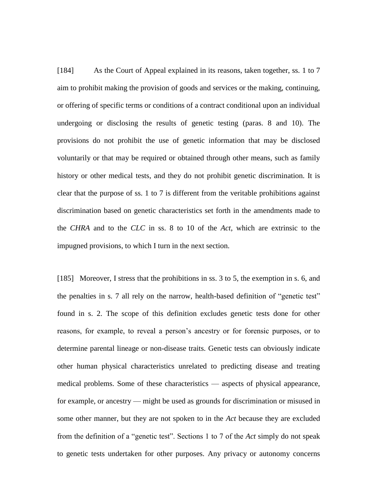[184] As the Court of Appeal explained in its reasons, taken together, ss. 1 to 7 aim to prohibit making the provision of goods and services or the making, continuing, or offering of specific terms or conditions of a contract conditional upon an individual undergoing or disclosing the results of genetic testing (paras. 8 and 10). The provisions do not prohibit the use of genetic information that may be disclosed voluntarily or that may be required or obtained through other means, such as family history or other medical tests, and they do not prohibit genetic discrimination. It is clear that the purpose of ss. 1 to 7 is different from the veritable prohibitions against discrimination based on genetic characteristics set forth in the amendments made to the *CHRA* and to the *CLC* in ss. 8 to 10 of the *Act*, which are extrinsic to the impugned provisions, to which I turn in the next section.

[185] Moreover, I stress that the prohibitions in ss. 3 to 5, the exemption in s. 6, and the penalties in s. 7 all rely on the narrow, health-based definition of "genetic test" found in s. 2. The scope of this definition excludes genetic tests done for other reasons, for example, to reveal a person's ancestry or for forensic purposes, or to determine parental lineage or non-disease traits. Genetic tests can obviously indicate other human physical characteristics unrelated to predicting disease and treating medical problems. Some of these characteristics — aspects of physical appearance, for example, or ancestry — might be used as grounds for discrimination or misused in some other manner, but they are not spoken to in the *Act* because they are excluded from the definition of a "genetic test". Sections 1 to 7 of the *Act* simply do not speak to genetic tests undertaken for other purposes. Any privacy or autonomy concerns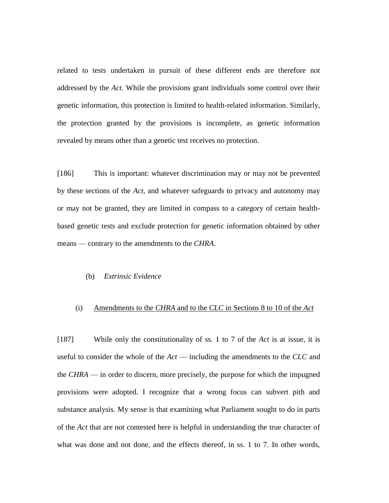related to tests undertaken in pursuit of these different ends are therefore not addressed by the *Act*. While the provisions grant individuals some control over their genetic information, this protection is limited to health-related information. Similarly, the protection granted by the provisions is incomplete, as genetic information revealed by means other than a genetic test receives no protection.

[186] This is important: whatever discrimination may or may not be prevented by these sections of the *Act*, and whatever safeguards to privacy and autonomy may or may not be granted, they are limited in compass to a category of certain healthbased genetic tests and exclude protection for genetic information obtained by other means — contrary to the amendments to the *CHRA*.

## (b) *Extrinsic Evidence*

# (i) Amendments to the *CHRA* and to the *CLC* in Sections 8 to 10 of the *Act*

[187] While only the constitutionality of ss. 1 to 7 of the *Act* is at issue, it is useful to consider the whole of the *Act* — including the amendments to the *CLC* and the *CHRA* — in order to discern, more precisely, the purpose for which the impugned provisions were adopted. I recognize that a wrong focus can subvert pith and substance analysis. My sense is that examining what Parliament sought to do in parts of the *Act* that are not contested here is helpful in understanding the true character of what was done and not done, and the effects thereof, in ss. 1 to 7. In other words,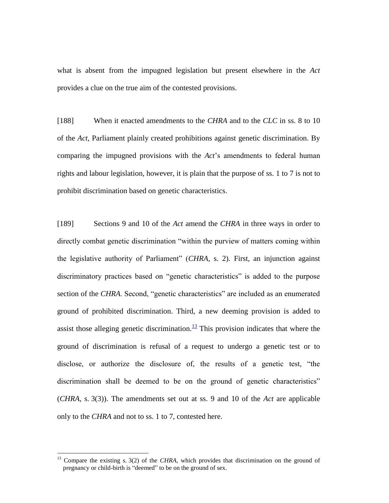what is absent from the impugned legislation but present elsewhere in the *Act* provides a clue on the true aim of the contested provisions.

[188] When it enacted amendments to the *CHRA* and to the *CLC* in ss. 8 to 10 of the *Act*, Parliament plainly created prohibitions against genetic discrimination. By comparing the impugned provisions with the *Act*'s amendments to federal human rights and labour legislation, however, it is plain that the purpose of ss. 1 to 7 is not to prohibit discrimination based on genetic characteristics.

[189] Sections 9 and 10 of the *Act* amend the *CHRA* in three ways in order to directly combat genetic discrimination "within the purview of matters coming within the legislative authority of Parliament" (*CHRA*, s. 2). First, an injunction against discriminatory practices based on "genetic characteristics" is added to the purpose section of the *CHRA*. Second, "genetic characteristics" are included as an enumerated ground of prohibited discrimination. Third, a new deeming provision is added to assist those alleging genetic discrimination.<sup>13</sup> This provision indicates that where the ground of discrimination is refusal of a request to undergo a genetic test or to disclose, or authorize the disclosure of, the results of a genetic test, "the discrimination shall be deemed to be on the ground of genetic characteristics" (*CHRA*, s. 3(3)). The amendments set out at ss. 9 and 10 of the *Act* are applicable only to the *CHRA* and not to ss. 1 to 7, contested here.

 $\overline{a}$ 

<sup>&</sup>lt;sup>13</sup> Compare the existing s. 3(2) of the *CHRA*, which provides that discrimination on the ground of pregnancy or child-birth is "deemed" to be on the ground of sex.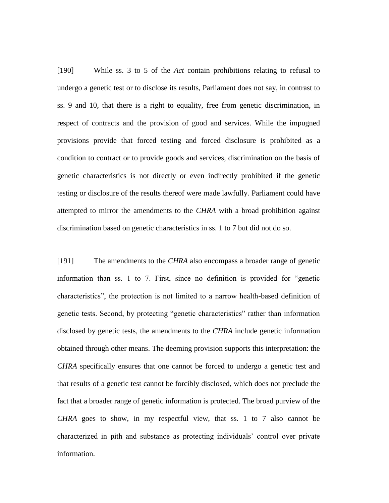[190] While ss. 3 to 5 of the *Act* contain prohibitions relating to refusal to undergo a genetic test or to disclose its results, Parliament does not say, in contrast to ss. 9 and 10, that there is a right to equality, free from genetic discrimination, in respect of contracts and the provision of good and services. While the impugned provisions provide that forced testing and forced disclosure is prohibited as a condition to contract or to provide goods and services, discrimination on the basis of genetic characteristics is not directly or even indirectly prohibited if the genetic testing or disclosure of the results thereof were made lawfully. Parliament could have attempted to mirror the amendments to the *CHRA* with a broad prohibition against discrimination based on genetic characteristics in ss. 1 to 7 but did not do so.

[191] The amendments to the *CHRA* also encompass a broader range of genetic information than ss. 1 to 7. First, since no definition is provided for "genetic characteristics", the protection is not limited to a narrow health-based definition of genetic tests. Second, by protecting "genetic characteristics" rather than information disclosed by genetic tests, the amendments to the *CHRA* include genetic information obtained through other means. The deeming provision supports this interpretation: the *CHRA* specifically ensures that one cannot be forced to undergo a genetic test and that results of a genetic test cannot be forcibly disclosed, which does not preclude the fact that a broader range of genetic information is protected. The broad purview of the *CHRA* goes to show, in my respectful view, that ss. 1 to 7 also cannot be characterized in pith and substance as protecting individuals' control over private information.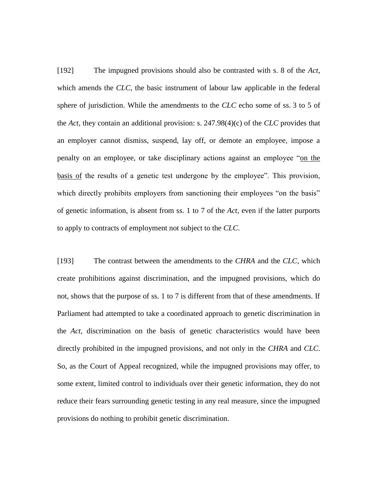[192] The impugned provisions should also be contrasted with s. 8 of the *Act*, which amends the *CLC*, the basic instrument of labour law applicable in the federal sphere of jurisdiction. While the amendments to the *CLC* echo some of ss. 3 to 5 of the *Act*, they contain an additional provision: s. 247.98(4)(c) of the *CLC* provides that an employer cannot dismiss, suspend, lay off, or demote an employee, impose a penalty on an employee, or take disciplinary actions against an employee "on the basis of the results of a genetic test undergone by the employee". This provision, which directly prohibits employers from sanctioning their employees "on the basis" of genetic information, is absent from ss. 1 to 7 of the *Act*, even if the latter purports to apply to contracts of employment not subject to the *CLC*.

[193] The contrast between the amendments to the *CHRA* and the *CLC*, which create prohibitions against discrimination, and the impugned provisions, which do not, shows that the purpose of ss. 1 to 7 is different from that of these amendments. If Parliament had attempted to take a coordinated approach to genetic discrimination in the *Act*, discrimination on the basis of genetic characteristics would have been directly prohibited in the impugned provisions, and not only in the *CHRA* and *CLC*. So, as the Court of Appeal recognized, while the impugned provisions may offer, to some extent, limited control to individuals over their genetic information, they do not reduce their fears surrounding genetic testing in any real measure, since the impugned provisions do nothing to prohibit genetic discrimination.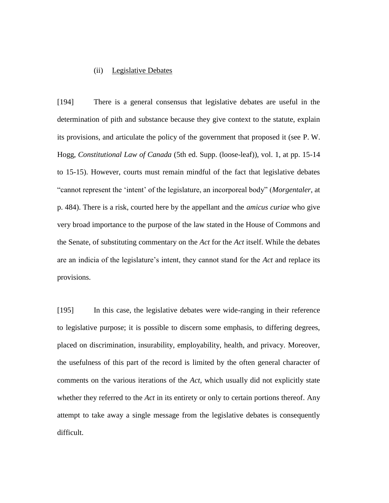## (ii) Legislative Debates

[194] There is a general consensus that legislative debates are useful in the determination of pith and substance because they give context to the statute, explain its provisions, and articulate the policy of the government that proposed it (see P. W. Hogg, *Constitutional Law of Canada* (5th ed. Supp. (loose-leaf)), vol. 1, at pp. 15-14 to 15-15). However, courts must remain mindful of the fact that legislative debates "cannot represent the 'intent' of the legislature, an incorporeal body" (*Morgentaler*, at p. 484). There is a risk, courted here by the appellant and the *amicus curiae* who give very broad importance to the purpose of the law stated in the House of Commons and the Senate, of substituting commentary on the *Act* for the *Act* itself. While the debates are an indicia of the legislature's intent, they cannot stand for the *Act* and replace its provisions.

[195] In this case, the legislative debates were wide-ranging in their reference to legislative purpose; it is possible to discern some emphasis, to differing degrees, placed on discrimination, insurability, employability, health, and privacy. Moreover, the usefulness of this part of the record is limited by the often general character of comments on the various iterations of the *Act*, which usually did not explicitly state whether they referred to the *Act* in its entirety or only to certain portions thereof. Any attempt to take away a single message from the legislative debates is consequently difficult.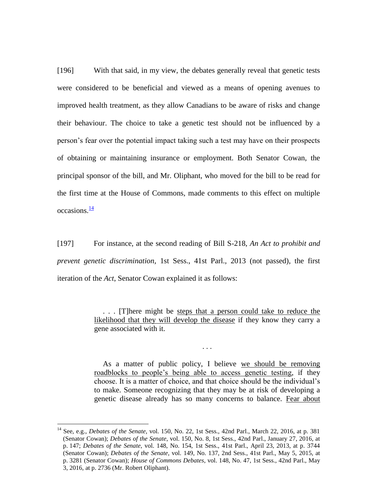[196] With that said, in my view, the debates generally reveal that genetic tests were considered to be beneficial and viewed as a means of opening avenues to improved health treatment, as they allow Canadians to be aware of risks and change their behaviour. The choice to take a genetic test should not be influenced by a person's fear over the potential impact taking such a test may have on their prospects of obtaining or maintaining insurance or employment. Both Senator Cowan, the principal sponsor of the bill, and Mr. Oliphant, who moved for the bill to be read for the first time at the House of Commons, made comments to this effect on multiple  $occasions<sup>14</sup>$ 

[197] For instance, at the second reading of Bill S-218, *An Act to prohibit and prevent genetic discrimination*, 1st Sess., 41st Parl., 2013 (not passed), the first iteration of the *Act*, Senator Cowan explained it as follows:

> . . . [T]here might be steps that a person could take to reduce the likelihood that they will develop the disease if they know they carry a gene associated with it.

> > . . .

As a matter of public policy, I believe we should be removing roadblocks to people's being able to access genetic testing, if they choose. It is a matter of choice, and that choice should be the individual's to make. Someone recognizing that they may be at risk of developing a genetic disease already has so many concerns to balance. Fear about

 $\overline{a}$ 

<sup>14</sup> See, e.g., *Debates of the Senate*, vol. 150, No. 22, 1st Sess., 42nd Parl., March 22, 2016, at p. 381 (Senator Cowan); *Debates of the Senate*, vol. 150, No. 8, 1st Sess., 42nd Parl., January 27, 2016, at p. 147; *Debates of the Senate*, vol. 148, No. 154, 1st Sess., 41st Parl., April 23, 2013, at p. 3744 (Senator Cowan); *Debates of the Senate*, vol. 149, No. 137, 2nd Sess., 41st Parl., May 5, 2015, at p. 3281 (Senator Cowan); *House of Commons Debates*, vol. 148, No. 47, 1st Sess., 42nd Parl., May 3, 2016, at p. 2736 (Mr. Robert Oliphant).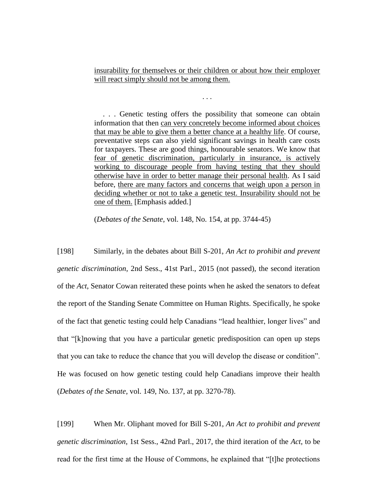insurability for themselves or their children or about how their employer will react simply should not be among them.

. . .

. . . Genetic testing offers the possibility that someone can obtain information that then can very concretely become informed about choices that may be able to give them a better chance at a healthy life. Of course, preventative steps can also yield significant savings in health care costs for taxpayers. These are good things, honourable senators. We know that fear of genetic discrimination, particularly in insurance, is actively working to discourage people from having testing that they should otherwise have in order to better manage their personal health. As I said before, there are many factors and concerns that weigh upon a person in deciding whether or not to take a genetic test. Insurability should not be one of them. [Emphasis added.]

(*Debates of the Senate*, vol. 148, No. 154, at pp. 3744-45)

[198] Similarly, in the debates about Bill S-201, *An Act to prohibit and prevent genetic discrimination*, 2nd Sess., 41st Parl., 2015 (not passed), the second iteration of the *Act*, Senator Cowan reiterated these points when he asked the senators to defeat the report of the Standing Senate Committee on Human Rights. Specifically, he spoke of the fact that genetic testing could help Canadians "lead healthier, longer lives" and that "[k]nowing that you have a particular genetic predisposition can open up steps that you can take to reduce the chance that you will develop the disease or condition". He was focused on how genetic testing could help Canadians improve their health (*Debates of the Senate*, vol. 149, No. 137, at pp. 3270-78).

[199] When Mr. Oliphant moved for Bill S-201, *An Act to prohibit and prevent genetic discrimination*, 1st Sess., 42nd Parl., 2017, the third iteration of the *Act*, to be read for the first time at the House of Commons, he explained that "[t]he protections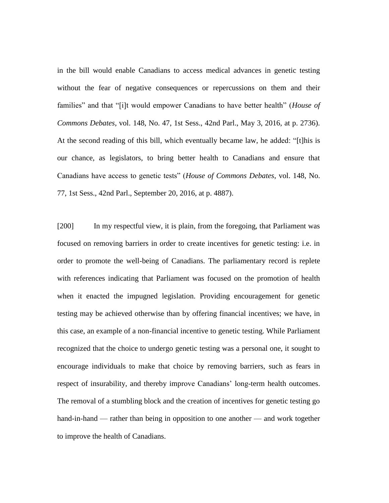in the bill would enable Canadians to access medical advances in genetic testing without the fear of negative consequences or repercussions on them and their families" and that "[i]t would empower Canadians to have better health" (*House of Commons Debates*, vol. 148, No. 47, 1st Sess., 42nd Parl., May 3, 2016, at p. 2736). At the second reading of this bill, which eventually became law, he added: "[t]his is our chance, as legislators, to bring better health to Canadians and ensure that Canadians have access to genetic tests" (*House of Commons Debates*, vol. 148, No. 77, 1st Sess., 42nd Parl., September 20, 2016, at p. 4887).

[200] In my respectful view, it is plain, from the foregoing, that Parliament was focused on removing barriers in order to create incentives for genetic testing: i.e. in order to promote the well-being of Canadians. The parliamentary record is replete with references indicating that Parliament was focused on the promotion of health when it enacted the impugned legislation. Providing encouragement for genetic testing may be achieved otherwise than by offering financial incentives; we have, in this case, an example of a non-financial incentive to genetic testing. While Parliament recognized that the choice to undergo genetic testing was a personal one, it sought to encourage individuals to make that choice by removing barriers, such as fears in respect of insurability, and thereby improve Canadians' long-term health outcomes. The removal of a stumbling block and the creation of incentives for genetic testing go hand-in-hand — rather than being in opposition to one another — and work together to improve the health of Canadians.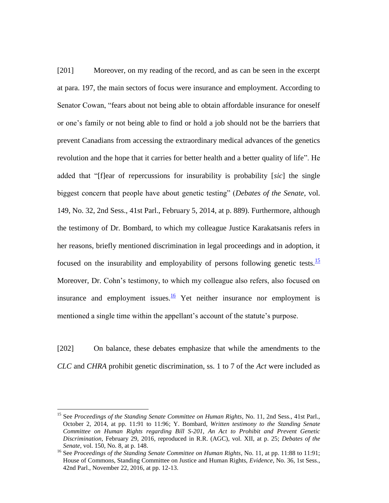[201] Moreover, on my reading of the record, and as can be seen in the excerpt at para. 197, the main sectors of focus were insurance and employment. According to Senator Cowan, "fears about not being able to obtain affordable insurance for oneself or one's family or not being able to find or hold a job should not be the barriers that prevent Canadians from accessing the extraordinary medical advances of the genetics revolution and the hope that it carries for better health and a better quality of life". He added that "[f]ear of repercussions for insurability is probability [*sic*] the single biggest concern that people have about genetic testing" (*Debates of the Senate*, vol. 149, No. 32, 2nd Sess., 41st Parl., February 5, 2014, at p. 889). Furthermore, although the testimony of Dr. Bombard, to which my colleague Justice Karakatsanis refers in her reasons, briefly mentioned discrimination in legal proceedings and in adoption, it focused on the insurability and employability of persons following genetic tests.<sup>15</sup> Moreover, Dr. Cohn's testimony, to which my colleague also refers, also focused on insurance and employment issues.<sup>16</sup> Yet neither insurance nor employment is mentioned a single time within the appellant's account of the statute's purpose.

[202] On balance, these debates emphasize that while the amendments to the *CLC* and *CHRA* prohibit genetic discrimination, ss. 1 to 7 of the *Act* were included as

 $\overline{a}$ 

<sup>&</sup>lt;sup>15</sup> See *Proceedings of the Standing Senate Committee on Human Rights*, No. 11, 2nd Sess., 41st Parl., October 2, 2014, at pp. 11:91 to 11:96; Y. Bombard, *Written testimony to the Standing Senate Committee on Human Rights regarding Bill S-201*, *An Act to Prohibit and Prevent Genetic Discrimination*, February 29, 2016, reproduced in R.R. (AGC), vol. XII, at p. 25; *Debates of the Senate*, vol. 150, No. 8, at p. 148.

<sup>&</sup>lt;sup>16</sup> See *Proceedings of the Standing Senate Committee on Human Rights*, No. 11, at pp. 11:88 to 11:91; House of Commons, Standing Committee on Justice and Human Rights, *Evidence*, No. 36, 1st Sess., 42nd Parl., November 22, 2016, at pp. 12-13.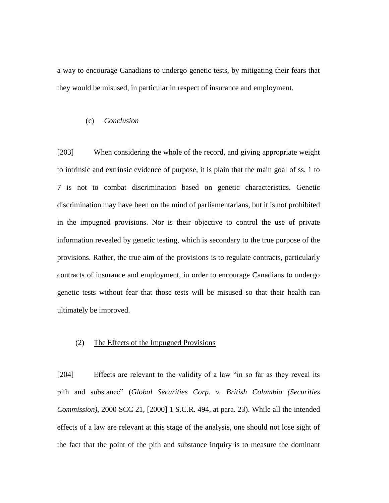a way to encourage Canadians to undergo genetic tests, by mitigating their fears that they would be misused, in particular in respect of insurance and employment.

## (c) *Conclusion*

[203] When considering the whole of the record, and giving appropriate weight to intrinsic and extrinsic evidence of purpose, it is plain that the main goal of ss. 1 to 7 is not to combat discrimination based on genetic characteristics. Genetic discrimination may have been on the mind of parliamentarians, but it is not prohibited in the impugned provisions. Nor is their objective to control the use of private information revealed by genetic testing, which is secondary to the true purpose of the provisions. Rather, the true aim of the provisions is to regulate contracts, particularly contracts of insurance and employment, in order to encourage Canadians to undergo genetic tests without fear that those tests will be misused so that their health can ultimately be improved.

# (2) The Effects of the Impugned Provisions

[204] Effects are relevant to the validity of a law "in so far as they reveal its pith and substance" (*Global Securities Corp. v. British Columbia (Securities Commission)*, 2000 SCC 21, [2000] 1 S.C.R. 494, at para. 23). While all the intended effects of a law are relevant at this stage of the analysis, one should not lose sight of the fact that the point of the pith and substance inquiry is to measure the dominant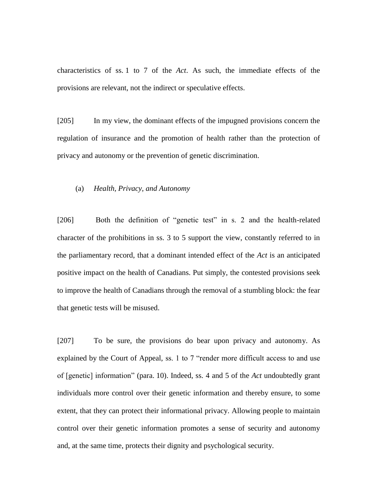characteristics of ss. 1 to 7 of the *Act*. As such, the immediate effects of the provisions are relevant, not the indirect or speculative effects.

[205] In my view, the dominant effects of the impugned provisions concern the regulation of insurance and the promotion of health rather than the protection of privacy and autonomy or the prevention of genetic discrimination.

## (a) *Health, Privacy, and Autonomy*

[206] Both the definition of "genetic test" in s. 2 and the health-related character of the prohibitions in ss. 3 to 5 support the view, constantly referred to in the parliamentary record, that a dominant intended effect of the *Act* is an anticipated positive impact on the health of Canadians. Put simply, the contested provisions seek to improve the health of Canadians through the removal of a stumbling block: the fear that genetic tests will be misused.

[207] To be sure, the provisions do bear upon privacy and autonomy. As explained by the Court of Appeal, ss. 1 to 7 "render more difficult access to and use of [genetic] information" (para. 10). Indeed, ss. 4 and 5 of the *Act* undoubtedly grant individuals more control over their genetic information and thereby ensure, to some extent, that they can protect their informational privacy. Allowing people to maintain control over their genetic information promotes a sense of security and autonomy and, at the same time, protects their dignity and psychological security.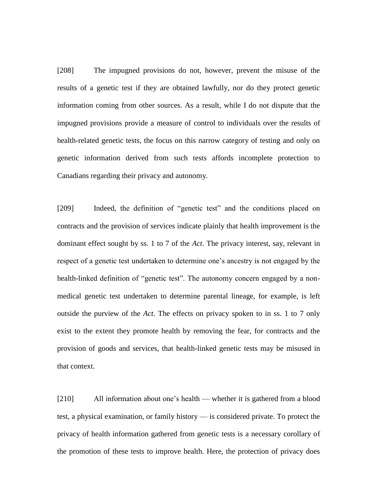[208] The impugned provisions do not, however, prevent the misuse of the results of a genetic test if they are obtained lawfully, nor do they protect genetic information coming from other sources. As a result, while I do not dispute that the impugned provisions provide a measure of control to individuals over the results of health-related genetic tests, the focus on this narrow category of testing and only on genetic information derived from such tests affords incomplete protection to Canadians regarding their privacy and autonomy.

[209] Indeed, the definition of "genetic test" and the conditions placed on contracts and the provision of services indicate plainly that health improvement is the dominant effect sought by ss. 1 to 7 of the *Act*. The privacy interest, say, relevant in respect of a genetic test undertaken to determine one's ancestry is not engaged by the health-linked definition of "genetic test". The autonomy concern engaged by a nonmedical genetic test undertaken to determine parental lineage, for example, is left outside the purview of the *Act*. The effects on privacy spoken to in ss. 1 to 7 only exist to the extent they promote health by removing the fear, for contracts and the provision of goods and services, that health-linked genetic tests may be misused in that context.

[210] All information about one's health — whether it is gathered from a blood test, a physical examination, or family history — is considered private. To protect the privacy of health information gathered from genetic tests is a necessary corollary of the promotion of these tests to improve health. Here, the protection of privacy does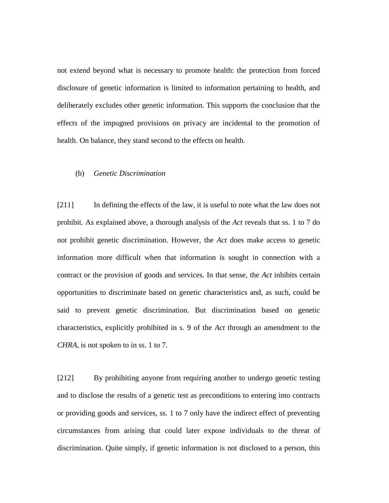not extend beyond what is necessary to promote health: the protection from forced disclosure of genetic information is limited to information pertaining to health, and deliberately excludes other genetic information. This supports the conclusion that the effects of the impugned provisions on privacy are incidental to the promotion of health. On balance, they stand second to the effects on health.

## (b) *Genetic Discrimination*

[211] In defining the effects of the law, it is useful to note what the law does not prohibit. As explained above, a thorough analysis of the *Act* reveals that ss. 1 to 7 do not prohibit genetic discrimination. However, the *Act* does make access to genetic information more difficult when that information is sought in connection with a contract or the provision of goods and services. In that sense, the *Act* inhibits certain opportunities to discriminate based on genetic characteristics and, as such, could be said to prevent genetic discrimination. But discrimination based on genetic characteristics, explicitly prohibited in s. 9 of the *Act* through an amendment to the *CHRA*, is not spoken to in ss. 1 to 7.

[212] By prohibiting anyone from requiring another to undergo genetic testing and to disclose the results of a genetic test as preconditions to entering into contracts or providing goods and services, ss. 1 to 7 only have the indirect effect of preventing circumstances from arising that could later expose individuals to the threat of discrimination. Quite simply, if genetic information is not disclosed to a person, this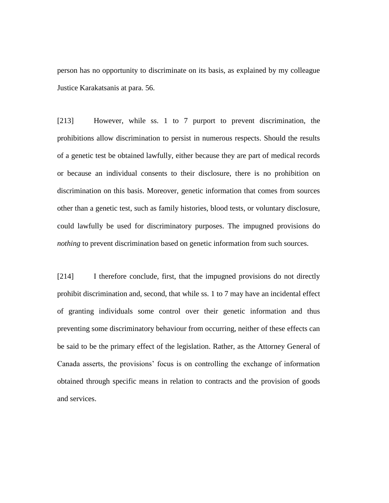person has no opportunity to discriminate on its basis, as explained by my colleague Justice Karakatsanis at para. 56.

[213] However, while ss. 1 to 7 purport to prevent discrimination, the prohibitions allow discrimination to persist in numerous respects. Should the results of a genetic test be obtained lawfully, either because they are part of medical records or because an individual consents to their disclosure, there is no prohibition on discrimination on this basis. Moreover, genetic information that comes from sources other than a genetic test, such as family histories, blood tests, or voluntary disclosure, could lawfully be used for discriminatory purposes. The impugned provisions do *nothing* to prevent discrimination based on genetic information from such sources.

[214] I therefore conclude, first, that the impugned provisions do not directly prohibit discrimination and, second, that while ss. 1 to 7 may have an incidental effect of granting individuals some control over their genetic information and thus preventing some discriminatory behaviour from occurring, neither of these effects can be said to be the primary effect of the legislation. Rather, as the Attorney General of Canada asserts, the provisions' focus is on controlling the exchange of information obtained through specific means in relation to contracts and the provision of goods and services.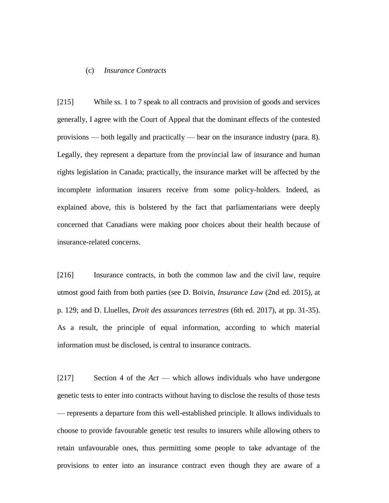#### (c) *Insurance Contracts*

[215] While ss. 1 to 7 speak to all contracts and provision of goods and services generally, I agree with the Court of Appeal that the dominant effects of the contested provisions — both legally and practically — bear on the insurance industry (para. 8). Legally, they represent a departure from the provincial law of insurance and human rights legislation in Canada; practically, the insurance market will be affected by the incomplete information insurers receive from some policy-holders. Indeed, as explained above, this is bolstered by the fact that parliamentarians were deeply concerned that Canadians were making poor choices about their health because of insurance-related concerns.

[216] Insurance contracts, in both the common law and the civil law, require utmost good faith from both parties (see D. Boivin, *Insurance Law* (2nd ed. 2015), at p. 129; and D. Lluelles, *Droit des assurances terrestres* (6th ed. 2017), at pp. 31-35). As a result, the principle of equal information, according to which material information must be disclosed, is central to insurance contracts.

[217] Section 4 of the *Act* — which allows individuals who have undergone genetic tests to enter into contracts without having to disclose the results of those tests — represents a departure from this well-established principle. It allows individuals to choose to provide favourable genetic test results to insurers while allowing others to retain unfavourable ones, thus permitting some people to take advantage of the provisions to enter into an insurance contract even though they are aware of a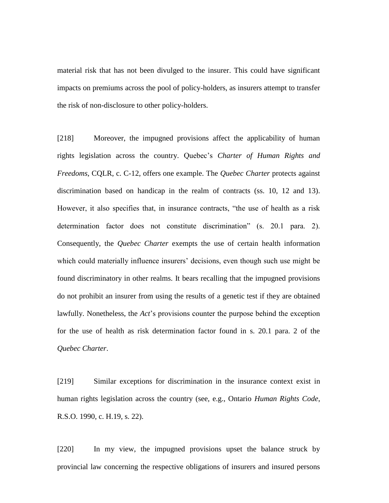material risk that has not been divulged to the insurer. This could have significant impacts on premiums across the pool of policy-holders, as insurers attempt to transfer the risk of non-disclosure to other policy-holders.

[218] Moreover, the impugned provisions affect the applicability of human rights legislation across the country. Quebec's *Charter of Human Rights and Freedoms*, CQLR, c. C-12, offers one example. The *Quebec Charter* protects against discrimination based on handicap in the realm of contracts (ss. 10, 12 and 13). However, it also specifies that, in insurance contracts, "the use of health as a risk determination factor does not constitute discrimination" (s. 20.1 para. 2). Consequently, the *Quebec Charter* exempts the use of certain health information which could materially influence insurers' decisions, even though such use might be found discriminatory in other realms. It bears recalling that the impugned provisions do not prohibit an insurer from using the results of a genetic test if they are obtained lawfully. Nonetheless, the *Act*'s provisions counter the purpose behind the exception for the use of health as risk determination factor found in s. 20.1 para. 2 of the *Quebec Charter*.

[219] Similar exceptions for discrimination in the insurance context exist in human rights legislation across the country (see, e.g., Ontario *Human Rights Code*, R.S.O. 1990, c. H.19, s. 22).

[220] In my view, the impugned provisions upset the balance struck by provincial law concerning the respective obligations of insurers and insured persons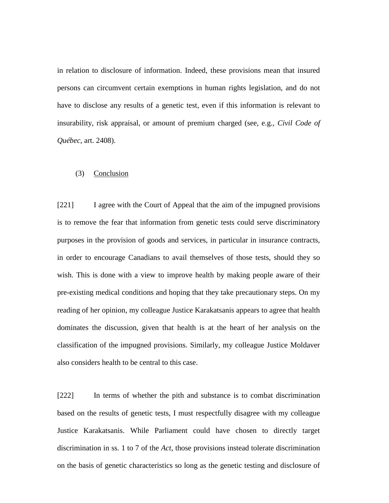in relation to disclosure of information. Indeed, these provisions mean that insured persons can circumvent certain exemptions in human rights legislation, and do not have to disclose any results of a genetic test, even if this information is relevant to insurability, risk appraisal, or amount of premium charged (see, e.g., *Civil Code of Québec*, art. 2408).

## (3) Conclusion

[221] I agree with the Court of Appeal that the aim of the impugned provisions is to remove the fear that information from genetic tests could serve discriminatory purposes in the provision of goods and services, in particular in insurance contracts, in order to encourage Canadians to avail themselves of those tests, should they so wish. This is done with a view to improve health by making people aware of their pre-existing medical conditions and hoping that they take precautionary steps. On my reading of her opinion, my colleague Justice Karakatsanis appears to agree that health dominates the discussion, given that health is at the heart of her analysis on the classification of the impugned provisions. Similarly, my colleague Justice Moldaver also considers health to be central to this case.

[222] In terms of whether the pith and substance is to combat discrimination based on the results of genetic tests, I must respectfully disagree with my colleague Justice Karakatsanis. While Parliament could have chosen to directly target discrimination in ss. 1 to 7 of the *Act*, those provisions instead tolerate discrimination on the basis of genetic characteristics so long as the genetic testing and disclosure of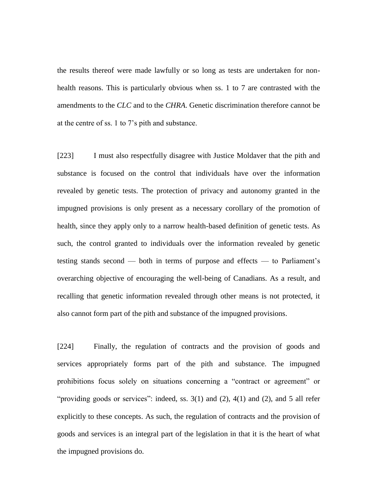the results thereof were made lawfully or so long as tests are undertaken for nonhealth reasons. This is particularly obvious when ss. 1 to 7 are contrasted with the amendments to the *CLC* and to the *CHRA*. Genetic discrimination therefore cannot be at the centre of ss. 1 to 7's pith and substance.

[223] I must also respectfully disagree with Justice Moldaver that the pith and substance is focused on the control that individuals have over the information revealed by genetic tests. The protection of privacy and autonomy granted in the impugned provisions is only present as a necessary corollary of the promotion of health, since they apply only to a narrow health-based definition of genetic tests. As such, the control granted to individuals over the information revealed by genetic testing stands second — both in terms of purpose and effects — to Parliament's overarching objective of encouraging the well-being of Canadians. As a result, and recalling that genetic information revealed through other means is not protected, it also cannot form part of the pith and substance of the impugned provisions.

[224] Finally, the regulation of contracts and the provision of goods and services appropriately forms part of the pith and substance. The impugned prohibitions focus solely on situations concerning a "contract or agreement" or "providing goods or services": indeed, ss.  $3(1)$  and  $(2)$ ,  $4(1)$  and  $(2)$ , and 5 all refer explicitly to these concepts. As such, the regulation of contracts and the provision of goods and services is an integral part of the legislation in that it is the heart of what the impugned provisions do.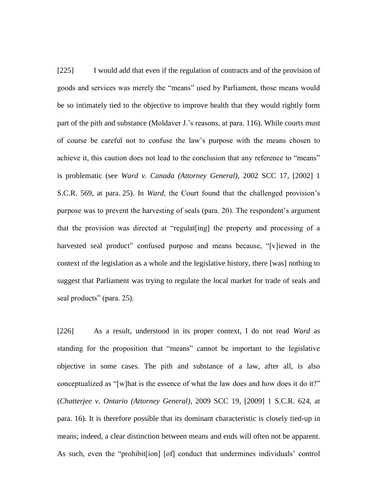[225] I would add that even if the regulation of contracts and of the provision of goods and services was merely the "means" used by Parliament, those means would be so intimately tied to the objective to improve health that they would rightly form part of the pith and substance (Moldaver J.'s reasons, at para. 116). While courts must of course be careful not to confuse the law's purpose with the means chosen to achieve it, this caution does not lead to the conclusion that any reference to "means" is problematic (see *Ward v. Canada (Attorney General)*, 2002 SCC 17, [2002] 1 S.C.R. 569, at para. 25). In *Ward*, the Court found that the challenged provision's purpose was to prevent the harvesting of seals (para. 20). The respondent's argument that the provision was directed at "regulat[ing] the property and processing of a harvested seal product" confused purpose and means because, "[v]iewed in the context of the legislation as a whole and the legislative history, there [was] nothing to suggest that Parliament was trying to regulate the local market for trade of seals and seal products" (para. 25).

[226] As a result, understood in its proper context, I do not read *Ward* as standing for the proposition that "means" cannot be important to the legislative objective in some cases. The pith and substance of a law, after all, is also conceptualized as "[w]hat is the essence of what the law does and how does it do it?" (*Chatterjee v. Ontario (Attorney General)*, 2009 SCC 19, [2009] 1 S.C.R. 624, at para. 16). It is therefore possible that its dominant characteristic is closely tied-up in means; indeed, a clear distinction between means and ends will often not be apparent. As such, even the "prohibit[ion] [of] conduct that undermines individuals' control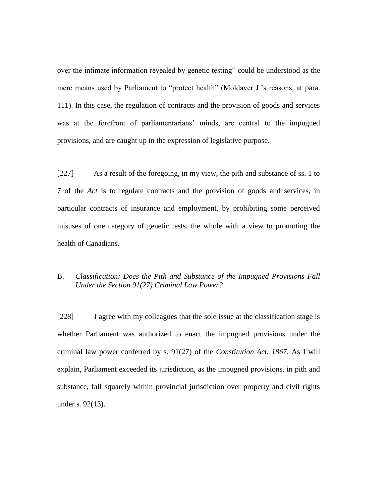over the intimate information revealed by genetic testing" could be understood as the mere means used by Parliament to "protect health" (Moldaver J.'s reasons, at para. 111). In this case, the regulation of contracts and the provision of goods and services was at the forefront of parliamentarians' minds, are central to the impugned provisions, and are caught up in the expression of legislative purpose.

[227] As a result of the foregoing, in my view, the pith and substance of ss. 1 to 7 of the *Act* is to regulate contracts and the provision of goods and services, in particular contracts of insurance and employment, by prohibiting some perceived misuses of one category of genetic tests, the whole with a view to promoting the health of Canadians.

# B. *Classification: Does the Pith and Substance of the Impugned Provisions Fall Under the Section 91(27) Criminal Law Power?*

[228] I agree with my colleagues that the sole issue at the classification stage is whether Parliament was authorized to enact the impugned provisions under the criminal law power conferred by s. 91(27) of the *Constitution Act, 1867*. As I will explain, Parliament exceeded its jurisdiction, as the impugned provisions, in pith and substance, fall squarely within provincial jurisdiction over property and civil rights under s. 92(13).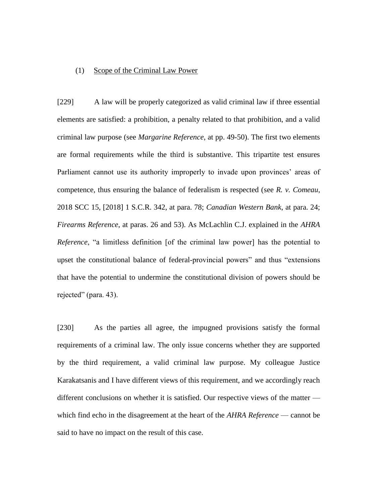#### (1) Scope of the Criminal Law Power

[229] A law will be properly categorized as valid criminal law if three essential elements are satisfied: a prohibition, a penalty related to that prohibition, and a valid criminal law purpose (see *Margarine Reference*, at pp. 49-50). The first two elements are formal requirements while the third is substantive. This tripartite test ensures Parliament cannot use its authority improperly to invade upon provinces' areas of competence, thus ensuring the balance of federalism is respected (see *R. v. Comeau*, 2018 SCC 15, [2018] 1 S.C.R. 342, at para. 78; *Canadian Western Bank*, at para. 24; *Firearms Reference*, at paras. 26 and 53). As McLachlin C.J. explained in the *AHRA Reference*, "a limitless definition [of the criminal law power] has the potential to upset the constitutional balance of federal-provincial powers" and thus "extensions that have the potential to undermine the constitutional division of powers should be rejected" (para. 43).

[230] As the parties all agree, the impugned provisions satisfy the formal requirements of a criminal law. The only issue concerns whether they are supported by the third requirement, a valid criminal law purpose. My colleague Justice Karakatsanis and I have different views of this requirement, and we accordingly reach different conclusions on whether it is satisfied. Our respective views of the matter which find echo in the disagreement at the heart of the *AHRA Reference* — cannot be said to have no impact on the result of this case.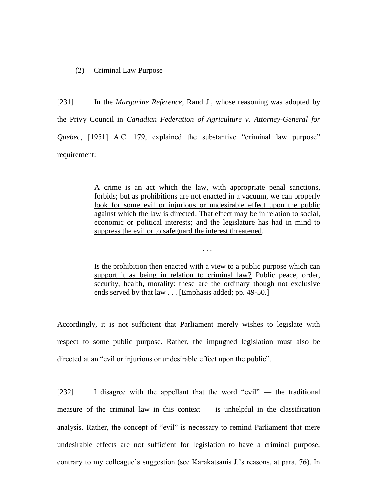# (2) Criminal Law Purpose

[231] In the *Margarine Reference*, Rand J., whose reasoning was adopted by the Privy Council in *Canadian Federation of Agriculture v. Attorney-General for Quebec*, [1951] A.C. 179, explained the substantive "criminal law purpose" requirement:

> A crime is an act which the law, with appropriate penal sanctions, forbids; but as prohibitions are not enacted in a vacuum, we can properly look for some evil or injurious or undesirable effect upon the public against which the law is directed. That effect may be in relation to social, economic or political interests; and the legislature has had in mind to suppress the evil or to safeguard the interest threatened.

> Is the prohibition then enacted with a view to a public purpose which can support it as being in relation to criminal law? Public peace, order, security, health, morality: these are the ordinary though not exclusive ends served by that law . . . [Emphasis added; pp. 49-50.]

. . .

Accordingly, it is not sufficient that Parliament merely wishes to legislate with respect to some public purpose. Rather, the impugned legislation must also be directed at an "evil or injurious or undesirable effect upon the public".

[232] I disagree with the appellant that the word "evil" — the traditional measure of the criminal law in this context  $-$  is unhelpful in the classification analysis. Rather, the concept of "evil" is necessary to remind Parliament that mere undesirable effects are not sufficient for legislation to have a criminal purpose, contrary to my colleague's suggestion (see Karakatsanis J.'s reasons, at para. 76). In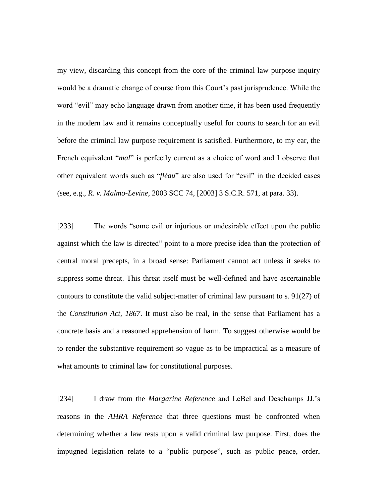my view, discarding this concept from the core of the criminal law purpose inquiry would be a dramatic change of course from this Court's past jurisprudence. While the word "evil" may echo language drawn from another time, it has been used frequently in the modern law and it remains conceptually useful for courts to search for an evil before the criminal law purpose requirement is satisfied. Furthermore, to my ear, the French equivalent "*mal*" is perfectly current as a choice of word and I observe that other equivalent words such as "*fléau*" are also used for "evil" in the decided cases (see, e.g., *R. v. Malmo-Levine*, 2003 SCC 74, [2003] 3 S.C.R. 571, at para. 33).

[233] The words "some evil or injurious or undesirable effect upon the public against which the law is directed" point to a more precise idea than the protection of central moral precepts, in a broad sense: Parliament cannot act unless it seeks to suppress some threat. This threat itself must be well-defined and have ascertainable contours to constitute the valid subject-matter of criminal law pursuant to s. 91(27) of the *Constitution Act, 1867*. It must also be real, in the sense that Parliament has a concrete basis and a reasoned apprehension of harm. To suggest otherwise would be to render the substantive requirement so vague as to be impractical as a measure of what amounts to criminal law for constitutional purposes.

[234] I draw from the *Margarine Reference* and LeBel and Deschamps JJ.'s reasons in the *AHRA Reference* that three questions must be confronted when determining whether a law rests upon a valid criminal law purpose. First, does the impugned legislation relate to a "public purpose", such as public peace, order,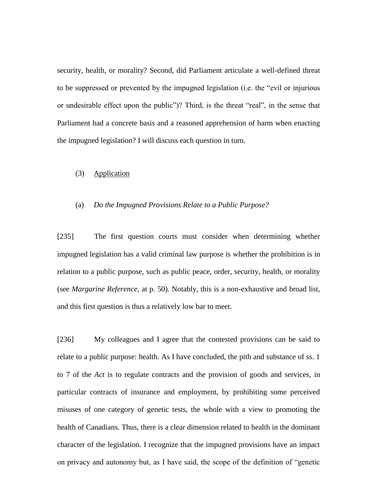security, health, or morality? Second, did Parliament articulate a well-defined threat to be suppressed or prevented by the impugned legislation (i.e. the "evil or injurious or undesirable effect upon the public")? Third, is the threat "real", in the sense that Parliament had a concrete basis and a reasoned apprehension of harm when enacting the impugned legislation? I will discuss each question in turn.

#### (3) Application

#### (a) *Do the Impugned Provisions Relate to a Public Purpose?*

[235] The first question courts must consider when determining whether impugned legislation has a valid criminal law purpose is whether the prohibition is in relation to a public purpose, such as public peace, order, security, health, or morality (see *Margarine Reference*, at p. 50). Notably, this is a non-exhaustive and broad list, and this first question is thus a relatively low bar to meet.

[236] My colleagues and I agree that the contested provisions can be said to relate to a public purpose: health. As I have concluded, the pith and substance of ss. 1 to 7 of the *Act* is to regulate contracts and the provision of goods and services, in particular contracts of insurance and employment, by prohibiting some perceived misuses of one category of genetic tests, the whole with a view to promoting the health of Canadians. Thus, there is a clear dimension related to health in the dominant character of the legislation. I recognize that the impugned provisions have an impact on privacy and autonomy but, as I have said, the scope of the definition of "genetic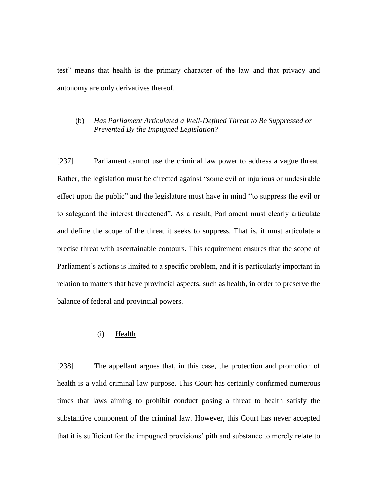test" means that health is the primary character of the law and that privacy and autonomy are only derivatives thereof.

# (b) *Has Parliament Articulated a Well-Defined Threat to Be Suppressed or Prevented By the Impugned Legislation?*

[237] Parliament cannot use the criminal law power to address a vague threat. Rather, the legislation must be directed against "some evil or injurious or undesirable effect upon the public" and the legislature must have in mind "to suppress the evil or to safeguard the interest threatened". As a result, Parliament must clearly articulate and define the scope of the threat it seeks to suppress. That is, it must articulate a precise threat with ascertainable contours. This requirement ensures that the scope of Parliament's actions is limited to a specific problem, and it is particularly important in relation to matters that have provincial aspects, such as health, in order to preserve the balance of federal and provincial powers.

#### (i) Health

[238] The appellant argues that, in this case, the protection and promotion of health is a valid criminal law purpose. This Court has certainly confirmed numerous times that laws aiming to prohibit conduct posing a threat to health satisfy the substantive component of the criminal law. However, this Court has never accepted that it is sufficient for the impugned provisions' pith and substance to merely relate to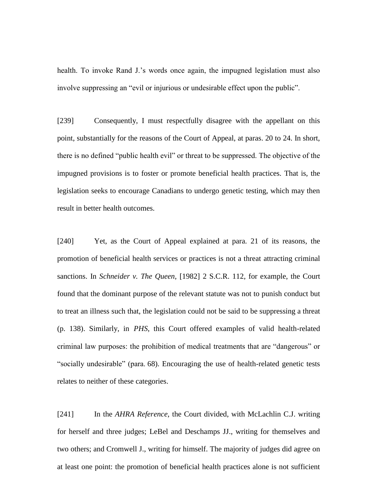health. To invoke Rand J.'s words once again, the impugned legislation must also involve suppressing an "evil or injurious or undesirable effect upon the public".

[239] Consequently, I must respectfully disagree with the appellant on this point, substantially for the reasons of the Court of Appeal, at paras. 20 to 24. In short, there is no defined "public health evil" or threat to be suppressed. The objective of the impugned provisions is to foster or promote beneficial health practices. That is, the legislation seeks to encourage Canadians to undergo genetic testing, which may then result in better health outcomes.

[240] Yet, as the Court of Appeal explained at para. 21 of its reasons, the promotion of beneficial health services or practices is not a threat attracting criminal sanctions. In *Schneider v. The Queen*, [1982] 2 S.C.R. 112, for example, the Court found that the dominant purpose of the relevant statute was not to punish conduct but to treat an illness such that, the legislation could not be said to be suppressing a threat (p. 138). Similarly, in *PHS*, this Court offered examples of valid health-related criminal law purposes: the prohibition of medical treatments that are "dangerous" or "socially undesirable" (para. 68). Encouraging the use of health-related genetic tests relates to neither of these categories.

[241] In the *AHRA Reference*, the Court divided, with McLachlin C.J. writing for herself and three judges; LeBel and Deschamps JJ., writing for themselves and two others; and Cromwell J., writing for himself. The majority of judges did agree on at least one point: the promotion of beneficial health practices alone is not sufficient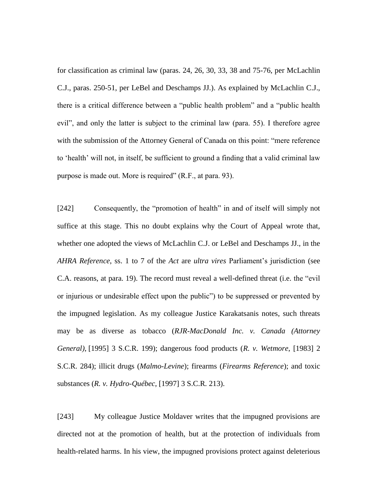for classification as criminal law (paras. 24, 26, 30, 33, 38 and 75-76, per McLachlin C.J., paras. 250-51, per LeBel and Deschamps JJ.). As explained by McLachlin C.J., there is a critical difference between a "public health problem" and a "public health evil", and only the latter is subject to the criminal law (para. 55). I therefore agree with the submission of the Attorney General of Canada on this point: "mere reference to 'health' will not, in itself, be sufficient to ground a finding that a valid criminal law purpose is made out. More is required" (R.F., at para. 93).

[242] Consequently, the "promotion of health" in and of itself will simply not suffice at this stage. This no doubt explains why the Court of Appeal wrote that, whether one adopted the views of McLachlin C.J. or LeBel and Deschamps JJ., in the *AHRA Reference*, ss. 1 to 7 of the *Act* are *ultra vires* Parliament's jurisdiction (see C.A. reasons, at para. 19). The record must reveal a well-defined threat (i.e. the "evil or injurious or undesirable effect upon the public") to be suppressed or prevented by the impugned legislation. As my colleague Justice Karakatsanis notes, such threats may be as diverse as tobacco (*RJR-MacDonald Inc. v. Canada (Attorney General)*, [1995] 3 S.C.R. 199); dangerous food products (*R. v. Wetmore*, [1983] 2 S.C.R. 284); illicit drugs (*Malmo-Levine*); firearms (*Firearms Reference*); and toxic substances (*R. v. Hydro-Québec*, [1997] 3 S.C.R*.* 213).

[243] My colleague Justice Moldaver writes that the impugned provisions are directed not at the promotion of health, but at the protection of individuals from health-related harms. In his view, the impugned provisions protect against deleterious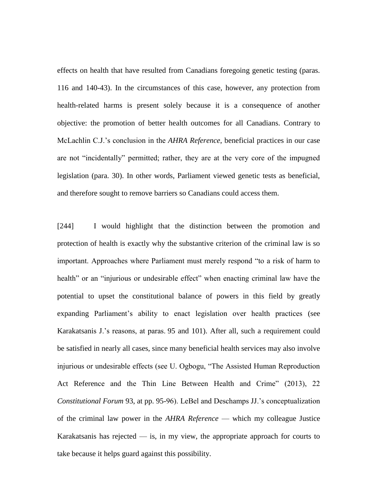effects on health that have resulted from Canadians foregoing genetic testing (paras. 116 and 140-43). In the circumstances of this case, however, any protection from health-related harms is present solely because it is a consequence of another objective: the promotion of better health outcomes for all Canadians. Contrary to McLachlin C.J.'s conclusion in the *AHRA Reference*, beneficial practices in our case are not "incidentally" permitted; rather, they are at the very core of the impugned legislation (para. 30). In other words, Parliament viewed genetic tests as beneficial, and therefore sought to remove barriers so Canadians could access them.

[244] I would highlight that the distinction between the promotion and protection of health is exactly why the substantive criterion of the criminal law is so important. Approaches where Parliament must merely respond "to a risk of harm to health" or an "injurious or undesirable effect" when enacting criminal law have the potential to upset the constitutional balance of powers in this field by greatly expanding Parliament's ability to enact legislation over health practices (see Karakatsanis J.'s reasons, at paras. 95 and 101). After all, such a requirement could be satisfied in nearly all cases, since many beneficial health services may also involve injurious or undesirable effects (see U. Ogbogu, "The Assisted Human Reproduction Act Reference and the Thin Line Between Health and Crime" (2013), 22 *Constitutional Forum* 93, at pp. 95-96). LeBel and Deschamps JJ.'s conceptualization of the criminal law power in the *AHRA Reference* — which my colleague Justice Karakatsanis has rejected  $-$  is, in my view, the appropriate approach for courts to take because it helps guard against this possibility.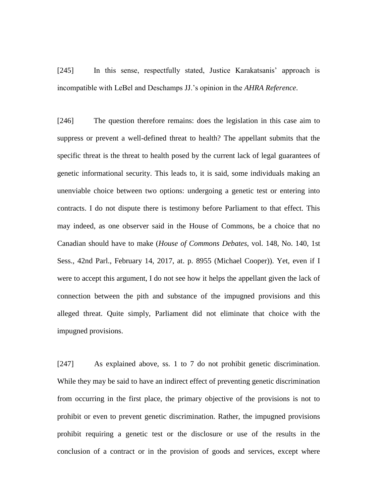[245] In this sense, respectfully stated, Justice Karakatsanis' approach is incompatible with LeBel and Deschamps JJ.'s opinion in the *AHRA Reference*.

[246] The question therefore remains: does the legislation in this case aim to suppress or prevent a well-defined threat to health? The appellant submits that the specific threat is the threat to health posed by the current lack of legal guarantees of genetic informational security. This leads to, it is said, some individuals making an unenviable choice between two options: undergoing a genetic test or entering into contracts. I do not dispute there is testimony before Parliament to that effect. This may indeed, as one observer said in the House of Commons, be a choice that no Canadian should have to make (*House of Commons Debates*, vol. 148, No. 140, 1st Sess., 42nd Parl., February 14, 2017, at. p. 8955 (Michael Cooper)). Yet, even if I were to accept this argument, I do not see how it helps the appellant given the lack of connection between the pith and substance of the impugned provisions and this alleged threat. Quite simply, Parliament did not eliminate that choice with the impugned provisions.

[247] As explained above, ss. 1 to 7 do not prohibit genetic discrimination. While they may be said to have an indirect effect of preventing genetic discrimination from occurring in the first place, the primary objective of the provisions is not to prohibit or even to prevent genetic discrimination. Rather, the impugned provisions prohibit requiring a genetic test or the disclosure or use of the results in the conclusion of a contract or in the provision of goods and services, except where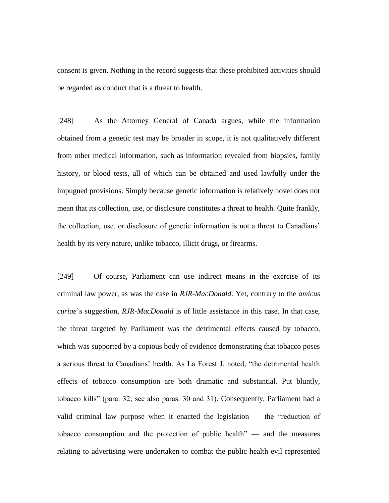consent is given. Nothing in the record suggests that these prohibited activities should be regarded as conduct that is a threat to health.

[248] As the Attorney General of Canada argues, while the information obtained from a genetic test may be broader in scope, it is not qualitatively different from other medical information, such as information revealed from biopsies, family history, or blood tests, all of which can be obtained and used lawfully under the impugned provisions. Simply because genetic information is relatively novel does not mean that its collection, use, or disclosure constitutes a threat to health. Quite frankly, the collection, use, or disclosure of genetic information is not a threat to Canadians' health by its very nature, unlike tobacco, illicit drugs, or firearms.

[249] Of course, Parliament can use indirect means in the exercise of its criminal law power, as was the case in *RJR-MacDonald*. Yet, contrary to the *amicus curiae*'s suggestion, *RJR-MacDonald* is of little assistance in this case. In that case, the threat targeted by Parliament was the detrimental effects caused by tobacco, which was supported by a copious body of evidence demonstrating that tobacco poses a serious threat to Canadians' health. As La Forest J. noted, "the detrimental health effects of tobacco consumption are both dramatic and substantial. Put bluntly, tobacco kills" (para. 32; see also paras. 30 and 31). Consequently, Parliament had a valid criminal law purpose when it enacted the legislation — the "reduction of tobacco consumption and the protection of public health" — and the measures relating to advertising were undertaken to combat the public health evil represented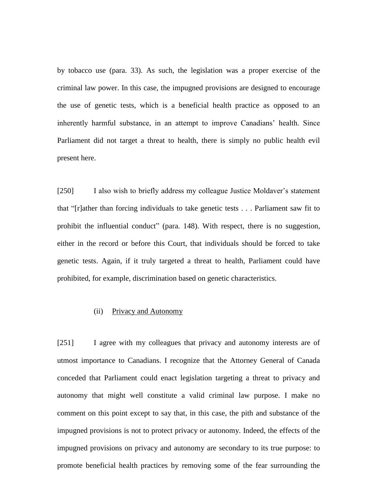by tobacco use (para. 33). As such, the legislation was a proper exercise of the criminal law power. In this case, the impugned provisions are designed to encourage the use of genetic tests, which is a beneficial health practice as opposed to an inherently harmful substance, in an attempt to improve Canadians' health. Since Parliament did not target a threat to health, there is simply no public health evil present here.

[250] I also wish to briefly address my colleague Justice Moldaver's statement that "[r]ather than forcing individuals to take genetic tests . . . Parliament saw fit to prohibit the influential conduct" (para. 148). With respect, there is no suggestion, either in the record or before this Court, that individuals should be forced to take genetic tests. Again, if it truly targeted a threat to health, Parliament could have prohibited, for example, discrimination based on genetic characteristics.

## (ii) Privacy and Autonomy

[251] I agree with my colleagues that privacy and autonomy interests are of utmost importance to Canadians. I recognize that the Attorney General of Canada conceded that Parliament could enact legislation targeting a threat to privacy and autonomy that might well constitute a valid criminal law purpose. I make no comment on this point except to say that, in this case, the pith and substance of the impugned provisions is not to protect privacy or autonomy. Indeed, the effects of the impugned provisions on privacy and autonomy are secondary to its true purpose: to promote beneficial health practices by removing some of the fear surrounding the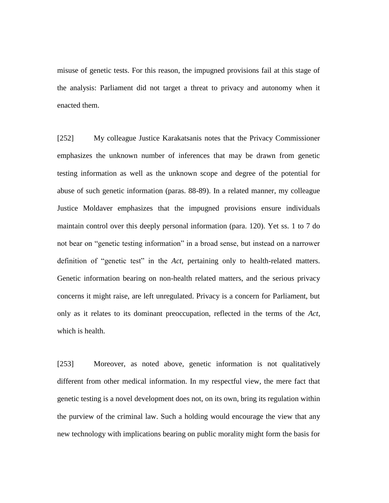misuse of genetic tests. For this reason, the impugned provisions fail at this stage of the analysis: Parliament did not target a threat to privacy and autonomy when it enacted them.

[252] My colleague Justice Karakatsanis notes that the Privacy Commissioner emphasizes the unknown number of inferences that may be drawn from genetic testing information as well as the unknown scope and degree of the potential for abuse of such genetic information (paras. 88-89). In a related manner, my colleague Justice Moldaver emphasizes that the impugned provisions ensure individuals maintain control over this deeply personal information (para. 120). Yet ss. 1 to 7 do not bear on "genetic testing information" in a broad sense, but instead on a narrower definition of "genetic test" in the *Act*, pertaining only to health-related matters. Genetic information bearing on non-health related matters, and the serious privacy concerns it might raise, are left unregulated. Privacy is a concern for Parliament, but only as it relates to its dominant preoccupation, reflected in the terms of the *Act*, which is health.

[253] Moreover, as noted above, genetic information is not qualitatively different from other medical information. In my respectful view, the mere fact that genetic testing is a novel development does not, on its own, bring its regulation within the purview of the criminal law. Such a holding would encourage the view that any new technology with implications bearing on public morality might form the basis for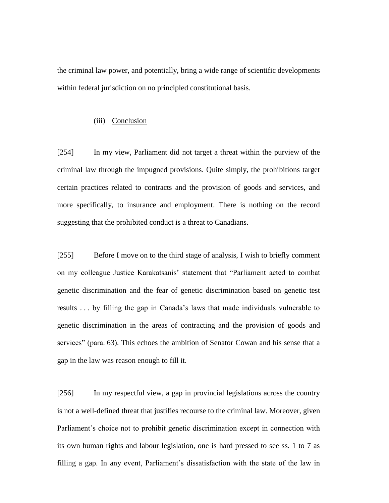the criminal law power, and potentially, bring a wide range of scientific developments within federal jurisdiction on no principled constitutional basis.

## (iii) Conclusion

[254] In my view, Parliament did not target a threat within the purview of the criminal law through the impugned provisions. Quite simply, the prohibitions target certain practices related to contracts and the provision of goods and services, and more specifically, to insurance and employment. There is nothing on the record suggesting that the prohibited conduct is a threat to Canadians.

[255] Before I move on to the third stage of analysis, I wish to briefly comment on my colleague Justice Karakatsanis' statement that "Parliament acted to combat genetic discrimination and the fear of genetic discrimination based on genetic test results . . . by filling the gap in Canada's laws that made individuals vulnerable to genetic discrimination in the areas of contracting and the provision of goods and services" (para. 63). This echoes the ambition of Senator Cowan and his sense that a gap in the law was reason enough to fill it.

[256] In my respectful view, a gap in provincial legislations across the country is not a well-defined threat that justifies recourse to the criminal law. Moreover, given Parliament's choice not to prohibit genetic discrimination except in connection with its own human rights and labour legislation, one is hard pressed to see ss. 1 to 7 as filling a gap. In any event, Parliament's dissatisfaction with the state of the law in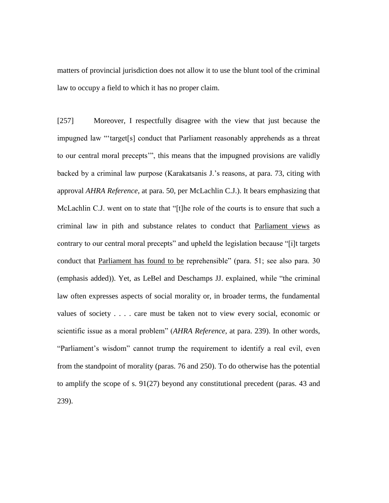matters of provincial jurisdiction does not allow it to use the blunt tool of the criminal law to occupy a field to which it has no proper claim.

[257] Moreover, I respectfully disagree with the view that just because the impugned law "'target[s] conduct that Parliament reasonably apprehends as a threat to our central moral precepts'", this means that the impugned provisions are validly backed by a criminal law purpose (Karakatsanis J.'s reasons, at para. 73, citing with approval *AHRA Reference*, at para. 50, per McLachlin C.J.). It bears emphasizing that McLachlin C.J. went on to state that "[t]he role of the courts is to ensure that such a criminal law in pith and substance relates to conduct that Parliament views as contrary to our central moral precepts" and upheld the legislation because "[i]t targets conduct that Parliament has found to be reprehensible" (para. 51; see also para. 30 (emphasis added)). Yet, as LeBel and Deschamps JJ. explained, while "the criminal law often expresses aspects of social morality or, in broader terms, the fundamental values of society . . . . care must be taken not to view every social, economic or scientific issue as a moral problem" (*AHRA Reference*, at para. 239). In other words, "Parliament's wisdom" cannot trump the requirement to identify a real evil, even from the standpoint of morality (paras. 76 and 250). To do otherwise has the potential to amplify the scope of s. 91(27) beyond any constitutional precedent (paras. 43 and 239).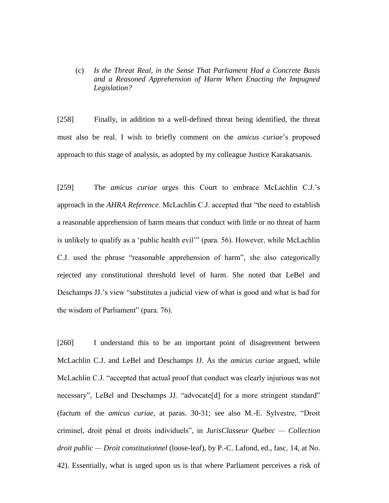(c) *Is the Threat Real, in the Sense That Parliament Had a Concrete Basis and a Reasoned Apprehension of Harm When Enacting the Impugned Legislation?* 

[258] Finally, in addition to a well-defined threat being identified, the threat must also be real. I wish to briefly comment on the *amicus curiae*'s proposed approach to this stage of analysis, as adopted by my colleague Justice Karakatsanis.

[259] The *amicus curiae* urges this Court to embrace McLachlin C.J.'s approach in the *AHRA Reference*. McLachlin C.J. accepted that "the need to establish a reasonable apprehension of harm means that conduct with little or no threat of harm is unlikely to qualify as a 'public health evil'" (para. 56). However, while McLachlin C.J. used the phrase "reasonable apprehension of harm", she also categorically rejected any constitutional threshold level of harm. She noted that LeBel and Deschamps JJ.'s view "substitutes a judicial view of what is good and what is bad for the wisdom of Parliament" (para. 76).

[260] I understand this to be an important point of disagreement between McLachlin C.J. and LeBel and Deschamps JJ. As the *amicus curiae* argued, while McLachlin C.J. "accepted that actual proof that conduct was clearly injurious was not necessary", LeBel and Deschamps JJ. "advocate[d] for a more stringent standard" (factum of the *amicus curiae*, at paras. 30-31; see also M.-E. Sylvestre, "Droit criminel, droit pénal et droits individuels", in *JurisClasseur Québec — Collection droit public — Droit constitutionnel* (loose-leaf), by P.-C. Lafond, ed., fasc. 14, at No. 42). Essentially, what is urged upon us is that where Parliament perceives a risk of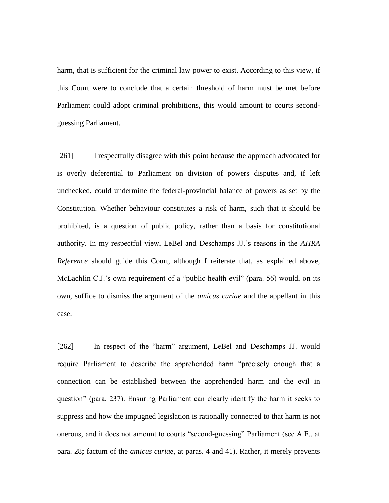harm, that is sufficient for the criminal law power to exist. According to this view, if this Court were to conclude that a certain threshold of harm must be met before Parliament could adopt criminal prohibitions, this would amount to courts secondguessing Parliament.

[261] I respectfully disagree with this point because the approach advocated for is overly deferential to Parliament on division of powers disputes and, if left unchecked, could undermine the federal-provincial balance of powers as set by the Constitution. Whether behaviour constitutes a risk of harm, such that it should be prohibited, is a question of public policy, rather than a basis for constitutional authority. In my respectful view, LeBel and Deschamps JJ.'s reasons in the *AHRA Reference* should guide this Court, although I reiterate that, as explained above, McLachlin C.J.'s own requirement of a "public health evil" (para. 56) would, on its own, suffice to dismiss the argument of the *amicus curiae* and the appellant in this case.

[262] In respect of the "harm" argument, LeBel and Deschamps JJ. would require Parliament to describe the apprehended harm "precisely enough that a connection can be established between the apprehended harm and the evil in question" (para. 237). Ensuring Parliament can clearly identify the harm it seeks to suppress and how the impugned legislation is rationally connected to that harm is not onerous, and it does not amount to courts "second-guessing" Parliament (see A.F., at para. 28; factum of the *amicus curiae*, at paras. 4 and 41). Rather, it merely prevents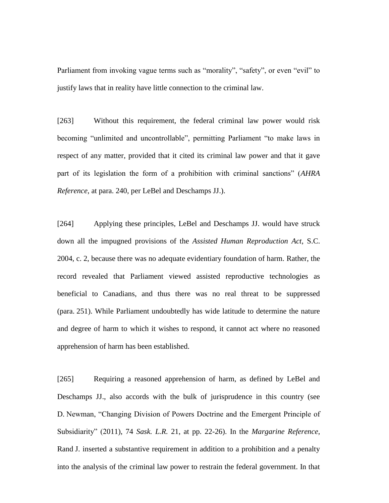Parliament from invoking vague terms such as "morality", "safety", or even "evil" to justify laws that in reality have little connection to the criminal law.

[263] Without this requirement, the federal criminal law power would risk becoming "unlimited and uncontrollable", permitting Parliament "to make laws in respect of any matter, provided that it cited its criminal law power and that it gave part of its legislation the form of a prohibition with criminal sanctions" (*AHRA Reference*, at para. 240, per LeBel and Deschamps JJ.).

[264] Applying these principles, LeBel and Deschamps JJ. would have struck down all the impugned provisions of the *Assisted Human Reproduction Act*, S.C. 2004, c. 2, because there was no adequate evidentiary foundation of harm. Rather, the record revealed that Parliament viewed assisted reproductive technologies as beneficial to Canadians, and thus there was no real threat to be suppressed (para. 251). While Parliament undoubtedly has wide latitude to determine the nature and degree of harm to which it wishes to respond, it cannot act where no reasoned apprehension of harm has been established.

[265] Requiring a reasoned apprehension of harm, as defined by LeBel and Deschamps JJ., also accords with the bulk of jurisprudence in this country (see D. Newman, "Changing Division of Powers Doctrine and the Emergent Principle of Subsidiarity" (2011), 74 *Sask. L.R.* 21, at pp. 22-26). In the *Margarine Reference*, Rand J. inserted a substantive requirement in addition to a prohibition and a penalty into the analysis of the criminal law power to restrain the federal government. In that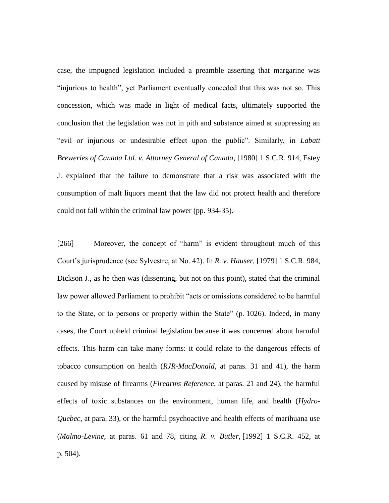case, the impugned legislation included a preamble asserting that margarine was "injurious to health", yet Parliament eventually conceded that this was not so. This concession, which was made in light of medical facts, ultimately supported the conclusion that the legislation was not in pith and substance aimed at suppressing an "evil or injurious or undesirable effect upon the public". Similarly, in *Labatt Breweries of Canada Ltd. v. Attorney General of Canada*, [1980] 1 S.C.R. 914, Estey J. explained that the failure to demonstrate that a risk was associated with the consumption of malt liquors meant that the law did not protect health and therefore could not fall within the criminal law power (pp. 934-35).

[266] Moreover, the concept of "harm" is evident throughout much of this Court's jurisprudence (see Sylvestre, at No. 42). In *R. v. Hauser*, [1979] 1 S.C.R. 984, Dickson J., as he then was (dissenting, but not on this point), stated that the criminal law power allowed Parliament to prohibit "acts or omissions considered to be harmful to the State, or to persons or property within the State" (p. 1026). Indeed, in many cases, the Court upheld criminal legislation because it was concerned about harmful effects. This harm can take many forms: it could relate to the dangerous effects of tobacco consumption on health (*RJR-MacDonald*, at paras. 31 and 41), the harm caused by misuse of firearms (*Firearms Reference*, at paras. 21 and 24), the harmful effects of toxic substances on the environment, human life, and health (*Hydro-Quebec*, at para. 33), or the harmful psychoactive and health effects of marihuana use (*Malmo-Levine*, at paras. 61 and 78, citing *R. v. Butler*, [1992] 1 S.C.R. 452, at p. 504).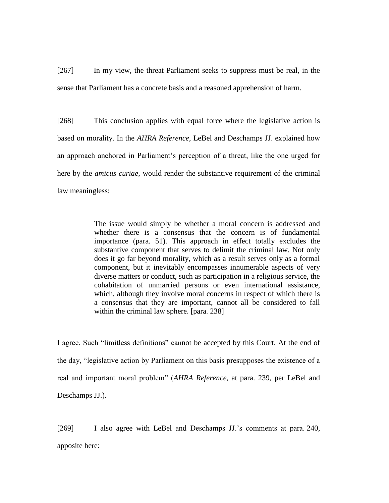[267] In my view, the threat Parliament seeks to suppress must be real, in the sense that Parliament has a concrete basis and a reasoned apprehension of harm.

[268] This conclusion applies with equal force where the legislative action is based on morality. In the *AHRA Reference*, LeBel and Deschamps JJ. explained how an approach anchored in Parliament's perception of a threat, like the one urged for here by the *amicus curiae*, would render the substantive requirement of the criminal law meaningless:

> The issue would simply be whether a moral concern is addressed and whether there is a consensus that the concern is of fundamental importance (para. 51). This approach in effect totally excludes the substantive component that serves to delimit the criminal law. Not only does it go far beyond morality, which as a result serves only as a formal component, but it inevitably encompasses innumerable aspects of very diverse matters or conduct, such as participation in a religious service, the cohabitation of unmarried persons or even international assistance, which, although they involve moral concerns in respect of which there is a consensus that they are important, cannot all be considered to fall within the criminal law sphere. [para. 238]

I agree. Such "limitless definitions" cannot be accepted by this Court. At the end of the day, "legislative action by Parliament on this basis presupposes the existence of a real and important moral problem" (*AHRA Reference*, at para. 239, per LeBel and Deschamps JJ.).

[269] I also agree with LeBel and Deschamps JJ.'s comments at para. 240, apposite here: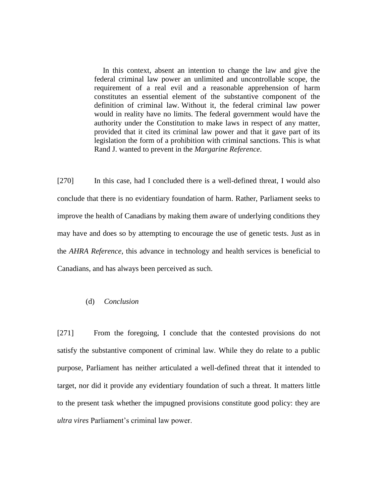In this context, absent an intention to change the law and give the federal criminal law power an unlimited and uncontrollable scope, the requirement of a real evil and a reasonable apprehension of harm constitutes an essential element of the substantive component of the definition of criminal law. Without it, the federal criminal law power would in reality have no limits. The federal government would have the authority under the Constitution to make laws in respect of any matter, provided that it cited its criminal law power and that it gave part of its legislation the form of a prohibition with criminal sanctions. This is what Rand J. wanted to prevent in the *Margarine Reference*.

[270] In this case, had I concluded there is a well-defined threat, I would also conclude that there is no evidentiary foundation of harm. Rather, Parliament seeks to improve the health of Canadians by making them aware of underlying conditions they may have and does so by attempting to encourage the use of genetic tests. Just as in the *AHRA Reference*, this advance in technology and health services is beneficial to Canadians, and has always been perceived as such.

## (d) *Conclusion*

[271] From the foregoing, I conclude that the contested provisions do not satisfy the substantive component of criminal law. While they do relate to a public purpose, Parliament has neither articulated a well-defined threat that it intended to target, nor did it provide any evidentiary foundation of such a threat. It matters little to the present task whether the impugned provisions constitute good policy: they are *ultra vires* Parliament's criminal law power.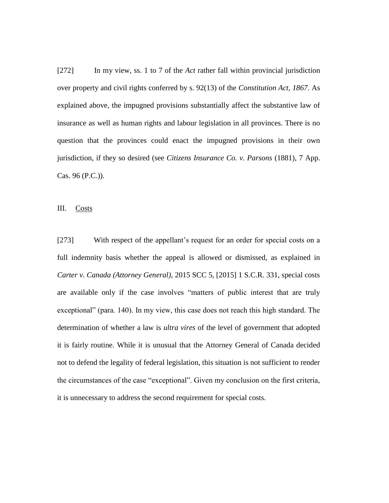[272] In my view, ss. 1 to 7 of the *Act* rather fall within provincial jurisdiction over property and civil rights conferred by s. 92(13) of the *Constitution Act, 1867*. As explained above, the impugned provisions substantially affect the substantive law of insurance as well as human rights and labour legislation in all provinces. There is no question that the provinces could enact the impugned provisions in their own jurisdiction, if they so desired (see *Citizens Insurance Co. v. Parsons* (1881), 7 App. Cas. 96 (P.C.)).

III. Costs

[273] With respect of the appellant's request for an order for special costs on a full indemnity basis whether the appeal is allowed or dismissed, as explained in *Carter v. Canada (Attorney General)*, 2015 SCC 5, [2015] 1 S.C.R. 331, special costs are available only if the case involves "matters of public interest that are truly exceptional" (para. 140). In my view, this case does not reach this high standard. The determination of whether a law is *ultra vires* of the level of government that adopted it is fairly routine. While it is unusual that the Attorney General of Canada decided not to defend the legality of federal legislation, this situation is not sufficient to render the circumstances of the case "exceptional". Given my conclusion on the first criteria, it is unnecessary to address the second requirement for special costs.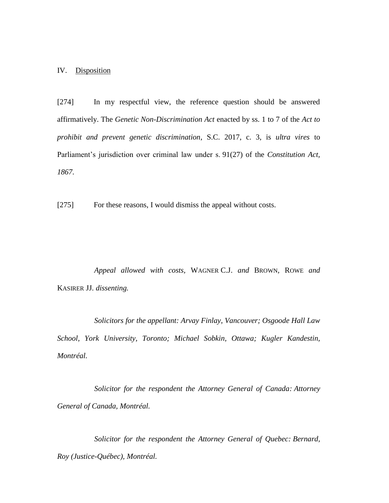## IV. Disposition

[274] In my respectful view, the reference question should be answered affirmatively. The *Genetic Non-Discrimination Act* enacted by ss. 1 to 7 of the *Act to prohibit and prevent genetic discrimination*, S.C. 2017, c. 3, is *ultra vires* to Parliament's jurisdiction over criminal law under s. 91(27) of the *Constitution Act, 1867*.

[275] For these reasons, I would dismiss the appeal without costs.

*Appeal allowed with costs,* WAGNER C.J. *and* BROWN*,* ROWE *and*  KASIRER JJ*. dissenting.*

*Solicitors for the appellant: Arvay Finlay, Vancouver; Osgoode Hall Law School, York University, Toronto; Michael Sobkin, Ottawa; Kugler Kandestin, Montréal.*

*Solicitor for the respondent the Attorney General of Canada: Attorney General of Canada, Montréal.*

*Solicitor for the respondent the Attorney General of Quebec: Bernard, Roy (Justice-Québec), Montréal.*